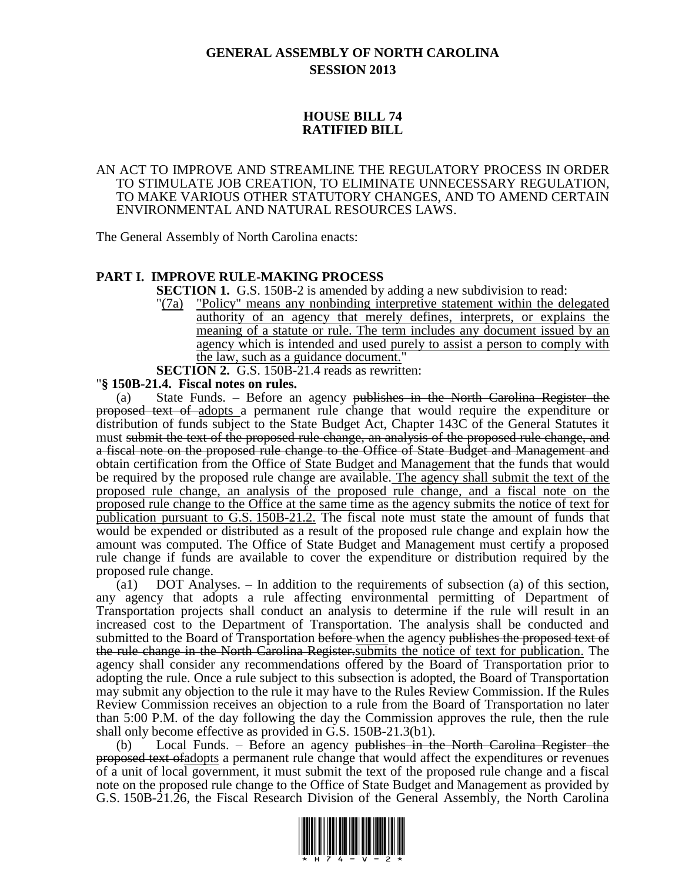# **GENERAL ASSEMBLY OF NORTH CAROLINA SESSION 2013**

# **HOUSE BILL 74 RATIFIED BILL**

### AN ACT TO IMPROVE AND STREAMLINE THE REGULATORY PROCESS IN ORDER TO STIMULATE JOB CREATION, TO ELIMINATE UNNECESSARY REGULATION, TO MAKE VARIOUS OTHER STATUTORY CHANGES, AND TO AMEND CERTAIN ENVIRONMENTAL AND NATURAL RESOURCES LAWS.

The General Assembly of North Carolina enacts:

# **PART I. IMPROVE RULE-MAKING PROCESS**

**SECTION 1.** G.S. 150B-2 is amended by adding a new subdivision to read:

"(7a) "Policy" means any nonbinding interpretive statement within the delegated authority of an agency that merely defines, interprets, or explains the meaning of a statute or rule. The term includes any document issued by an agency which is intended and used purely to assist a person to comply with the law, such as a guidance document."

**SECTION 2.** G.S. 150B-21.4 reads as rewritten:

# "**§ 150B-21.4. Fiscal notes on rules.**

(a) State Funds. – Before an agency publishes in the North Carolina Register the proposed text of adopts a permanent rule change that would require the expenditure or distribution of funds subject to the State Budget Act, Chapter 143C of the General Statutes it must submit the text of the proposed rule change, an analysis of the proposed rule change, and a fiscal note on the proposed rule change to the Office of State Budget and Management and obtain certification from the Office of State Budget and Management that the funds that would be required by the proposed rule change are available. The agency shall submit the text of the proposed rule change, an analysis of the proposed rule change, and a fiscal note on the proposed rule change to the Office at the same time as the agency submits the notice of text for publication pursuant to G.S. 150B-21.2. The fiscal note must state the amount of funds that would be expended or distributed as a result of the proposed rule change and explain how the amount was computed. The Office of State Budget and Management must certify a proposed rule change if funds are available to cover the expenditure or distribution required by the proposed rule change.

(a1) DOT Analyses. – In addition to the requirements of subsection (a) of this section, any agency that adopts a rule affecting environmental permitting of Department of Transportation projects shall conduct an analysis to determine if the rule will result in an increased cost to the Department of Transportation. The analysis shall be conducted and submitted to the Board of Transportation before when the agency publishes the proposed text of the rule change in the North Carolina Register.submits the notice of text for publication. The agency shall consider any recommendations offered by the Board of Transportation prior to adopting the rule. Once a rule subject to this subsection is adopted, the Board of Transportation may submit any objection to the rule it may have to the Rules Review Commission. If the Rules Review Commission receives an objection to a rule from the Board of Transportation no later than 5:00 P.M. of the day following the day the Commission approves the rule, then the rule shall only become effective as provided in G.S. 150B-21.3(b1).

(b) Local Funds. – Before an agency publishes in the North Carolina Register the proposed text of adopts a permanent rule change that would affect the expenditures or revenues of a unit of local government, it must submit the text of the proposed rule change and a fiscal note on the proposed rule change to the Office of State Budget and Management as provided by G.S. 150B-21.26, the Fiscal Research Division of the General Assembly, the North Carolina

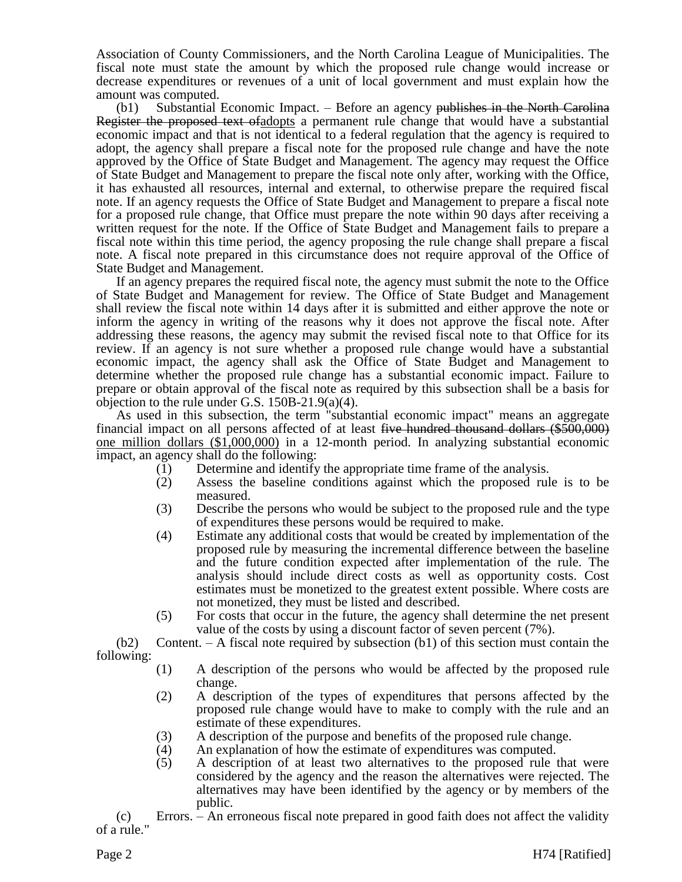Association of County Commissioners, and the North Carolina League of Municipalities. The fiscal note must state the amount by which the proposed rule change would increase or decrease expenditures or revenues of a unit of local government and must explain how the amount was computed.

 $(b1)$  Substantial Economic Impact. – Before an agency publishes in the North Carolina Register the proposed text ofadopts a permanent rule change that would have a substantial economic impact and that is not identical to a federal regulation that the agency is required to adopt, the agency shall prepare a fiscal note for the proposed rule change and have the note approved by the Office of State Budget and Management. The agency may request the Office of State Budget and Management to prepare the fiscal note only after, working with the Office, it has exhausted all resources, internal and external, to otherwise prepare the required fiscal note. If an agency requests the Office of State Budget and Management to prepare a fiscal note for a proposed rule change, that Office must prepare the note within 90 days after receiving a written request for the note. If the Office of State Budget and Management fails to prepare a fiscal note within this time period, the agency proposing the rule change shall prepare a fiscal note. A fiscal note prepared in this circumstance does not require approval of the Office of State Budget and Management.

If an agency prepares the required fiscal note, the agency must submit the note to the Office of State Budget and Management for review. The Office of State Budget and Management shall review the fiscal note within 14 days after it is submitted and either approve the note or inform the agency in writing of the reasons why it does not approve the fiscal note. After addressing these reasons, the agency may submit the revised fiscal note to that Office for its review. If an agency is not sure whether a proposed rule change would have a substantial economic impact, the agency shall ask the Office of State Budget and Management to determine whether the proposed rule change has a substantial economic impact. Failure to prepare or obtain approval of the fiscal note as required by this subsection shall be a basis for objection to the rule under G.S. 150B-21.9(a)(4).

As used in this subsection, the term "substantial economic impact" means an aggregate financial impact on all persons affected of at least five hundred thousand dollars  $(\$500,000)$ one million dollars (\$1,000,000) in a 12-month period. In analyzing substantial economic impact, an agency shall do the following:

- (1) Determine and identify the appropriate time frame of the analysis.
- (2) Assess the baseline conditions against which the proposed rule is to be measured.
- (3) Describe the persons who would be subject to the proposed rule and the type of expenditures these persons would be required to make.
- (4) Estimate any additional costs that would be created by implementation of the proposed rule by measuring the incremental difference between the baseline and the future condition expected after implementation of the rule. The analysis should include direct costs as well as opportunity costs. Cost estimates must be monetized to the greatest extent possible. Where costs are not monetized, they must be listed and described.
- (5) For costs that occur in the future, the agency shall determine the net present value of the costs by using a discount factor of seven percent (7%).

 $(b2)$  Content. – A fiscal note required by subsection  $(b1)$  of this section must contain the following:

- (1) A description of the persons who would be affected by the proposed rule change.
- (2) A description of the types of expenditures that persons affected by the proposed rule change would have to make to comply with the rule and an estimate of these expenditures.
- (3) A description of the purpose and benefits of the proposed rule change.
- (4) An explanation of how the estimate of expenditures was computed.
- (5) A description of at least two alternatives to the proposed rule that were considered by the agency and the reason the alternatives were rejected. The alternatives may have been identified by the agency or by members of the public.

(c) Errors. – An erroneous fiscal note prepared in good faith does not affect the validity of a rule."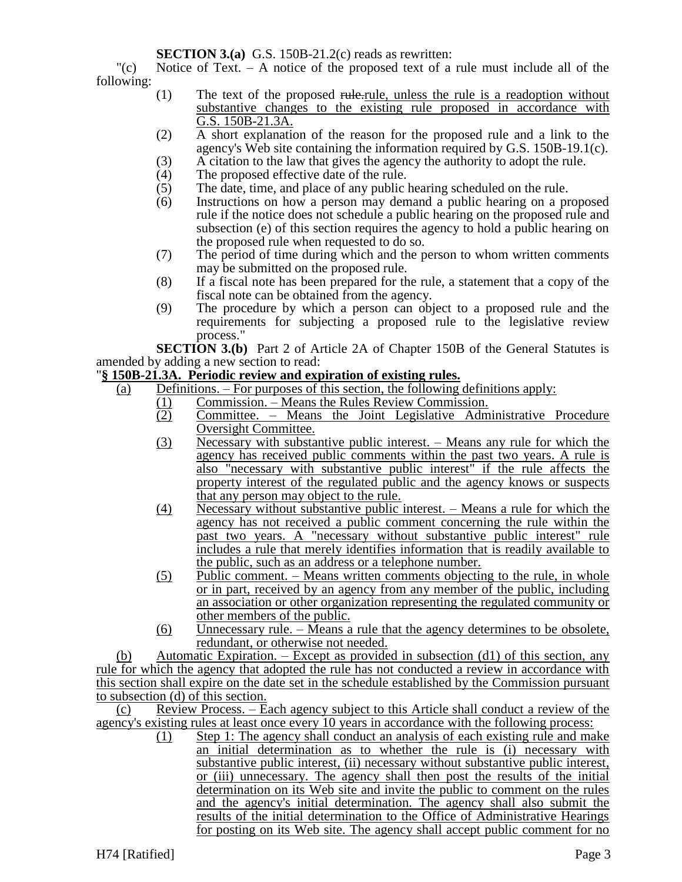**SECTION 3.(a)** G.S. 150B-21.2(c) reads as rewritten:

"(c) Notice of Text. – A notice of the proposed text of a rule must include all of the following:

- (1) The text of the proposed rule-rule, unless the rule is a readoption without substantive changes to the existing rule proposed in accordance with G.S. 150B-21.3A.
- (2) A short explanation of the reason for the proposed rule and a link to the agency's Web site containing the information required by G.S. 150B-19.1(c).
- (3) A citation to the law that gives the agency the authority to adopt the rule.<br>  $(4)$  The proposed effective date of the rule.
- The proposed effective date of the rule.
- (5) The date, time, and place of any public hearing scheduled on the rule.<br>(6) Instructions on how a person may demand a public hearing on a pr
- Instructions on how a person may demand a public hearing on a proposed rule if the notice does not schedule a public hearing on the proposed rule and subsection (e) of this section requires the agency to hold a public hearing on the proposed rule when requested to do so.
- (7) The period of time during which and the person to whom written comments may be submitted on the proposed rule.
- (8) If a fiscal note has been prepared for the rule, a statement that a copy of the fiscal note can be obtained from the agency.
- (9) The procedure by which a person can object to a proposed rule and the requirements for subjecting a proposed rule to the legislative review process."

**SECTION 3.(b)** Part 2 of Article 2A of Chapter 150B of the General Statutes is amended by adding a new section to read:

# "**§ 150B-21.3A. Periodic review and expiration of existing rules.**

- (a) Definitions. For purposes of this section, the following definitions apply:
	- (1) Commission. Means the Rules Review Commission.<br>
	Committee. Means the Joint Legislative Adm
	- Committee. Means the Joint Legislative Administrative Procedure Oversight Committee.
	- (3) Necessary with substantive public interest. Means any rule for which the agency has received public comments within the past two years. A rule is also "necessary with substantive public interest" if the rule affects the property interest of the regulated public and the agency knows or suspects that any person may object to the rule.
	- (4) Necessary without substantive public interest. Means a rule for which the agency has not received a public comment concerning the rule within the past two years. A "necessary without substantive public interest" rule includes a rule that merely identifies information that is readily available to the public, such as an address or a telephone number.
	- $(5)$  Public comment. Means written comments objecting to the rule, in whole or in part, received by an agency from any member of the public, including an association or other organization representing the regulated community or other members of the public.
	- (6) Unnecessary rule. Means a rule that the agency determines to be obsolete, redundant, or otherwise not needed.

(b) Automatic Expiration. – Except as provided in subsection (d1) of this section, any rule for which the agency that adopted the rule has not conducted a review in accordance with this section shall expire on the date set in the schedule established by the Commission pursuant to subsection (d) of this section.

(c) Review Process. – Each agency subject to this Article shall conduct a review of the agency's existing rules at least once every 10 years in accordance with the following process:

(1) Step 1: The agency shall conduct an analysis of each existing rule and make an initial determination as to whether the rule is (i) necessary with substantive public interest, (ii) necessary without substantive public interest, or (iii) unnecessary. The agency shall then post the results of the initial determination on its Web site and invite the public to comment on the rules and the agency's initial determination. The agency shall also submit the results of the initial determination to the Office of Administrative Hearings for posting on its Web site. The agency shall accept public comment for no

H74 [Ratified] Page 3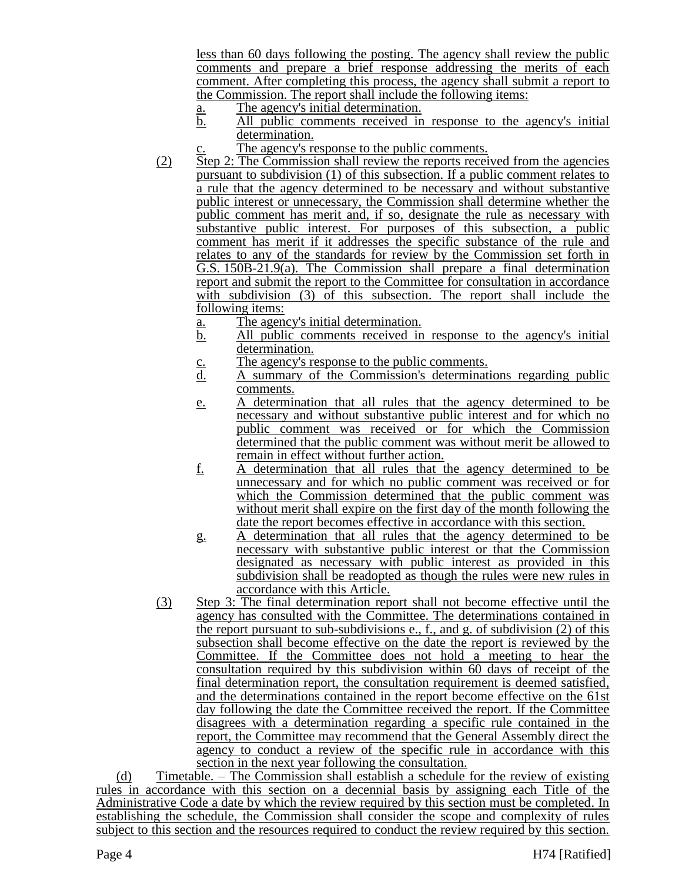less than 60 days following the posting. The agency shall review the public comments and prepare a brief response addressing the merits of each comment. After completing this process, the agency shall submit a report to the Commission. The report shall include the following items:

- a. The agency's initial determination.
- b. All public comments received in response to the agency's initial determination.
- c. The agency's response to the public comments.
- (2) Step 2: The Commission shall review the reports received from the agencies pursuant to subdivision (1) of this subsection. If a public comment relates to a rule that the agency determined to be necessary and without substantive public interest or unnecessary, the Commission shall determine whether the public comment has merit and, if so, designate the rule as necessary with substantive public interest. For purposes of this subsection, a public comment has merit if it addresses the specific substance of the rule and relates to any of the standards for review by the Commission set forth in G.S. 150B-21.9(a). The Commission shall prepare a final determination report and submit the report to the Committee for consultation in accordance with subdivision (3) of this subsection. The report shall include the following items:
	- a. The agency's initial determination.
	- b. All public comments received in response to the agency's initial determination.
	-
	- c. The agency's response to the public comments.<br>
	<u>d.</u> A summary of the Commission's determinated d. A summary of the Commission's determinations regarding public comments.
	- e. A determination that all rules that the agency determined to be necessary and without substantive public interest and for which no public comment was received or for which the Commission determined that the public comment was without merit be allowed to remain in effect without further action.
	- f. A determination that all rules that the agency determined to be unnecessary and for which no public comment was received or for which the Commission determined that the public comment was without merit shall expire on the first day of the month following the date the report becomes effective in accordance with this section.
	- g. A determination that all rules that the agency determined to be necessary with substantive public interest or that the Commission designated as necessary with public interest as provided in this subdivision shall be readopted as though the rules were new rules in accordance with this Article.
- (3) Step 3: The final determination report shall not become effective until the agency has consulted with the Committee. The determinations contained in the report pursuant to sub-subdivisions e.,  $f_{\cdot}$ , and g. of subdivision (2) of this subsection shall become effective on the date the report is reviewed by the Committee. If the Committee does not hold a meeting to hear the consultation required by this subdivision within 60 days of receipt of the final determination report, the consultation requirement is deemed satisfied, and the determinations contained in the report become effective on the 61st day following the date the Committee received the report. If the Committee disagrees with a determination regarding a specific rule contained in the report, the Committee may recommend that the General Assembly direct the agency to conduct a review of the specific rule in accordance with this section in the next year following the consultation.

(d) Timetable. – The Commission shall establish a schedule for the review of existing rules in accordance with this section on a decennial basis by assigning each Title of the Administrative Code a date by which the review required by this section must be completed. In establishing the schedule, the Commission shall consider the scope and complexity of rules subject to this section and the resources required to conduct the review required by this section.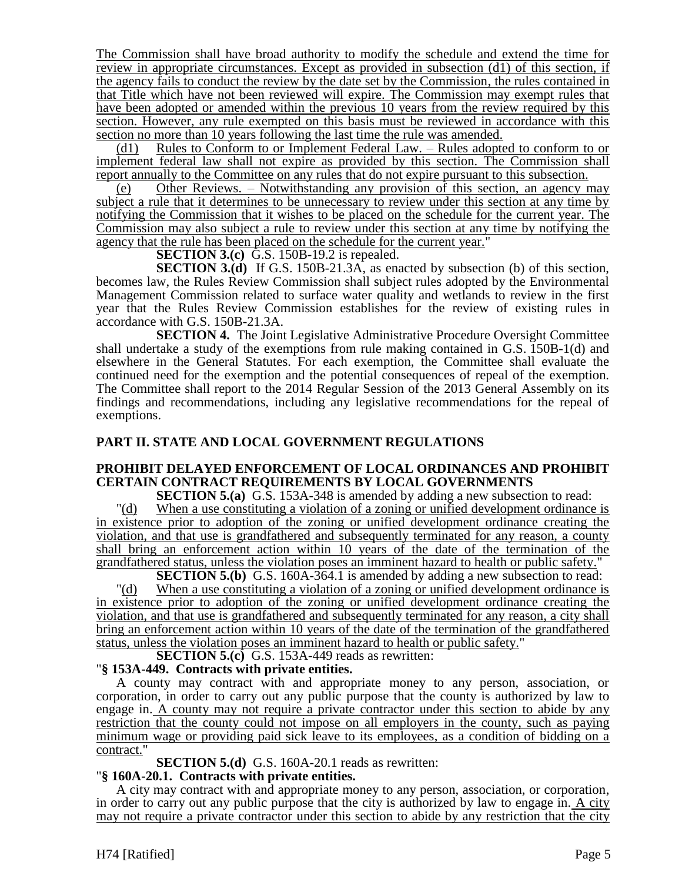The Commission shall have broad authority to modify the schedule and extend the time for review in appropriate circumstances. Except as provided in subsection (d1) of this section, if the agency fails to conduct the review by the date set by the Commission, the rules contained in that Title which have not been reviewed will expire. The Commission may exempt rules that have been adopted or amended within the previous 10 years from the review required by this section. However, any rule exempted on this basis must be reviewed in accordance with this section no more than 10 years following the last time the rule was amended.

(d1) Rules to Conform to or Implement Federal Law. – Rules adopted to conform to or implement federal law shall not expire as provided by this section. The Commission shall report annually to the Committee on any rules that do not expire pursuant to this subsection.

(e) Other Reviews. – Notwithstanding any provision of this section, an agency may subject a rule that it determines to be unnecessary to review under this section at any time by notifying the Commission that it wishes to be placed on the schedule for the current year. The Commission may also subject a rule to review under this section at any time by notifying the agency that the rule has been placed on the schedule for the current year."

**SECTION 3.(c)** G.S. 150B-19.2 is repealed.

**SECTION 3.(d)** If G.S. 150B-21.3A, as enacted by subsection (b) of this section, becomes law, the Rules Review Commission shall subject rules adopted by the Environmental Management Commission related to surface water quality and wetlands to review in the first year that the Rules Review Commission establishes for the review of existing rules in accordance with G.S. 150B-21.3A.

**SECTION 4.** The Joint Legislative Administrative Procedure Oversight Committee shall undertake a study of the exemptions from rule making contained in G.S. 150B-1(d) and elsewhere in the General Statutes. For each exemption, the Committee shall evaluate the continued need for the exemption and the potential consequences of repeal of the exemption. The Committee shall report to the 2014 Regular Session of the 2013 General Assembly on its findings and recommendations, including any legislative recommendations for the repeal of exemptions.

# **PART II. STATE AND LOCAL GOVERNMENT REGULATIONS**

# **PROHIBIT DELAYED ENFORCEMENT OF LOCAL ORDINANCES AND PROHIBIT CERTAIN CONTRACT REQUIREMENTS BY LOCAL GOVERNMENTS**

**SECTION 5.(a)** G.S. 153A-348 is amended by adding a new subsection to read:

"(d) When a use constituting a violation of a zoning or unified development ordinance is in existence prior to adoption of the zoning or unified development ordinance creating the violation, and that use is grandfathered and subsequently terminated for any reason, a county shall bring an enforcement action within 10 years of the date of the termination of the grandfathered status, unless the violation poses an imminent hazard to health or public safety."

**SECTION 5.(b)** G.S. 160A-364.1 is amended by adding a new subsection to read: "(d) When a use constituting a violation of a zoning or unified development ordinance is in existence prior to adoption of the zoning or unified development ordinance creating the violation, and that use is grandfathered and subsequently terminated for any reason, a city shall bring an enforcement action within 10 years of the date of the termination of the grandfathered status, unless the violation poses an imminent hazard to health or public safety."

**SECTION 5.(c)** G.S. 153A-449 reads as rewritten:

# "**§ 153A-449. Contracts with private entities.**

A county may contract with and appropriate money to any person, association, or corporation, in order to carry out any public purpose that the county is authorized by law to engage in. A county may not require a private contractor under this section to abide by any restriction that the county could not impose on all employers in the county, such as paying minimum wage or providing paid sick leave to its employees, as a condition of bidding on a contract."

**SECTION 5.(d)** G.S. 160A-20.1 reads as rewritten:

# "**§ 160A-20.1. Contracts with private entities.**

A city may contract with and appropriate money to any person, association, or corporation, in order to carry out any public purpose that the city is authorized by law to engage in.  $\overline{A}$  city may not require a private contractor under this section to abide by any restriction that the city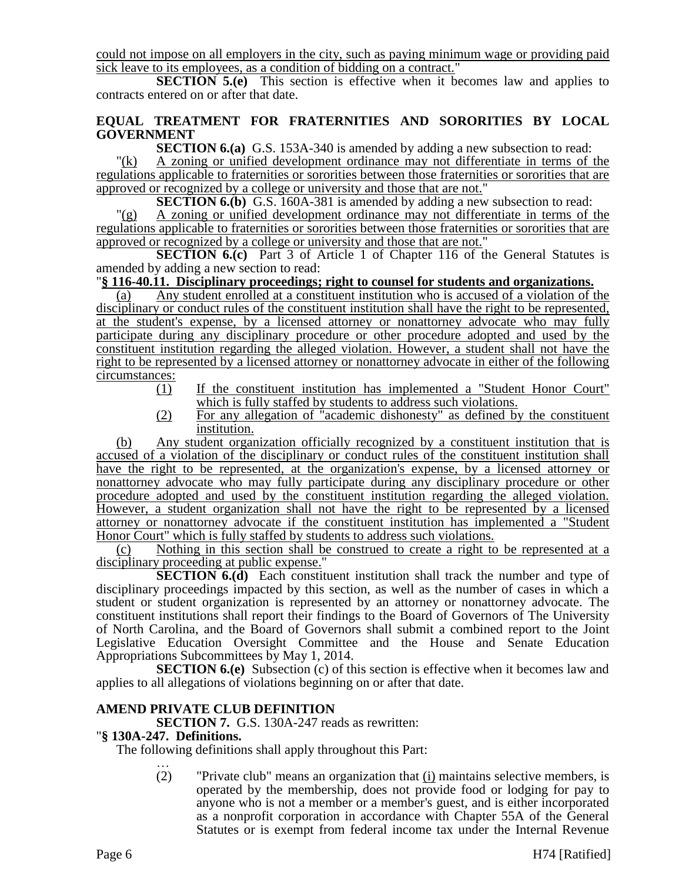could not impose on all employers in the city, such as paying minimum wage or providing paid sick leave to its employees, as a condition of bidding on a contract."

**SECTION 5.(e)** This section is effective when it becomes law and applies to contracts entered on or after that date.

# **EQUAL TREATMENT FOR FRATERNITIES AND SORORITIES BY LOCAL GOVERNMENT**

**SECTION 6.(a)** G.S. 153A-340 is amended by adding a new subsection to read:

"(k) A zoning or unified development ordinance may not differentiate in terms of the regulations applicable to fraternities or sororities between those fraternities or sororities that are approved or recognized by a college or university and those that are not."

**SECTION 6.(b)** G.S. 160A-381 is amended by adding a new subsection to read:

"(g) A zoning or unified development ordinance may not differentiate in terms of the regulations applicable to fraternities or sororities between those fraternities or sororities that are approved or recognized by a college or university and those that are not."

**SECTION 6.(c)** Part 3 of Article 1 of Chapter 116 of the General Statutes is amended by adding a new section to read:

# "**§ 116-40.11. Disciplinary proceedings; right to counsel for students and organizations.**

(a) Any student enrolled at a constituent institution who is accused of a violation of the disciplinary or conduct rules of the constituent institution shall have the right to be represented, at the student's expense, by a licensed attorney or nonattorney advocate who may fully participate during any disciplinary procedure or other procedure adopted and used by the constituent institution regarding the alleged violation. However, a student shall not have the right to be represented by a licensed attorney or nonattorney advocate in either of the following circumstances:

- (1) If the constituent institution has implemented a "Student Honor Court" which is fully staffed by students to address such violations.
- (2) For any allegation of "academic dishonesty" as defined by the constituent institution.

(b) Any student organization officially recognized by a constituent institution that is accused of a violation of the disciplinary or conduct rules of the constituent institution shall have the right to be represented, at the organization's expense, by a licensed attorney or nonattorney advocate who may fully participate during any disciplinary procedure or other procedure adopted and used by the constituent institution regarding the alleged violation. However, a student organization shall not have the right to be represented by a licensed attorney or nonattorney advocate if the constituent institution has implemented a "Student Honor Court" which is fully staffed by students to address such violations.

(c) Nothing in this section shall be construed to create a right to be represented at a disciplinary proceeding at public expense."

**SECTION 6.(d)** Each constituent institution shall track the number and type of disciplinary proceedings impacted by this section, as well as the number of cases in which a student or student organization is represented by an attorney or nonattorney advocate. The constituent institutions shall report their findings to the Board of Governors of The University of North Carolina, and the Board of Governors shall submit a combined report to the Joint Legislative Education Oversight Committee and the House and Senate Education Appropriations Subcommittees by May 1, 2014.

**SECTION 6.(e)** Subsection (c) of this section is effective when it becomes law and applies to all allegations of violations beginning on or after that date.

# **AMEND PRIVATE CLUB DEFINITION**

**SECTION 7.** G.S. 130A-247 reads as rewritten:

# "**§ 130A-247. Definitions.**

The following definitions shall apply throughout this Part: …

(2) "Private club" means an organization that  $(i)$  maintains selective members, is operated by the membership, does not provide food or lodging for pay to anyone who is not a member or a member's guest, and is either incorporated as a nonprofit corporation in accordance with Chapter 55A of the General Statutes or is exempt from federal income tax under the Internal Revenue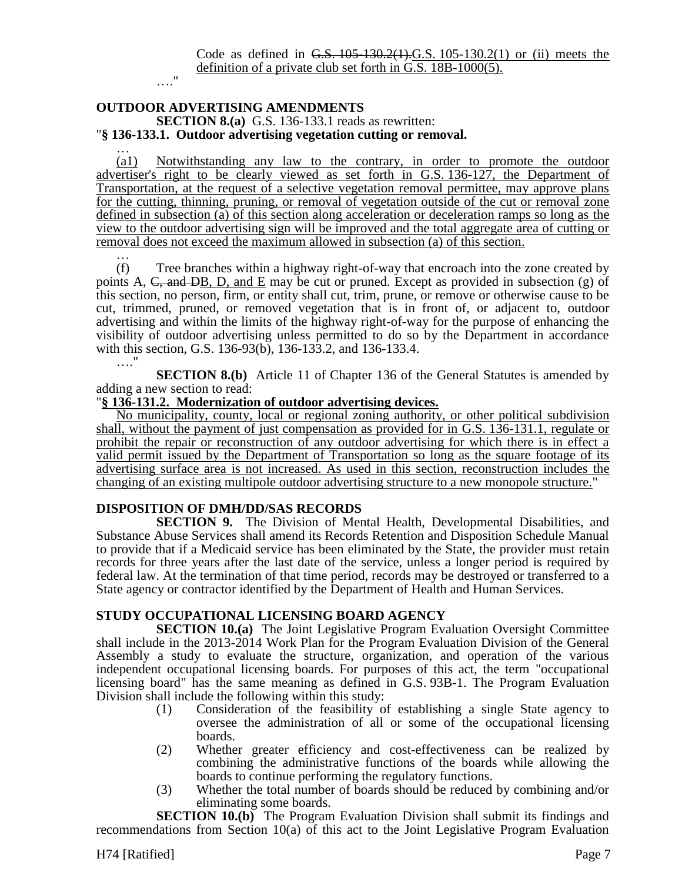#### **OUTDOOR ADVERTISING AMENDMENTS SECTION 8.(a)** G.S. 136-133.1 reads as rewritten: "**§ 136-133.1. Outdoor advertising vegetation cutting or removal.**

…."

… (a1) Notwithstanding any law to the contrary, in order to promote the outdoor advertiser's right to be clearly viewed as set forth in G.S. 136-127, the Department of Transportation, at the request of a selective vegetation removal permittee, may approve plans for the cutting, thinning, pruning, or removal of vegetation outside of the cut or removal zone defined in subsection (a) of this section along acceleration or deceleration ramps so long as the view to the outdoor advertising sign will be improved and the total aggregate area of cutting or removal does not exceed the maximum allowed in subsection (a) of this section.

… (f) Tree branches within a highway right-of-way that encroach into the zone created by points A,  $\overline{C}$ , and  $\overline{DB}$ , D, and E may be cut or pruned. Except as provided in subsection (g) of this section, no person, firm, or entity shall cut, trim, prune, or remove or otherwise cause to be cut, trimmed, pruned, or removed vegetation that is in front of, or adjacent to, outdoor advertising and within the limits of the highway right-of-way for the purpose of enhancing the visibility of outdoor advertising unless permitted to do so by the Department in accordance with this section, G.S. 136-93(b), 136-133.2, and 136-133.4. …"

**SECTION 8.(b)** Article 11 of Chapter 136 of the General Statutes is amended by adding a new section to read:

# "**§ 136-131.2. Modernization of outdoor advertising devices.**

No municipality, county, local or regional zoning authority, or other political subdivision shall, without the payment of just compensation as provided for in G.S. 136-131.1, regulate or prohibit the repair or reconstruction of any outdoor advertising for which there is in effect a valid permit issued by the Department of Transportation so long as the square footage of its advertising surface area is not increased. As used in this section, reconstruction includes the changing of an existing multipole outdoor advertising structure to a new monopole structure."

# **DISPOSITION OF DMH/DD/SAS RECORDS**

**SECTION 9.** The Division of Mental Health, Developmental Disabilities, and Substance Abuse Services shall amend its Records Retention and Disposition Schedule Manual to provide that if a Medicaid service has been eliminated by the State, the provider must retain records for three years after the last date of the service, unless a longer period is required by federal law. At the termination of that time period, records may be destroyed or transferred to a State agency or contractor identified by the Department of Health and Human Services.

# **STUDY OCCUPATIONAL LICENSING BOARD AGENCY**

**SECTION 10.(a)** The Joint Legislative Program Evaluation Oversight Committee shall include in the 2013-2014 Work Plan for the Program Evaluation Division of the General Assembly a study to evaluate the structure, organization, and operation of the various independent occupational licensing boards. For purposes of this act, the term "occupational licensing board" has the same meaning as defined in G.S. 93B-1. The Program Evaluation Division shall include the following within this study:

- (1) Consideration of the feasibility of establishing a single State agency to oversee the administration of all or some of the occupational licensing boards.
- (2) Whether greater efficiency and cost-effectiveness can be realized by combining the administrative functions of the boards while allowing the boards to continue performing the regulatory functions.
- (3) Whether the total number of boards should be reduced by combining and/or eliminating some boards.

**SECTION 10.(b)** The Program Evaluation Division shall submit its findings and recommendations from Section 10(a) of this act to the Joint Legislative Program Evaluation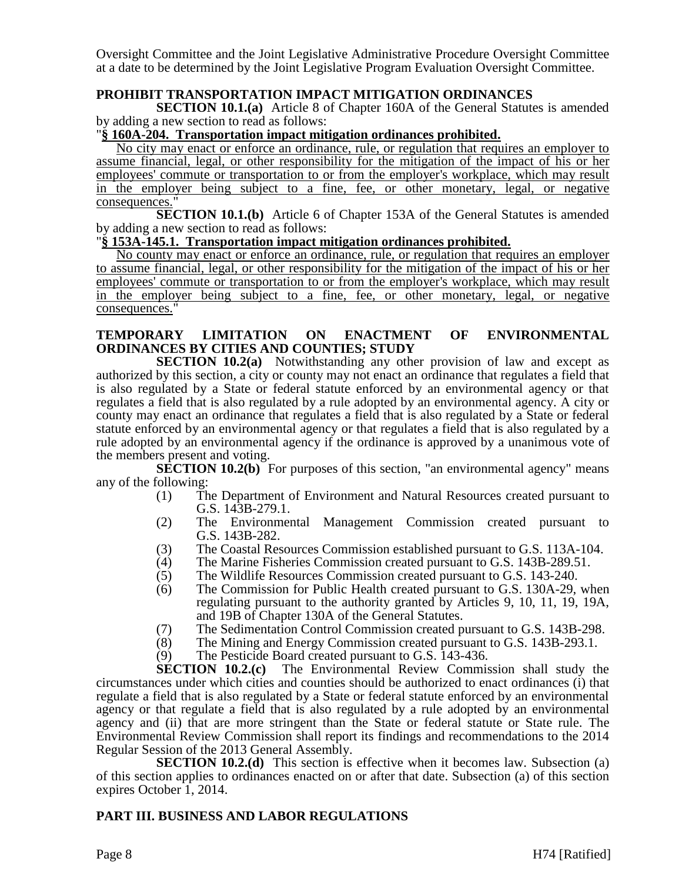Oversight Committee and the Joint Legislative Administrative Procedure Oversight Committee at a date to be determined by the Joint Legislative Program Evaluation Oversight Committee.

# **PROHIBIT TRANSPORTATION IMPACT MITIGATION ORDINANCES**

**SECTION 10.1.(a)** Article 8 of Chapter 160A of the General Statutes is amended by adding a new section to read as follows:

# "**§ 160A-204. Transportation impact mitigation ordinances prohibited.**

No city may enact or enforce an ordinance, rule, or regulation that requires an employer to assume financial, legal, or other responsibility for the mitigation of the impact of his or her employees' commute or transportation to or from the employer's workplace, which may result in the employer being subject to a fine, fee, or other monetary, legal, or negative consequences."

**SECTION 10.1.(b)** Article 6 of Chapter 153A of the General Statutes is amended by adding a new section to read as follows:

# "**§ 153A-145.1. Transportation impact mitigation ordinances prohibited.**

No county may enact or enforce an ordinance, rule, or regulation that requires an employer to assume financial, legal, or other responsibility for the mitigation of the impact of his or her employees' commute or transportation to or from the employer's workplace, which may result in the employer being subject to a fine, fee, or other monetary, legal, or negative consequences."

# **TEMPORARY LIMITATION ON ENACTMENT OF ENVIRONMENTAL ORDINANCES BY CITIES AND COUNTIES; STUDY**

**SECTION 10.2(a)** Notwithstanding any other provision of law and except as authorized by this section, a city or county may not enact an ordinance that regulates a field that is also regulated by a State or federal statute enforced by an environmental agency or that regulates a field that is also regulated by a rule adopted by an environmental agency. A city or county may enact an ordinance that regulates a field that is also regulated by a State or federal statute enforced by an environmental agency or that regulates a field that is also regulated by a rule adopted by an environmental agency if the ordinance is approved by a unanimous vote of the members present and voting.

**SECTION 10.2(b)** For purposes of this section, "an environmental agency" means any of the following:

- (1) The Department of Environment and Natural Resources created pursuant to G.S. 143B-279.1.
- (2) The Environmental Management Commission created pursuant to G.S. 143B-282.
- (3) The Coastal Resources Commission established pursuant to G.S. 113A-104.
- (4) The Marine Fisheries Commission created pursuant to G.S. 143B-289.51.<br>(5) The Wildlife Resources Commission created pursuant to G.S. 143-240.
- The Wildlife Resources Commission created pursuant to G.S. 143-240.
- (6) The Commission for Public Health created pursuant to G.S. 130A-29, when regulating pursuant to the authority granted by Articles 9, 10, 11, 19, 19A, and 19B of Chapter 130A of the General Statutes.
- (7) The Sedimentation Control Commission created pursuant to G.S. 143B-298.<br>(8) The Mining and Energy Commission created pursuant to G.S. 143B-293.1.
- The Mining and Energy Commission created pursuant to G.S. 143B-293.1.
- (9) The Pesticide Board created pursuant to G.S. 143-436.

**SECTION 10.2.(c)** The Environmental Review Commission shall study the circumstances under which cities and counties should be authorized to enact ordinances (i) that regulate a field that is also regulated by a State or federal statute enforced by an environmental agency or that regulate a field that is also regulated by a rule adopted by an environmental agency and (ii) that are more stringent than the State or federal statute or State rule. The Environmental Review Commission shall report its findings and recommendations to the 2014 Regular Session of the 2013 General Assembly.

**SECTION 10.2.(d)** This section is effective when it becomes law. Subsection (a) of this section applies to ordinances enacted on or after that date. Subsection (a) of this section expires October 1, 2014.

# **PART III. BUSINESS AND LABOR REGULATIONS**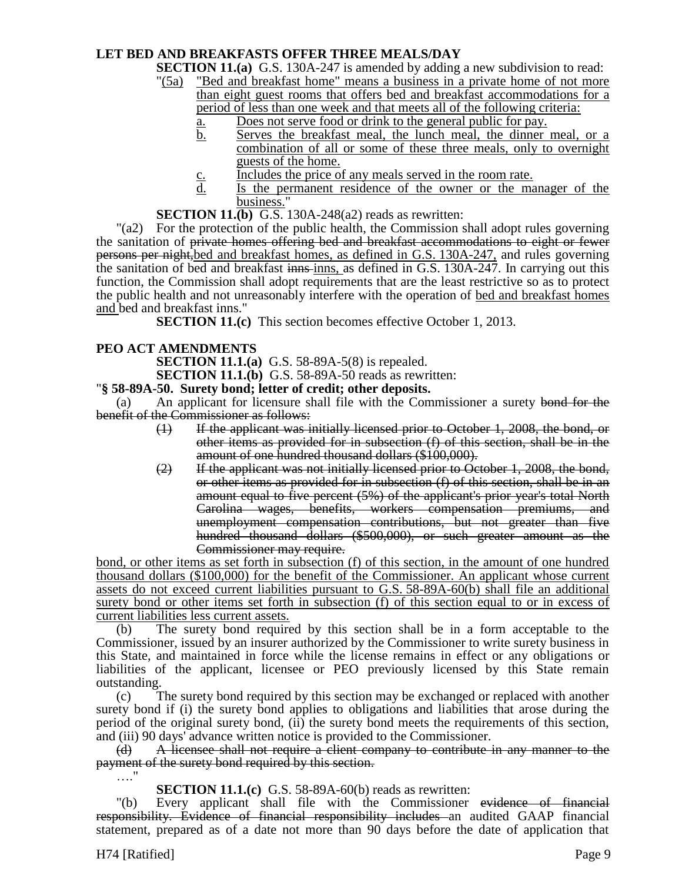# **LET BED AND BREAKFASTS OFFER THREE MEALS/DAY**

**SECTION 11.(a)** G.S. 130A-247 is amended by adding a new subdivision to read:

- "(5a) "Bed and breakfast home" means a business in a private home of not more than eight guest rooms that offers bed and breakfast accommodations for a period of less than one week and that meets all of the following criteria:
	- a. Does not serve food or drink to the general public for pay.
	- b. Serves the breakfast meal, the lunch meal, the dinner meal, or a combination of all or some of these three meals, only to overnight guests of the home.
	- c. Includes the price of any meals served in the room rate.
	- d. Is the permanent residence of the owner or the manager of the business."
- **SECTION 11.(b)** G.S. 130A-248(a2) reads as rewritten:

"(a2) For the protection of the public health, the Commission shall adopt rules governing the sanitation of private homes offering bed and breakfast accommodations to eight or fewer persons per night,bed and breakfast homes, as defined in G.S. 130A-247, and rules governing the sanitation of bed and breakfast innsies, as defined in G.S. 130A-247. In carrying out this function, the Commission shall adopt requirements that are the least restrictive so as to protect the public health and not unreasonably interfere with the operation of bed and breakfast homes and bed and breakfast inns."

**SECTION 11.(c)** This section becomes effective October 1, 2013.

# **PEO ACT AMENDMENTS**

**SECTION 11.1.(a)** G.S. 58-89A-5(8) is repealed.

**SECTION 11.1.(b)** G.S. 58-89A-50 reads as rewritten:

"**§ 58-89A-50. Surety bond; letter of credit; other deposits.**

(a) An applicant for licensure shall file with the Commissioner a surety bond for the benefit of the Commissioner as follows:

- (1) If the applicant was initially licensed prior to October 1, 2008, the bond, or other items as provided for in subsection (f) of this section, shall be in the amount of one hundred thousand dollars (\$100,000).
- $(2)$  If the applicant was not initially licensed prior to October 1, 2008, the bond, or other items as provided for in subsection (f) of this section, shall be in an amount equal to five percent (5%) of the applicant's prior year's total North Carolina wages, benefits, workers compensation premiums, and unemployment compensation contributions, but not greater than five hundred thousand dollars (\$500,000), or such greater amount as the Commissioner may require.

bond, or other items as set forth in subsection (f) of this section, in the amount of one hundred thousand dollars (\$100,000) for the benefit of the Commissioner. An applicant whose current assets do not exceed current liabilities pursuant to G.S. 58-89A-60(b) shall file an additional surety bond or other items set forth in subsection (f) of this section equal to or in excess of current liabilities less current assets.

(b) The surety bond required by this section shall be in a form acceptable to the Commissioner, issued by an insurer authorized by the Commissioner to write surety business in this State, and maintained in force while the license remains in effect or any obligations or liabilities of the applicant, licensee or PEO previously licensed by this State remain outstanding.

(c) The surety bond required by this section may be exchanged or replaced with another surety bond if (i) the surety bond applies to obligations and liabilities that arose during the period of the original surety bond, (ii) the surety bond meets the requirements of this section, and (iii) 90 days' advance written notice is provided to the Commissioner.

(d) A licensee shall not require a client company to contribute in any manner to the payment of the surety bond required by this section.

**SECTION 11.1.(c)** G.S. 58-89A-60(b) reads as rewritten:

"(b) Every applicant shall file with the Commissioner evidence of financial responsibility. Evidence of financial responsibility includes an audited GAAP financial statement, prepared as of a date not more than 90 days before the date of application that

…."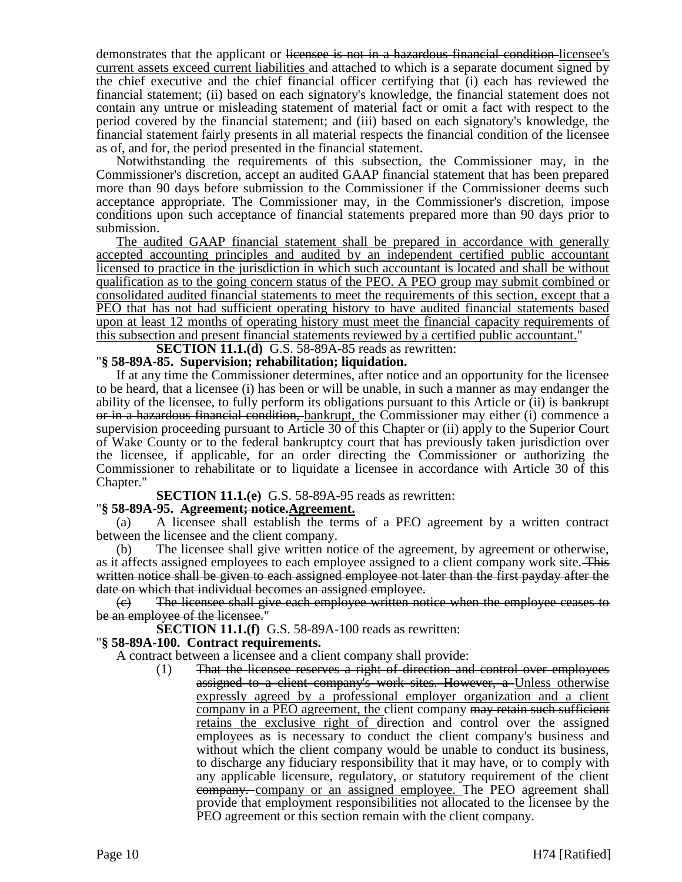demonstrates that the applicant or licensee is not in a hazardous financial condition licensee's current assets exceed current liabilities and attached to which is a separate document signed by the chief executive and the chief financial officer certifying that (i) each has reviewed the financial statement; (ii) based on each signatory's knowledge, the financial statement does not contain any untrue or misleading statement of material fact or omit a fact with respect to the period covered by the financial statement; and (iii) based on each signatory's knowledge, the financial statement fairly presents in all material respects the financial condition of the licensee as of, and for, the period presented in the financial statement.

Notwithstanding the requirements of this subsection, the Commissioner may, in the Commissioner's discretion, accept an audited GAAP financial statement that has been prepared more than 90 days before submission to the Commissioner if the Commissioner deems such acceptance appropriate. The Commissioner may, in the Commissioner's discretion, impose conditions upon such acceptance of financial statements prepared more than 90 days prior to submission.

The audited GAAP financial statement shall be prepared in accordance with generally accepted accounting principles and audited by an independent certified public accountant licensed to practice in the jurisdiction in which such accountant is located and shall be without qualification as to the going concern status of the PEO. A PEO group may submit combined or consolidated audited financial statements to meet the requirements of this section, except that a PEO that has not had sufficient operating history to have audited financial statements based upon at least 12 months of operating history must meet the financial capacity requirements of this subsection and present financial statements reviewed by a certified public accountant."

# **SECTION 11.1.(d)** G.S. 58-89A-85 reads as rewritten:

# "**§ 58-89A-85. Supervision; rehabilitation; liquidation.**

If at any time the Commissioner determines, after notice and an opportunity for the licensee to be heard, that a licensee (i) has been or will be unable, in such a manner as may endanger the ability of the licensee, to fully perform its obligations pursuant to this Article or (ii) is bankrupt or in a hazardous financial condition, bankrupt, the Commissioner may either (i) commence a supervision proceeding pursuant to Article 30 of this Chapter or (ii) apply to the Superior Court of Wake County or to the federal bankruptcy court that has previously taken jurisdiction over the licensee, if applicable, for an order directing the Commissioner or authorizing the Commissioner to rehabilitate or to liquidate a licensee in accordance with Article 30 of this Chapter."

**SECTION 11.1.(e)** G.S. 58-89A-95 reads as rewritten:

# "**§ 58-89A-95. Agreement; notice.Agreement.**

(a) A licensee shall establish the terms of a PEO agreement by a written contract between the licensee and the client company.

(b) The licensee shall give written notice of the agreement, by agreement or otherwise, as it affects assigned employees to each employee assigned to a client company work site. This written notice shall be given to each assigned employee not later than the first payday after the date on which that individual becomes an assigned employee.

(c) The licensee shall give each employee written notice when the employee ceases to be an employee of the licensee."

**SECTION 11.1.(f)** G.S. 58-89A-100 reads as rewritten:

# "**§ 58-89A-100. Contract requirements.**

A contract between a licensee and a client company shall provide:

(1) That the licensee reserves a right of direction and control over employees assigned to a client company's work sites. However, a Unless otherwise expressly agreed by a professional employer organization and a client company in a PEO agreement, the client company may retain such sufficient retains the exclusive right of direction and control over the assigned employees as is necessary to conduct the client company's business and without which the client company would be unable to conduct its business, to discharge any fiduciary responsibility that it may have, or to comply with any applicable licensure, regulatory, or statutory requirement of the client company. company or an assigned employee. The PEO agreement shall provide that employment responsibilities not allocated to the licensee by the PEO agreement or this section remain with the client company.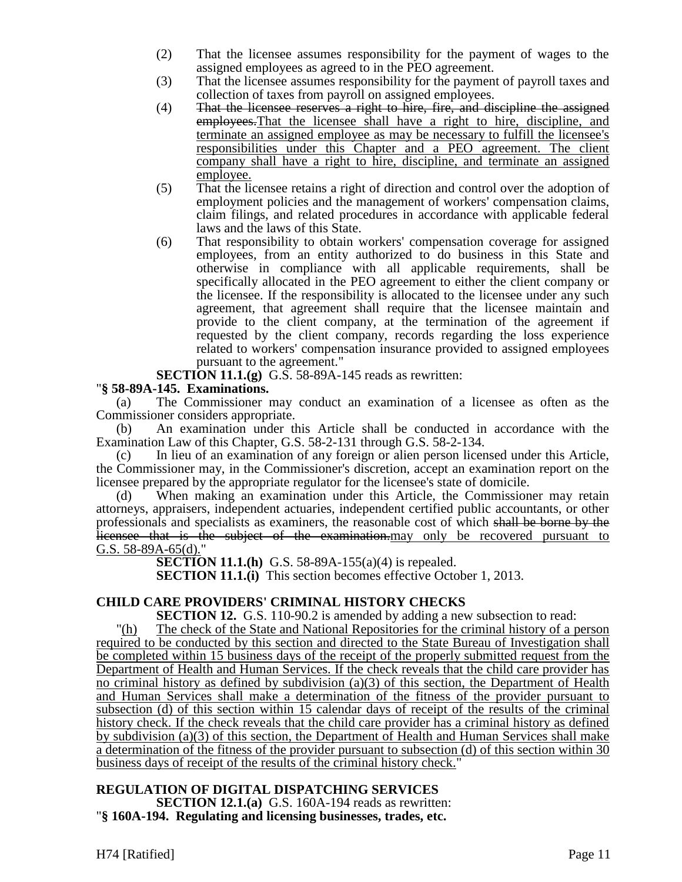- (2) That the licensee assumes responsibility for the payment of wages to the assigned employees as agreed to in the PEO agreement.
- (3) That the licensee assumes responsibility for the payment of payroll taxes and collection of taxes from payroll on assigned employees.
- $(4)$  That the licensee reserves a right to hire, fire, and discipline the assigned employees.That the licensee shall have a right to hire, discipline, and terminate an assigned employee as may be necessary to fulfill the licensee's responsibilities under this Chapter and a PEO agreement. The client company shall have a right to hire, discipline, and terminate an assigned employee.
- (5) That the licensee retains a right of direction and control over the adoption of employment policies and the management of workers' compensation claims, claim filings, and related procedures in accordance with applicable federal laws and the laws of this State.
- (6) That responsibility to obtain workers' compensation coverage for assigned employees, from an entity authorized to do business in this State and otherwise in compliance with all applicable requirements, shall be specifically allocated in the PEO agreement to either the client company or the licensee. If the responsibility is allocated to the licensee under any such agreement, that agreement shall require that the licensee maintain and provide to the client company, at the termination of the agreement if requested by the client company, records regarding the loss experience related to workers' compensation insurance provided to assigned employees pursuant to the agreement."

**SECTION 11.1.(g)** G.S. 58-89A-145 reads as rewritten:

# "**§ 58-89A-145. Examinations.**

(a) The Commissioner may conduct an examination of a licensee as often as the Commissioner considers appropriate.

(b) An examination under this Article shall be conducted in accordance with the Examination Law of this Chapter, G.S. 58-2-131 through G.S. 58-2-134.

(c) In lieu of an examination of any foreign or alien person licensed under this Article, the Commissioner may, in the Commissioner's discretion, accept an examination report on the licensee prepared by the appropriate regulator for the licensee's state of domicile.

(d) When making an examination under this Article, the Commissioner may retain attorneys, appraisers, independent actuaries, independent certified public accountants, or other professionals and specialists as examiners, the reasonable cost of which shall be borne by the licensee that is the subject of the examination may only be recovered pursuant to G.S. 58-89A-65(d)."

**SECTION 11.1.(h)** G.S. 58-89A-155(a)(4) is repealed.

**SECTION 11.1.(i)** This section becomes effective October 1, 2013.

# **CHILD CARE PROVIDERS' CRIMINAL HISTORY CHECKS**

**SECTION 12.** G.S. 110-90.2 is amended by adding a new subsection to read:

"(h) The check of the State and National Repositories for the criminal history of a person required to be conducted by this section and directed to the State Bureau of Investigation shall be completed within 15 business days of the receipt of the properly submitted request from the Department of Health and Human Services. If the check reveals that the child care provider has no criminal history as defined by subdivision (a)(3) of this section, the Department of Health and Human Services shall make a determination of the fitness of the provider pursuant to subsection (d) of this section within 15 calendar days of receipt of the results of the criminal history check. If the check reveals that the child care provider has a criminal history as defined by subdivision (a)(3) of this section, the Department of Health and Human Services shall make a determination of the fitness of the provider pursuant to subsection (d) of this section within 30 business days of receipt of the results of the criminal history check."

# **REGULATION OF DIGITAL DISPATCHING SERVICES**

**SECTION 12.1.(a)** G.S. 160A-194 reads as rewritten: "**§ 160A-194. Regulating and licensing businesses, trades, etc.**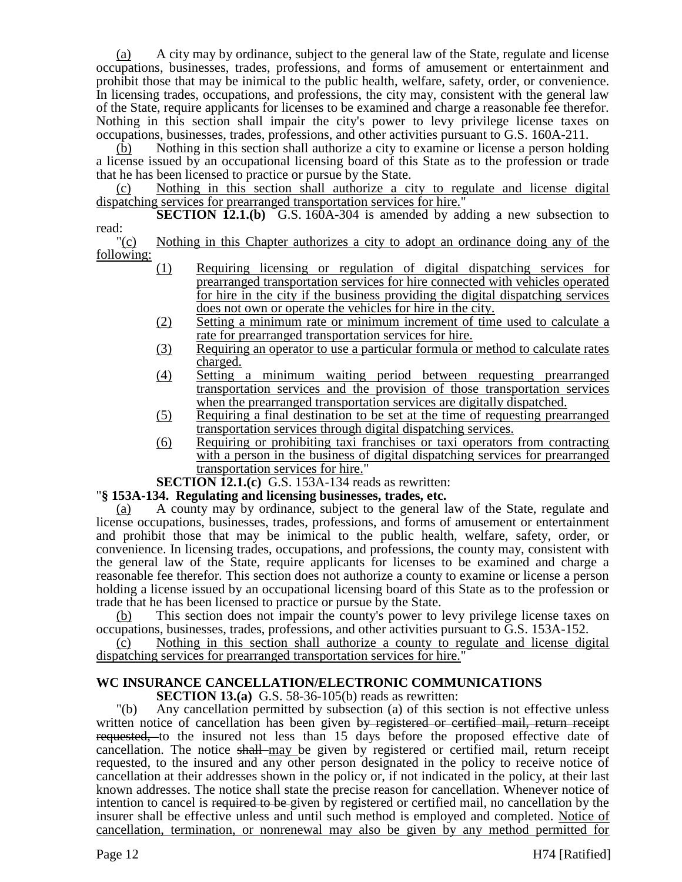(a) A city may by ordinance, subject to the general law of the State, regulate and license occupations, businesses, trades, professions, and forms of amusement or entertainment and prohibit those that may be inimical to the public health, welfare, safety, order, or convenience. In licensing trades, occupations, and professions, the city may, consistent with the general law of the State, require applicants for licenses to be examined and charge a reasonable fee therefor. Nothing in this section shall impair the city's power to levy privilege license taxes on occupations, businesses, trades, professions, and other activities pursuant to G.S. 160A-211.

(b) Nothing in this section shall authorize a city to examine or license a person holding a license issued by an occupational licensing board of this State as to the profession or trade that he has been licensed to practice or pursue by the State.

(c) Nothing in this section shall authorize a city to regulate and license digital dispatching services for prearranged transportation services for hire."

**SECTION 12.1.(b)** G.S. 160A-304 is amended by adding a new subsection to read:

"(c) Nothing in this Chapter authorizes a city to adopt an ordinance doing any of the following:

- (1) Requiring licensing or regulation of digital dispatching services for prearranged transportation services for hire connected with vehicles operated for hire in the city if the business providing the digital dispatching services does not own or operate the vehicles for hire in the city.
- (2) Setting a minimum rate or minimum increment of time used to calculate a rate for prearranged transportation services for hire.
- (3) Requiring an operator to use a particular formula or method to calculate rates charged.
- (4) Setting a minimum waiting period between requesting prearranged transportation services and the provision of those transportation services when the prearranged transportation services are digitally dispatched.
- (5) Requiring a final destination to be set at the time of requesting prearranged transportation services through digital dispatching services.
- (6) Requiring or prohibiting taxi franchises or taxi operators from contracting with a person in the business of digital dispatching services for prearranged transportation services for hire."
- **SECTION 12.1.(c)** G.S. 153A-134 reads as rewritten:

# "**§ 153A-134. Regulating and licensing businesses, trades, etc.**

(a) A county may by ordinance, subject to the general law of the State, regulate and license occupations, businesses, trades, professions, and forms of amusement or entertainment and prohibit those that may be inimical to the public health, welfare, safety, order, or convenience. In licensing trades, occupations, and professions, the county may, consistent with the general law of the State, require applicants for licenses to be examined and charge a reasonable fee therefor. This section does not authorize a county to examine or license a person holding a license issued by an occupational licensing board of this State as to the profession or trade that he has been licensed to practice or pursue by the State.

(b) This section does not impair the county's power to levy privilege license taxes on occupations, businesses, trades, professions, and other activities pursuant to G.S. 153A-152.

(c) Nothing in this section shall authorize a county to regulate and license digital dispatching services for prearranged transportation services for hire."

# **WC INSURANCE CANCELLATION/ELECTRONIC COMMUNICATIONS**

**SECTION 13.(a)** G.S. 58-36-105(b) reads as rewritten:

"(b) Any cancellation permitted by subsection (a) of this section is not effective unless written notice of cancellation has been given by registered or certified mail, return receipt requested, to the insured not less than 15 days before the proposed effective date of cancellation. The notice shall may be given by registered or certified mail, return receipt requested, to the insured and any other person designated in the policy to receive notice of cancellation at their addresses shown in the policy or, if not indicated in the policy, at their last known addresses. The notice shall state the precise reason for cancellation. Whenever notice of intention to cancel is required to be given by registered or certified mail, no cancellation by the insurer shall be effective unless and until such method is employed and completed. Notice of cancellation, termination, or nonrenewal may also be given by any method permitted for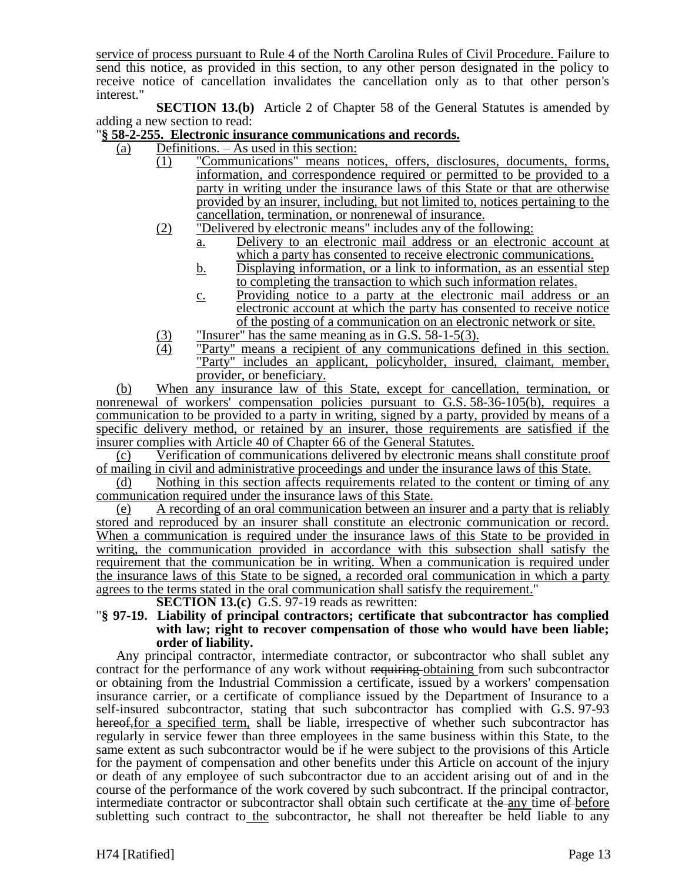service of process pursuant to Rule 4 of the North Carolina Rules of Civil Procedure. Failure to send this notice, as provided in this section, to any other person designated in the policy to receive notice of cancellation invalidates the cancellation only as to that other person's interest."

**SECTION 13.(b)** Article 2 of Chapter 58 of the General Statutes is amended by adding a new section to read:

# "**§ 58-2-255. Electronic insurance communications and records.**

- (a) Definitions. As used in this section:
	- (1) "Communications" means notices, offers, disclosures, documents, forms, information, and correspondence required or permitted to be provided to a party in writing under the insurance laws of this State or that are otherwise provided by an insurer, including, but not limited to, notices pertaining to the cancellation, termination, or nonrenewal of insurance.
	- (2) "Delivered by electronic means" includes any of the following:
		- a. Delivery to an electronic mail address or an electronic account at which a party has consented to receive electronic communications.
		- b. Displaying information, or a link to information, as an essential step to completing the transaction to which such information relates.
		- c. Providing notice to a party at the electronic mail address or an electronic account at which the party has consented to receive notice of the posting of a communication on an electronic network or site.
	- (3) "Insurer" has the same meaning as in G.S. 58-1-5(3).<br>
	"Party" means a recipient of any communications
	- "Party" means a recipient of any communications defined in this section. "Party" includes an applicant, policyholder, insured, claimant, member, provider, or beneficiary.

(b) When any insurance law of this State, except for cancellation, termination, or nonrenewal of workers' compensation policies pursuant to G.S. 58-36-105(b), requires a communication to be provided to a party in writing, signed by a party, provided by means of a specific delivery method, or retained by an insurer, those requirements are satisfied if the insurer complies with Article 40 of Chapter 66 of the General Statutes.

(c) Verification of communications delivered by electronic means shall constitute proof of mailing in civil and administrative proceedings and under the insurance laws of this State.

(d) Nothing in this section affects requirements related to the content or timing of any communication required under the insurance laws of this State.

A recording of an oral communication between an insurer and a party that is reliably stored and reproduced by an insurer shall constitute an electronic communication or record. When a communication is required under the insurance laws of this State to be provided in writing, the communication provided in accordance with this subsection shall satisfy the requirement that the communication be in writing. When a communication is required under the insurance laws of this State to be signed, a recorded oral communication in which a party agrees to the terms stated in the oral communication shall satisfy the requirement."

**SECTION 13.(c)** G.S. 97-19 reads as rewritten:

#### "**§ 97-19. Liability of principal contractors; certificate that subcontractor has complied with law; right to recover compensation of those who would have been liable; order of liability.**

Any principal contractor, intermediate contractor, or subcontractor who shall sublet any contract for the performance of any work without requiring obtaining from such subcontractor or obtaining from the Industrial Commission a certificate, issued by a workers' compensation insurance carrier, or a certificate of compliance issued by the Department of Insurance to a self-insured subcontractor, stating that such subcontractor has complied with G.S. 97-93 hereof, for a specified term, shall be liable, irrespective of whether such subcontractor has regularly in service fewer than three employees in the same business within this State, to the same extent as such subcontractor would be if he were subject to the provisions of this Article for the payment of compensation and other benefits under this Article on account of the injury or death of any employee of such subcontractor due to an accident arising out of and in the course of the performance of the work covered by such subcontract. If the principal contractor, intermediate contractor or subcontractor shall obtain such certificate at the any time of before subletting such contract to the subcontractor, he shall not thereafter be held liable to any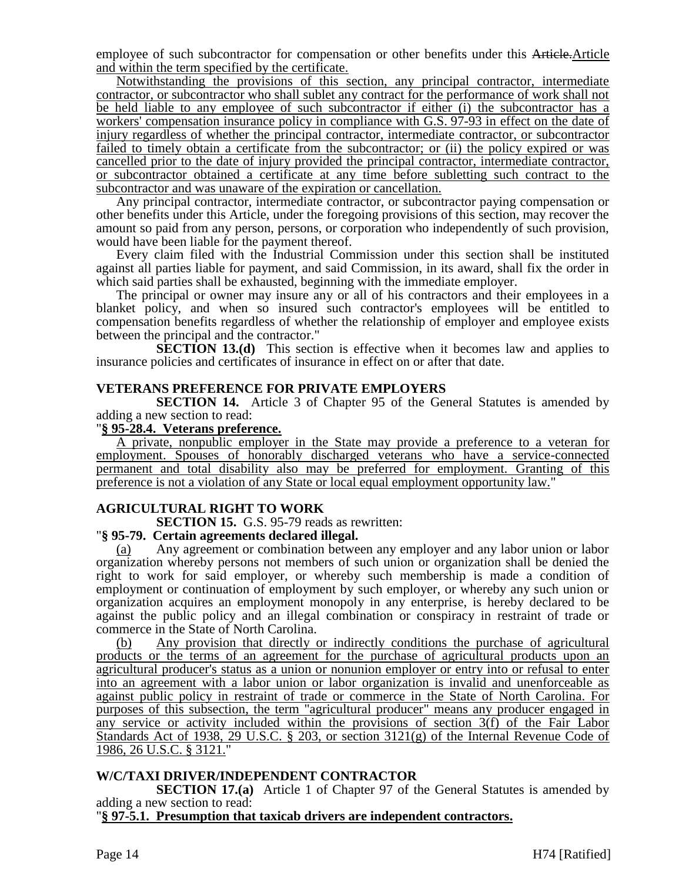employee of such subcontractor for compensation or other benefits under this Article.Article and within the term specified by the certificate.

Notwithstanding the provisions of this section, any principal contractor, intermediate contractor, or subcontractor who shall sublet any contract for the performance of work shall not be held liable to any employee of such subcontractor if either (i) the subcontractor has a workers' compensation insurance policy in compliance with G.S. 97-93 in effect on the date of injury regardless of whether the principal contractor, intermediate contractor, or subcontractor failed to timely obtain a certificate from the subcontractor; or (ii) the policy expired or was cancelled prior to the date of injury provided the principal contractor, intermediate contractor, or subcontractor obtained a certificate at any time before subletting such contract to the subcontractor and was unaware of the expiration or cancellation.

Any principal contractor, intermediate contractor, or subcontractor paying compensation or other benefits under this Article, under the foregoing provisions of this section, may recover the amount so paid from any person, persons, or corporation who independently of such provision, would have been liable for the payment thereof.

Every claim filed with the Industrial Commission under this section shall be instituted against all parties liable for payment, and said Commission, in its award, shall fix the order in which said parties shall be exhausted, beginning with the immediate employer.

The principal or owner may insure any or all of his contractors and their employees in a blanket policy, and when so insured such contractor's employees will be entitled to compensation benefits regardless of whether the relationship of employer and employee exists between the principal and the contractor."

**SECTION 13.(d)** This section is effective when it becomes law and applies to insurance policies and certificates of insurance in effect on or after that date.

# **VETERANS PREFERENCE FOR PRIVATE EMPLOYERS**

**SECTION 14.** Article 3 of Chapter 95 of the General Statutes is amended by adding a new section to read:

# "**§ 95-28.4. Veterans preference.**

A private, nonpublic employer in the State may provide a preference to a veteran for employment. Spouses of honorably discharged veterans who have a service-connected permanent and total disability also may be preferred for employment. Granting of this preference is not a violation of any State or local equal employment opportunity law."

# **AGRICULTURAL RIGHT TO WORK**

**SECTION 15.** G.S. 95-79 reads as rewritten:

# "**§ 95-79. Certain agreements declared illegal.**

Any agreement or combination between any employer and any labor union or labor organization whereby persons not members of such union or organization shall be denied the right to work for said employer, or whereby such membership is made a condition of employment or continuation of employment by such employer, or whereby any such union or organization acquires an employment monopoly in any enterprise, is hereby declared to be against the public policy and an illegal combination or conspiracy in restraint of trade or commerce in the State of North Carolina.

(b) Any provision that directly or indirectly conditions the purchase of agricultural products or the terms of an agreement for the purchase of agricultural products upon an agricultural producer's status as a union or nonunion employer or entry into or refusal to enter into an agreement with a labor union or labor organization is invalid and unenforceable as against public policy in restraint of trade or commerce in the State of North Carolina. For purposes of this subsection, the term "agricultural producer" means any producer engaged in any service or activity included within the provisions of section 3(f) of the Fair Labor Standards Act of 1938, 29 U.S.C. § 203, or section 3121(g) of the Internal Revenue Code of 1986, 26 U.S.C. § 3121."

# **W/C/TAXI DRIVER/INDEPENDENT CONTRACTOR**

**SECTION 17.(a)** Article 1 of Chapter 97 of the General Statutes is amended by adding a new section to read:

"**§ 97-5.1. Presumption that taxicab drivers are independent contractors.**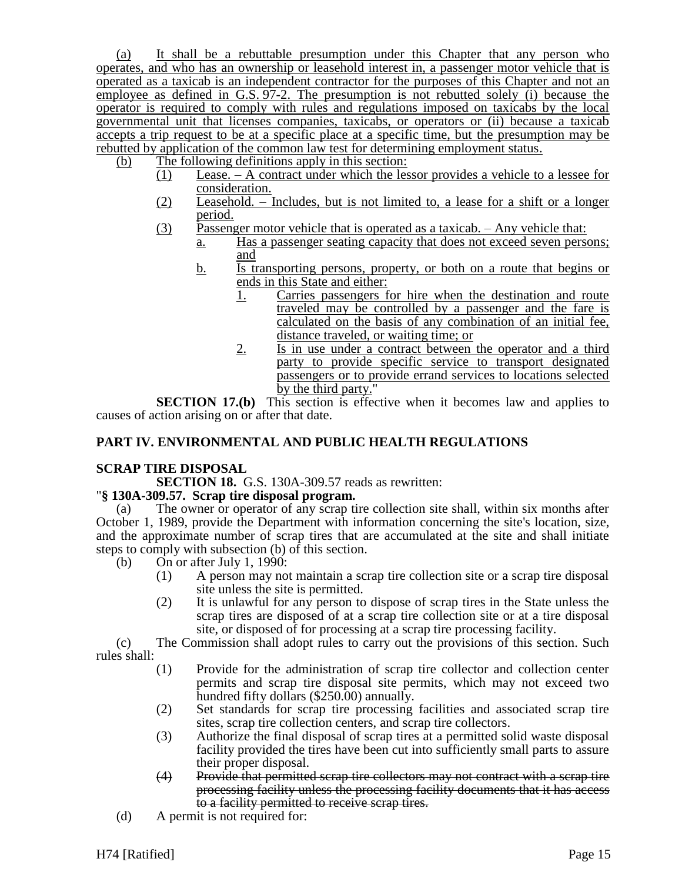(a) It shall be a rebuttable presumption under this Chapter that any person who operates, and who has an ownership or leasehold interest in, a passenger motor vehicle that is operated as a taxicab is an independent contractor for the purposes of this Chapter and not an employee as defined in G.S.  $97-2$ . The presumption is not rebutted solely (i) because the operator is required to comply with rules and regulations imposed on taxicabs by the local governmental unit that licenses companies, taxicabs, or operators or (ii) because a taxicab accepts a trip request to be at a specific place at a specific time, but the presumption may be rebutted by application of the common law test for determining employment status.

(b) The following definitions apply in this section:

- (1) Lease. A contract under which the lessor provides a vehicle to a lessee for consideration.
- $(2)$  Leasehold. Includes, but is not limited to, a lease for a shift or a longer period.
- (3) Passenger motor vehicle that is operated as a taxicab.  $-$  Any vehicle that:
	- a. Has a passenger seating capacity that does not exceed seven persons; and
	- b. Is transporting persons, property, or both on a route that begins or ends in this State and either:
		- 1. Carries passengers for hire when the destination and route traveled may be controlled by a passenger and the fare is calculated on the basis of any combination of an initial fee, distance traveled, or waiting time; or
		- 2. Is in use under a contract between the operator and a third party to provide specific service to transport designated passengers or to provide errand services to locations selected by the third party.'

**SECTION 17.(b)** This section is effective when it becomes law and applies to causes of action arising on or after that date.

# **PART IV. ENVIRONMENTAL AND PUBLIC HEALTH REGULATIONS**

# **SCRAP TIRE DISPOSAL**

**SECTION 18.** G.S. 130A-309.57 reads as rewritten:

# "**§ 130A-309.57. Scrap tire disposal program.**

(a) The owner or operator of any scrap tire collection site shall, within six months after October 1, 1989, provide the Department with information concerning the site's location, size, and the approximate number of scrap tires that are accumulated at the site and shall initiate steps to comply with subsection (b) of this section.

- (b) On or after July 1, 1990:
	- (1) A person may not maintain a scrap tire collection site or a scrap tire disposal site unless the site is permitted.
	- (2) It is unlawful for any person to dispose of scrap tires in the State unless the scrap tires are disposed of at a scrap tire collection site or at a tire disposal site, or disposed of for processing at a scrap tire processing facility.

(c) The Commission shall adopt rules to carry out the provisions of this section. Such rules shall:

- (1) Provide for the administration of scrap tire collector and collection center permits and scrap tire disposal site permits, which may not exceed two hundred fifty dollars (\$250.00) annually.
- (2) Set standards for scrap tire processing facilities and associated scrap tire sites, scrap tire collection centers, and scrap tire collectors.
- (3) Authorize the final disposal of scrap tires at a permitted solid waste disposal facility provided the tires have been cut into sufficiently small parts to assure their proper disposal.
- (4) Provide that permitted scrap tire collectors may not contract with a scrap tire processing facility unless the processing facility documents that it has access to a facility permitted to receive scrap tires.
- (d) A permit is not required for: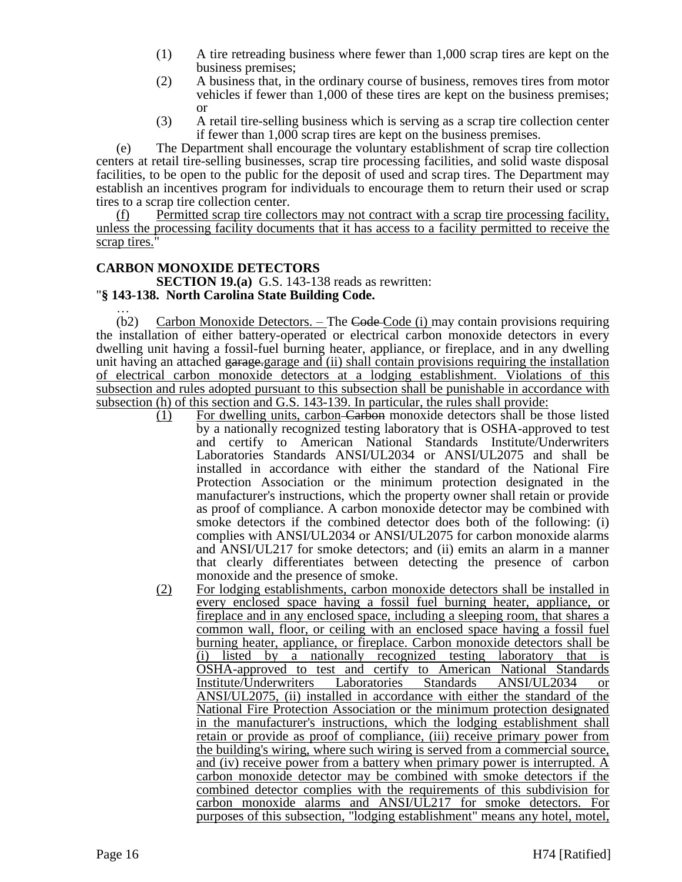- (1) A tire retreading business where fewer than 1,000 scrap tires are kept on the business premises;
- (2) A business that, in the ordinary course of business, removes tires from motor vehicles if fewer than 1,000 of these tires are kept on the business premises; or
- (3) A retail tire-selling business which is serving as a scrap tire collection center if fewer than 1,000 scrap tires are kept on the business premises.

(e) The Department shall encourage the voluntary establishment of scrap tire collection centers at retail tire-selling businesses, scrap tire processing facilities, and solid waste disposal facilities, to be open to the public for the deposit of used and scrap tires. The Department may establish an incentives program for individuals to encourage them to return their used or scrap tires to a scrap tire collection center.

Permitted scrap tire collectors may not contract with a scrap tire processing facility, unless the processing facility documents that it has access to a facility permitted to receive the scrap tires."

# **CARBON MONOXIDE DETECTORS**

**SECTION 19.(a)** G.S. 143-138 reads as rewritten:

# "**§ 143-138. North Carolina State Building Code.**

… (b2) Carbon Monoxide Detectors. – The Code-Code (i) may contain provisions requiring the installation of either battery-operated or electrical carbon monoxide detectors in every dwelling unit having a fossil-fuel burning heater, appliance, or fireplace, and in any dwelling unit having an attached garage-garage and (ii) shall contain provisions requiring the installation of electrical carbon monoxide detectors at a lodging establishment. Violations of this subsection and rules adopted pursuant to this subsection shall be punishable in accordance with subsection (h) of this section and G.S. 143-139. In particular, the rules shall provide:

- (1) For dwelling units, carbon Carbon monoxide detectors shall be those listed by a nationally recognized testing laboratory that is OSHA-approved to test and certify to American National Standards Institute/Underwriters Laboratories Standards ANSI/UL2034 or ANSI/UL2075 and shall be installed in accordance with either the standard of the National Fire Protection Association or the minimum protection designated in the manufacturer's instructions, which the property owner shall retain or provide as proof of compliance. A carbon monoxide detector may be combined with smoke detectors if the combined detector does both of the following: (i) complies with ANSI/UL2034 or ANSI/UL2075 for carbon monoxide alarms and ANSI/UL217 for smoke detectors; and (ii) emits an alarm in a manner that clearly differentiates between detecting the presence of carbon monoxide and the presence of smoke.
- (2) For lodging establishments, carbon monoxide detectors shall be installed in every enclosed space having a fossil fuel burning heater, appliance, or fireplace and in any enclosed space, including a sleeping room, that shares a common wall, floor, or ceiling with an enclosed space having a fossil fuel burning heater, appliance, or fireplace. Carbon monoxide detectors shall be (i) listed by a nationally recognized testing laboratory that is OSHA-approved to test and certify to American National Standards Institute/Underwriters Laboratories Standards ANSI/UL2034 or ANSI/UL2075, (ii) installed in accordance with either the standard of the National Fire Protection Association or the minimum protection designated in the manufacturer's instructions, which the lodging establishment shall retain or provide as proof of compliance, (iii) receive primary power from the building's wiring, where such wiring is served from a commercial source, and (iv) receive power from a battery when primary power is interrupted. A carbon monoxide detector may be combined with smoke detectors if the combined detector complies with the requirements of this subdivision for carbon monoxide alarms and ANSI/UL217 for smoke detectors. For purposes of this subsection, "lodging establishment" means any hotel, motel,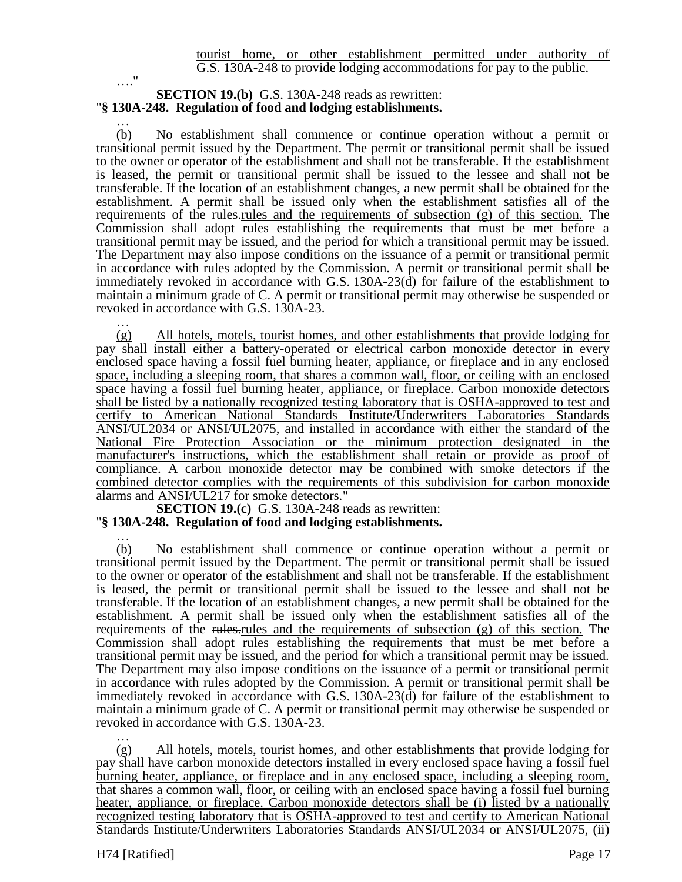# …." **SECTION 19.(b)** G.S. 130A-248 reads as rewritten: "**§ 130A-248. Regulation of food and lodging establishments.**

… (b) No establishment shall commence or continue operation without a permit or transitional permit issued by the Department. The permit or transitional permit shall be issued to the owner or operator of the establishment and shall not be transferable. If the establishment is leased, the permit or transitional permit shall be issued to the lessee and shall not be transferable. If the location of an establishment changes, a new permit shall be obtained for the establishment. A permit shall be issued only when the establishment satisfies all of the requirements of the rules. The requirements of subsection  $(g)$  of this section. The Commission shall adopt rules establishing the requirements that must be met before a transitional permit may be issued, and the period for which a transitional permit may be issued. The Department may also impose conditions on the issuance of a permit or transitional permit in accordance with rules adopted by the Commission. A permit or transitional permit shall be immediately revoked in accordance with G.S. 130A-23(d) for failure of the establishment to maintain a minimum grade of C. A permit or transitional permit may otherwise be suspended or revoked in accordance with G.S. 130A-23.

… (g) All hotels, motels, tourist homes, and other establishments that provide lodging for pay shall install either a battery-operated or electrical carbon monoxide detector in every enclosed space having a fossil fuel burning heater, appliance, or fireplace and in any enclosed space, including a sleeping room, that shares a common wall, floor, or ceiling with an enclosed space having a fossil fuel burning heater, appliance, or fireplace. Carbon monoxide detectors shall be listed by a nationally recognized testing laboratory that is OSHA-approved to test and certify to American National Standards Institute/Underwriters Laboratories Standards ANSI/UL2034 or ANSI/UL2075, and installed in accordance with either the standard of the National Fire Protection Association or the minimum protection designated in the manufacturer's instructions, which the establishment shall retain or provide as proof of compliance. A carbon monoxide detector may be combined with smoke detectors if the combined detector complies with the requirements of this subdivision for carbon monoxide alarms and ANSI/UL217 for smoke detectors."

**SECTION 19.(c)** G.S. 130A-248 reads as rewritten: "**§ 130A-248. Regulation of food and lodging establishments.**

… (b) No establishment shall commence or continue operation without a permit or transitional permit issued by the Department. The permit or transitional permit shall be issued to the owner or operator of the establishment and shall not be transferable. If the establishment is leased, the permit or transitional permit shall be issued to the lessee and shall not be transferable. If the location of an establishment changes, a new permit shall be obtained for the establishment. A permit shall be issued only when the establishment satisfies all of the requirements of the rules-rules and the requirements of subsection  $(g)$  of this section. The Commission shall adopt rules establishing the requirements that must be met before a transitional permit may be issued, and the period for which a transitional permit may be issued. The Department may also impose conditions on the issuance of a permit or transitional permit in accordance with rules adopted by the Commission. A permit or transitional permit shall be immediately revoked in accordance with G.S. 130A-23(d) for failure of the establishment to maintain a minimum grade of C. A permit or transitional permit may otherwise be suspended or revoked in accordance with G.S. 130A-23.

… (g) All hotels, motels, tourist homes, and other establishments that provide lodging for pay shall have carbon monoxide detectors installed in every enclosed space having a fossil fuel burning heater, appliance, or fireplace and in any enclosed space, including a sleeping room, that shares a common wall, floor, or ceiling with an enclosed space having a fossil fuel burning heater, appliance, or fireplace. Carbon monoxide detectors shall be (i) listed by a nationally recognized testing laboratory that is OSHA-approved to test and certify to American National Standards Institute/Underwriters Laboratories Standards ANSI/UL2034 or ANSI/UL2075, (ii)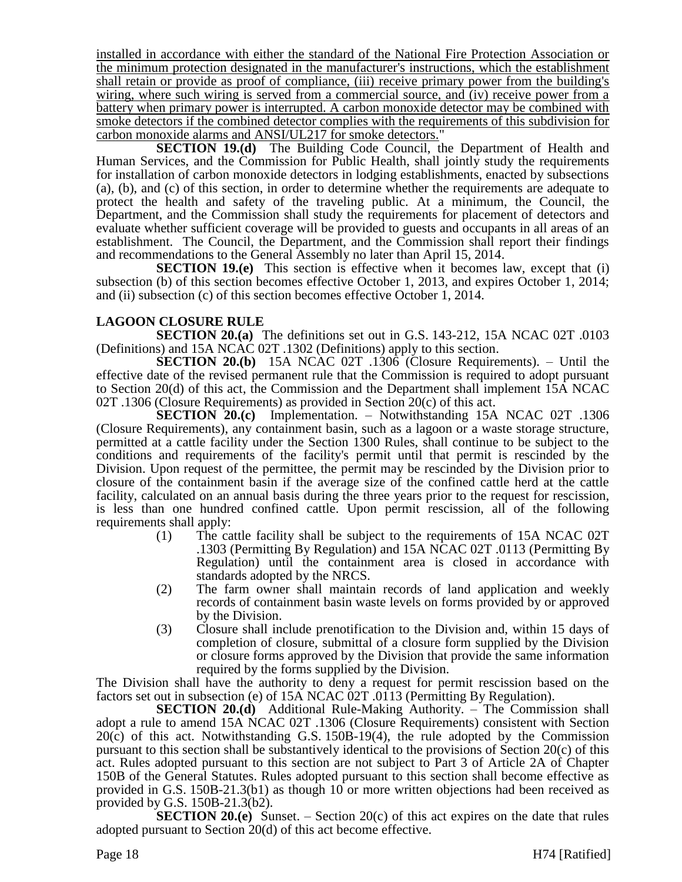installed in accordance with either the standard of the National Fire Protection Association or the minimum protection designated in the manufacturer's instructions, which the establishment shall retain or provide as proof of compliance, (iii) receive primary power from the building's wiring, where such wiring is served from a commercial source, and (iv) receive power from a battery when primary power is interrupted. A carbon monoxide detector may be combined with smoke detectors if the combined detector complies with the requirements of this subdivision for carbon monoxide alarms and ANSI/UL217 for smoke detectors."

**SECTION 19.(d)** The Building Code Council, the Department of Health and Human Services, and the Commission for Public Health, shall jointly study the requirements for installation of carbon monoxide detectors in lodging establishments, enacted by subsections (a), (b), and (c) of this section, in order to determine whether the requirements are adequate to protect the health and safety of the traveling public. At a minimum, the Council, the Department, and the Commission shall study the requirements for placement of detectors and evaluate whether sufficient coverage will be provided to guests and occupants in all areas of an establishment. The Council, the Department, and the Commission shall report their findings and recommendations to the General Assembly no later than April 15, 2014.

**SECTION 19.(e)** This section is effective when it becomes law, except that (i) subsection (b) of this section becomes effective October 1, 2013, and expires October 1, 2014; and (ii) subsection (c) of this section becomes effective October 1, 2014.

# **LAGOON CLOSURE RULE**

**SECTION 20.(a)** The definitions set out in G.S. 143-212, 15A NCAC 02T .0103 (Definitions) and 15A NCAC 02T .1302 (Definitions) apply to this section.

**SECTION 20.(b)** 15A NCAC 02T .1306 (Closure Requirements). – Until the effective date of the revised permanent rule that the Commission is required to adopt pursuant to Section 20(d) of this act, the Commission and the Department shall implement 15A NCAC 02T .1306 (Closure Requirements) as provided in Section 20(c) of this act.

**SECTION 20.(c)** Implementation. – Notwithstanding 15A NCAC 02T .1306 (Closure Requirements), any containment basin, such as a lagoon or a waste storage structure, permitted at a cattle facility under the Section 1300 Rules, shall continue to be subject to the conditions and requirements of the facility's permit until that permit is rescinded by the Division. Upon request of the permittee, the permit may be rescinded by the Division prior to closure of the containment basin if the average size of the confined cattle herd at the cattle facility, calculated on an annual basis during the three years prior to the request for rescission, is less than one hundred confined cattle. Upon permit rescission, all of the following requirements shall apply:

- (1) The cattle facility shall be subject to the requirements of 15A NCAC 02T .1303 (Permitting By Regulation) and 15A NCAC 02T .0113 (Permitting By Regulation) until the containment area is closed in accordance with standards adopted by the NRCS.
- (2) The farm owner shall maintain records of land application and weekly records of containment basin waste levels on forms provided by or approved by the Division.
- (3) Closure shall include prenotification to the Division and, within 15 days of completion of closure, submittal of a closure form supplied by the Division or closure forms approved by the Division that provide the same information required by the forms supplied by the Division.

The Division shall have the authority to deny a request for permit rescission based on the factors set out in subsection (e) of 15A NCAC 02T .0113 (Permitting By Regulation).

**SECTION 20.(d)** Additional Rule-Making Authority. – The Commission shall adopt a rule to amend 15A NCAC 02T .1306 (Closure Requirements) consistent with Section 20(c) of this act. Notwithstanding G.S. 150B-19(4), the rule adopted by the Commission pursuant to this section shall be substantively identical to the provisions of Section 20(c) of this act. Rules adopted pursuant to this section are not subject to Part 3 of Article 2A of Chapter 150B of the General Statutes. Rules adopted pursuant to this section shall become effective as provided in G.S. 150B-21.3(b1) as though 10 or more written objections had been received as provided by G.S. 150B-21.3(b2).

**SECTION 20.(e)** Sunset.  $-$  Section 20(c) of this act expires on the date that rules adopted pursuant to Section 20(d) of this act become effective.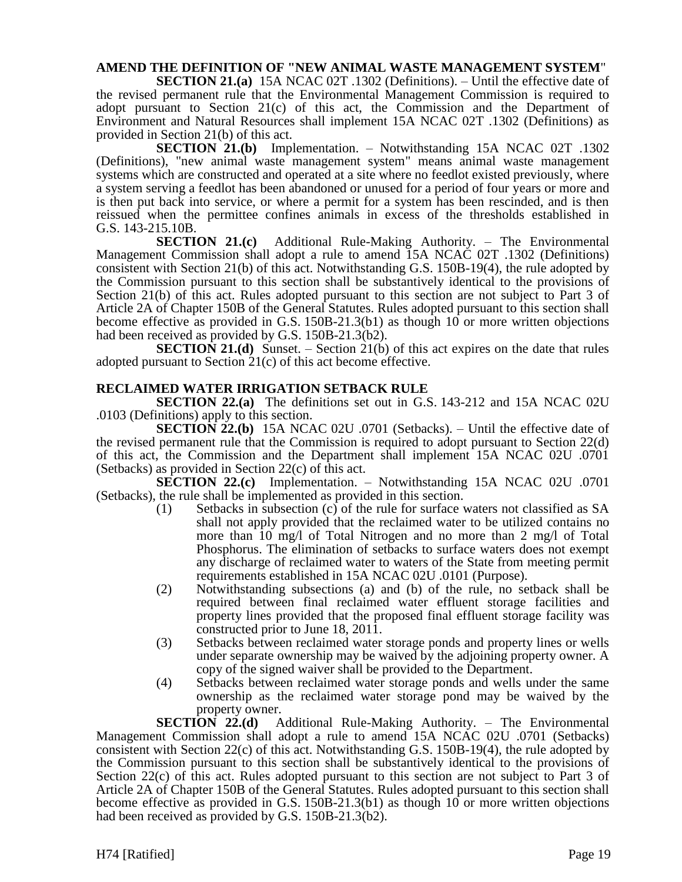# **AMEND THE DEFINITION OF "NEW ANIMAL WASTE MANAGEMENT SYSTEM**"

**SECTION 21.(a)** 15A NCAC 02T .1302 (Definitions). – Until the effective date of the revised permanent rule that the Environmental Management Commission is required to adopt pursuant to Section 21 $(c)$  of this act, the Commission and the Department of Environment and Natural Resources shall implement 15A NCAC 02T .1302 (Definitions) as provided in Section 21(b) of this act.

**SECTION 21.(b)** Implementation. – Notwithstanding 15A NCAC 02T .1302 (Definitions), "new animal waste management system" means animal waste management systems which are constructed and operated at a site where no feedlot existed previously, where a system serving a feedlot has been abandoned or unused for a period of four years or more and is then put back into service, or where a permit for a system has been rescinded, and is then reissued when the permittee confines animals in excess of the thresholds established in G.S. 143-215.10B.

**SECTION 21.(c)** Additional Rule-Making Authority. – The Environmental Management Commission shall adopt a rule to amend 15A NCAC 02T .1302 (Definitions) consistent with Section 21(b) of this act. Notwithstanding G.S. 150B-19(4), the rule adopted by the Commission pursuant to this section shall be substantively identical to the provisions of Section 21(b) of this act. Rules adopted pursuant to this section are not subject to Part 3 of Article 2A of Chapter 150B of the General Statutes. Rules adopted pursuant to this section shall become effective as provided in G.S. 150B-21.3(b1) as though 10 or more written objections had been received as provided by G.S. 150B-21.3(b2).

**SECTION 21.(d)** Sunset. – Section 21(b) of this act expires on the date that rules adopted pursuant to Section 21(c) of this act become effective.

# **RECLAIMED WATER IRRIGATION SETBACK RULE**

**SECTION 22.(a)** The definitions set out in G.S. 143-212 and 15A NCAC 02U .0103 (Definitions) apply to this section.

**SECTION 22.(b)** 15A NCAC 02U .0701 (Setbacks). – Until the effective date of the revised permanent rule that the Commission is required to adopt pursuant to Section 22(d) of this act, the Commission and the Department shall implement 15A NCAC 02U .0701 (Setbacks) as provided in Section 22(c) of this act.

**SECTION 22.(c)** Implementation. – Notwithstanding 15A NCAC 02U .0701 (Setbacks), the rule shall be implemented as provided in this section.

- (1) Setbacks in subsection (c) of the rule for surface waters not classified as SA shall not apply provided that the reclaimed water to be utilized contains no more than 10 mg/l of Total Nitrogen and no more than 2 mg/l of Total Phosphorus. The elimination of setbacks to surface waters does not exempt any discharge of reclaimed water to waters of the State from meeting permit requirements established in 15A NCAC 02U .0101 (Purpose).
- (2) Notwithstanding subsections (a) and (b) of the rule, no setback shall be required between final reclaimed water effluent storage facilities and property lines provided that the proposed final effluent storage facility was constructed prior to June 18, 2011.
- (3) Setbacks between reclaimed water storage ponds and property lines or wells under separate ownership may be waived by the adjoining property owner. A copy of the signed waiver shall be provided to the Department.
- (4) Setbacks between reclaimed water storage ponds and wells under the same ownership as the reclaimed water storage pond may be waived by the property owner.

**SECTION 22.(d)** Additional Rule-Making Authority. – The Environmental Management Commission shall adopt a rule to amend 15A NCAC 02U .0701 (Setbacks) consistent with Section 22(c) of this act. Notwithstanding G.S. 150B-19(4), the rule adopted by the Commission pursuant to this section shall be substantively identical to the provisions of Section 22(c) of this act. Rules adopted pursuant to this section are not subject to Part 3 of Article 2A of Chapter 150B of the General Statutes. Rules adopted pursuant to this section shall become effective as provided in G.S. 150B-21.3(b1) as though 10 or more written objections had been received as provided by G.S. 150B-21.3(b2).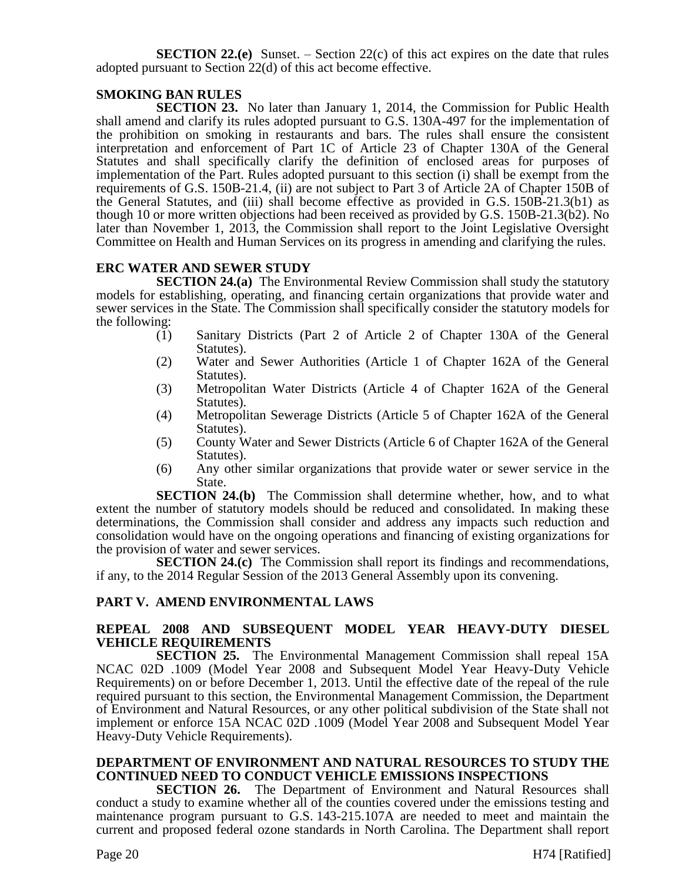**SECTION 22.(e)** Sunset. – Section 22(c) of this act expires on the date that rules adopted pursuant to Section 22(d) of this act become effective.

# **SMOKING BAN RULES**

**SECTION 23.** No later than January 1, 2014, the Commission for Public Health shall amend and clarify its rules adopted pursuant to G.S. 130A-497 for the implementation of the prohibition on smoking in restaurants and bars. The rules shall ensure the consistent interpretation and enforcement of Part 1C of Article 23 of Chapter 130A of the General Statutes and shall specifically clarify the definition of enclosed areas for purposes of implementation of the Part. Rules adopted pursuant to this section (i) shall be exempt from the requirements of G.S. 150B-21.4, (ii) are not subject to Part 3 of Article 2A of Chapter 150B of the General Statutes, and (iii) shall become effective as provided in G.S. 150B-21.3(b1) as though 10 or more written objections had been received as provided by G.S. 150B-21.3(b2). No later than November 1, 2013, the Commission shall report to the Joint Legislative Oversight Committee on Health and Human Services on its progress in amending and clarifying the rules.

# **ERC WATER AND SEWER STUDY**

**SECTION 24.(a)** The Environmental Review Commission shall study the statutory models for establishing, operating, and financing certain organizations that provide water and sewer services in the State. The Commission shall specifically consider the statutory models for the following:

- (1) Sanitary Districts (Part 2 of Article 2 of Chapter 130A of the General Statutes).
- (2) Water and Sewer Authorities (Article 1 of Chapter 162A of the General Statutes).
- (3) Metropolitan Water Districts (Article 4 of Chapter 162A of the General Statutes).
- (4) Metropolitan Sewerage Districts (Article 5 of Chapter 162A of the General Statutes).
- (5) County Water and Sewer Districts (Article 6 of Chapter 162A of the General Statutes).
- (6) Any other similar organizations that provide water or sewer service in the State.

**SECTION 24.(b)** The Commission shall determine whether, how, and to what extent the number of statutory models should be reduced and consolidated. In making these determinations, the Commission shall consider and address any impacts such reduction and consolidation would have on the ongoing operations and financing of existing organizations for the provision of water and sewer services.

**SECTION 24.(c)** The Commission shall report its findings and recommendations, if any, to the 2014 Regular Session of the 2013 General Assembly upon its convening.

# **PART V. AMEND ENVIRONMENTAL LAWS**

# **REPEAL 2008 AND SUBSEQUENT MODEL YEAR HEAVY-DUTY DIESEL VEHICLE REQUIREMENTS**

**SECTION 25.** The Environmental Management Commission shall repeal 15A NCAC 02D .1009 (Model Year 2008 and Subsequent Model Year Heavy-Duty Vehicle Requirements) on or before December 1, 2013. Until the effective date of the repeal of the rule required pursuant to this section, the Environmental Management Commission, the Department of Environment and Natural Resources, or any other political subdivision of the State shall not implement or enforce 15A NCAC 02D .1009 (Model Year 2008 and Subsequent Model Year Heavy-Duty Vehicle Requirements).

# **DEPARTMENT OF ENVIRONMENT AND NATURAL RESOURCES TO STUDY THE CONTINUED NEED TO CONDUCT VEHICLE EMISSIONS INSPECTIONS**

**SECTION 26.** The Department of Environment and Natural Resources shall conduct a study to examine whether all of the counties covered under the emissions testing and maintenance program pursuant to G.S. 143-215.107A are needed to meet and maintain the current and proposed federal ozone standards in North Carolina. The Department shall report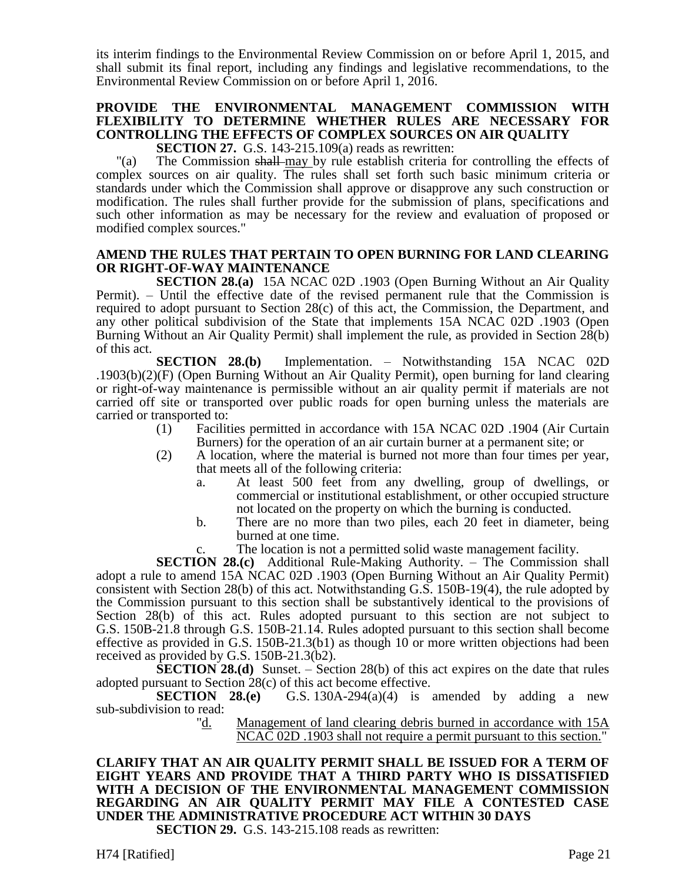its interim findings to the Environmental Review Commission on or before April 1, 2015, and shall submit its final report, including any findings and legislative recommendations, to the Environmental Review Commission on or before April 1, 2016.

# **PROVIDE THE ENVIRONMENTAL MANAGEMENT COMMISSION WITH FLEXIBILITY TO DETERMINE WHETHER RULES ARE NECESSARY FOR CONTROLLING THE EFFECTS OF COMPLEX SOURCES ON AIR QUALITY**

**SECTION 27.** G.S. 143-215.109(a) reads as rewritten:

"(a) The Commission shall may by rule establish criteria for controlling the effects of complex sources on air quality. The rules shall set forth such basic minimum criteria or standards under which the Commission shall approve or disapprove any such construction or modification. The rules shall further provide for the submission of plans, specifications and such other information as may be necessary for the review and evaluation of proposed or modified complex sources."

# **AMEND THE RULES THAT PERTAIN TO OPEN BURNING FOR LAND CLEARING OR RIGHT-OF-WAY MAINTENANCE**

**SECTION 28.(a)** 15A NCAC 02D .1903 (Open Burning Without an Air Quality Permit). – Until the effective date of the revised permanent rule that the Commission is required to adopt pursuant to Section 28(c) of this act, the Commission, the Department, and any other political subdivision of the State that implements 15A NCAC 02D .1903 (Open Burning Without an Air Quality Permit) shall implement the rule, as provided in Section 28(b) of this act.

**SECTION 28.(b)** Implementation. – Notwithstanding 15A NCAC 02D .1903(b)(2)(F) (Open Burning Without an Air Quality Permit), open burning for land clearing or right-of-way maintenance is permissible without an air quality permit if materials are not carried off site or transported over public roads for open burning unless the materials are carried or transported to:

- (1) Facilities permitted in accordance with 15A NCAC 02D .1904 (Air Curtain Burners) for the operation of an air curtain burner at a permanent site; or
- (2) A location, where the material is burned not more than four times per year, that meets all of the following criteria:
	- a. At least 500 feet from any dwelling, group of dwellings, or commercial or institutional establishment, or other occupied structure not located on the property on which the burning is conducted.
	- b. There are no more than two piles, each 20 feet in diameter, being burned at one time.
	- The location is not a permitted solid waste management facility.

**SECTION 28.(c)** Additional Rule-Making Authority. – The Commission shall

adopt a rule to amend 15A NCAC 02D .1903 (Open Burning Without an Air Quality Permit) consistent with Section 28(b) of this act. Notwithstanding G.S. 150B-19(4), the rule adopted by the Commission pursuant to this section shall be substantively identical to the provisions of Section 28(b) of this act. Rules adopted pursuant to this section are not subject to G.S. 150B-21.8 through G.S. 150B-21.14. Rules adopted pursuant to this section shall become effective as provided in G.S. 150B-21.3(b1) as though 10 or more written objections had been received as provided by G.S. 150B-21.3(b2).

**SECTION 28.(d)** Sunset. – Section 28(b) of this act expires on the date that rules adopted pursuant to Section 28(c) of this act become effective.

**SECTION** 28.(e) G.S. 130A-294(a)(4) is amended by adding a new sub-subdivision to read:

> "d. Management of land clearing debris burned in accordance with 15A NCAC 02D .1903 shall not require a permit pursuant to this section."

#### **CLARIFY THAT AN AIR QUALITY PERMIT SHALL BE ISSUED FOR A TERM OF EIGHT YEARS AND PROVIDE THAT A THIRD PARTY WHO IS DISSATISFIED WITH A DECISION OF THE ENVIRONMENTAL MANAGEMENT COMMISSION REGARDING AN AIR QUALITY PERMIT MAY FILE A CONTESTED CASE UNDER THE ADMINISTRATIVE PROCEDURE ACT WITHIN 30 DAYS SECTION 29.** G.S. 143-215.108 reads as rewritten: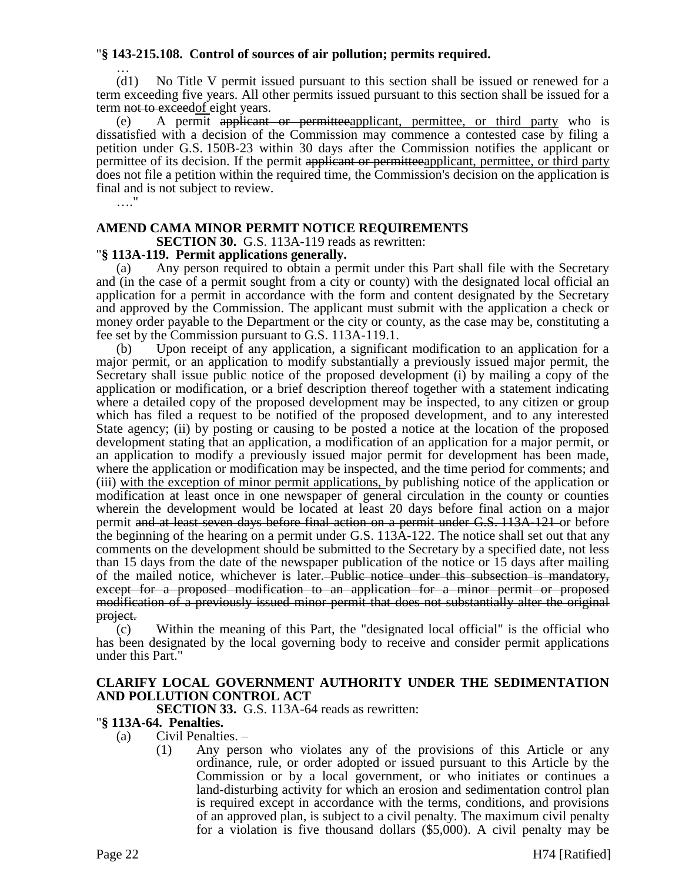# "**§ 143-215.108. Control of sources of air pollution; permits required.**

… (d1) No Title V permit issued pursuant to this section shall be issued or renewed for a term exceeding five years. All other permits issued pursuant to this section shall be issued for a term not to exceed of eight years.

(e) A permit applicant or permitteeapplicant, permittee, or third party who is dissatisfied with a decision of the Commission may commence a contested case by filing a petition under G.S. 150B-23 within 30 days after the Commission notifies the applicant or permittee of its decision. If the permit applicant or permitteeapplicant, permittee, or third party does not file a petition within the required time, the Commission's decision on the application is final and is not subject to review.

…"

# **AMEND CAMA MINOR PERMIT NOTICE REQUIREMENTS**

**SECTION 30.** G.S. 113A-119 reads as rewritten:

# "**§ 113A-119. Permit applications generally.**

(a) Any person required to obtain a permit under this Part shall file with the Secretary and (in the case of a permit sought from a city or county) with the designated local official an application for a permit in accordance with the form and content designated by the Secretary and approved by the Commission. The applicant must submit with the application a check or money order payable to the Department or the city or county, as the case may be, constituting a fee set by the Commission pursuant to G.S. 113A-119.1.

Upon receipt of any application, a significant modification to an application for a major permit, or an application to modify substantially a previously issued major permit, the Secretary shall issue public notice of the proposed development (i) by mailing a copy of the application or modification, or a brief description thereof together with a statement indicating where a detailed copy of the proposed development may be inspected, to any citizen or group which has filed a request to be notified of the proposed development, and to any interested State agency; (ii) by posting or causing to be posted a notice at the location of the proposed development stating that an application, a modification of an application for a major permit, or an application to modify a previously issued major permit for development has been made, where the application or modification may be inspected, and the time period for comments; and (iii) with the exception of minor permit applications, by publishing notice of the application or modification at least once in one newspaper of general circulation in the county or counties wherein the development would be located at least 20 days before final action on a major permit and at least seven days before final action on a permit under G.S. 113A-121 or before the beginning of the hearing on a permit under G.S. 113A-122. The notice shall set out that any comments on the development should be submitted to the Secretary by a specified date, not less than 15 days from the date of the newspaper publication of the notice or 15 days after mailing of the mailed notice, whichever is later. Public notice under this subsection is mandatory, except for a proposed modification to an application for a minor permit or proposed modification of a previously issued minor permit that does not substantially alter the original project.

(c) Within the meaning of this Part, the "designated local official" is the official who has been designated by the local governing body to receive and consider permit applications under this Part."

# **CLARIFY LOCAL GOVERNMENT AUTHORITY UNDER THE SEDIMENTATION AND POLLUTION CONTROL ACT**

**SECTION 33.** G.S. 113A-64 reads as rewritten:

# "**§ 113A-64. Penalties.**

- (a) Civil Penalties.
	- (1) Any person who violates any of the provisions of this Article or any ordinance, rule, or order adopted or issued pursuant to this Article by the Commission or by a local government, or who initiates or continues a land-disturbing activity for which an erosion and sedimentation control plan is required except in accordance with the terms, conditions, and provisions of an approved plan, is subject to a civil penalty. The maximum civil penalty for a violation is five thousand dollars (\$5,000). A civil penalty may be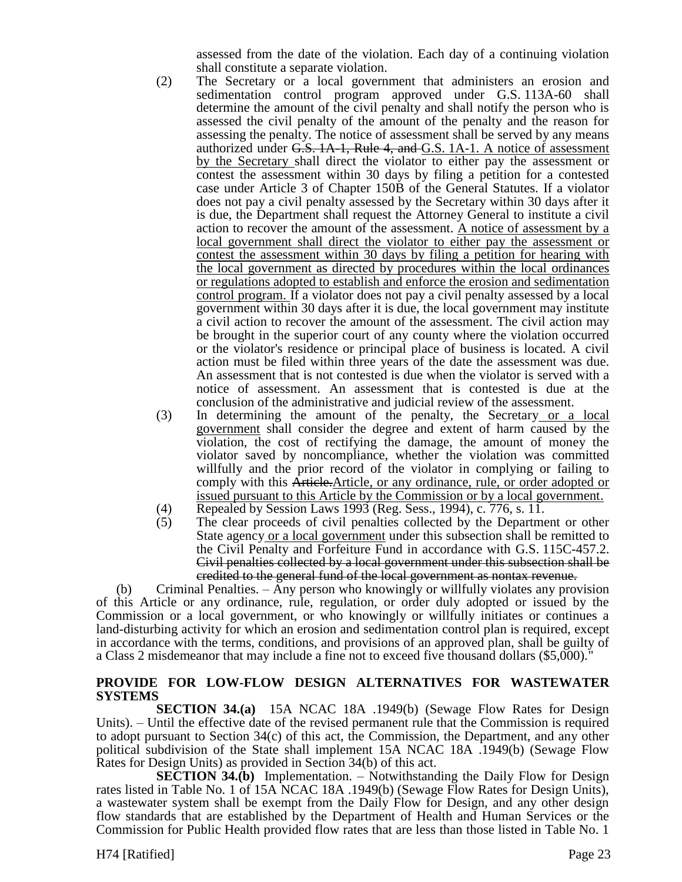assessed from the date of the violation. Each day of a continuing violation shall constitute a separate violation.

- (2) The Secretary or a local government that administers an erosion and sedimentation control program approved under G.S. 113A-60 shall determine the amount of the civil penalty and shall notify the person who is assessed the civil penalty of the amount of the penalty and the reason for assessing the penalty. The notice of assessment shall be served by any means authorized under G.S. 1A-1, Rule 4, and G.S. 1A-1. A notice of assessment by the Secretary shall direct the violator to either pay the assessment or contest the assessment within 30 days by filing a petition for a contested case under Article 3 of Chapter 150B of the General Statutes. If a violator does not pay a civil penalty assessed by the Secretary within 30 days after it is due, the Department shall request the Attorney General to institute a civil action to recover the amount of the assessment. A notice of assessment by a local government shall direct the violator to either pay the assessment or contest the assessment within 30 days by filing a petition for hearing with the local government as directed by procedures within the local ordinances or regulations adopted to establish and enforce the erosion and sedimentation control program. If a violator does not pay a civil penalty assessed by a local government within 30 days after it is due, the local government may institute a civil action to recover the amount of the assessment. The civil action may be brought in the superior court of any county where the violation occurred or the violator's residence or principal place of business is located. A civil action must be filed within three years of the date the assessment was due. An assessment that is not contested is due when the violator is served with a notice of assessment. An assessment that is contested is due at the conclusion of the administrative and judicial review of the assessment.
- (3) In determining the amount of the penalty, the Secretary or a local government shall consider the degree and extent of harm caused by the violation, the cost of rectifying the damage, the amount of money the violator saved by noncompliance, whether the violation was committed willfully and the prior record of the violator in complying or failing to comply with this Article.Article, or any ordinance, rule, or order adopted or issued pursuant to this Article by the Commission or by a local government.
- (4) Repealed by Session Laws 1993 (Reg. Sess., 1994), c. 776, s. 11.<br>(5) The clear proceeds of civil penalties collected by the Departme
- The clear proceeds of civil penalties collected by the Department or other State agency or a local government under this subsection shall be remitted to the Civil Penalty and Forfeiture Fund in accordance with G.S. 115C-457.2. Civil penalties collected by a local government under this subsection shall be credited to the general fund of the local government as nontax revenue.

(b) Criminal Penalties. – Any person who knowingly or willfully violates any provision of this Article or any ordinance, rule, regulation, or order duly adopted or issued by the Commission or a local government, or who knowingly or willfully initiates or continues a land-disturbing activity for which an erosion and sedimentation control plan is required, except in accordance with the terms, conditions, and provisions of an approved plan, shall be guilty of a Class 2 misdemeanor that may include a fine not to exceed five thousand dollars (\$5,000)."

# **PROVIDE FOR LOW-FLOW DESIGN ALTERNATIVES FOR WASTEWATER SYSTEMS**

**SECTION 34.(a)** 15A NCAC 18A .1949(b) (Sewage Flow Rates for Design Units). – Until the effective date of the revised permanent rule that the Commission is required to adopt pursuant to Section 34(c) of this act, the Commission, the Department, and any other political subdivision of the State shall implement 15A NCAC 18A .1949(b) (Sewage Flow Rates for Design Units) as provided in Section 34(b) of this act.

**SECTION 34.(b)** Implementation. – Notwithstanding the Daily Flow for Design rates listed in Table No. 1 of 15A NCAC 18A .1949(b) (Sewage Flow Rates for Design Units), a wastewater system shall be exempt from the Daily Flow for Design, and any other design flow standards that are established by the Department of Health and Human Services or the Commission for Public Health provided flow rates that are less than those listed in Table No. 1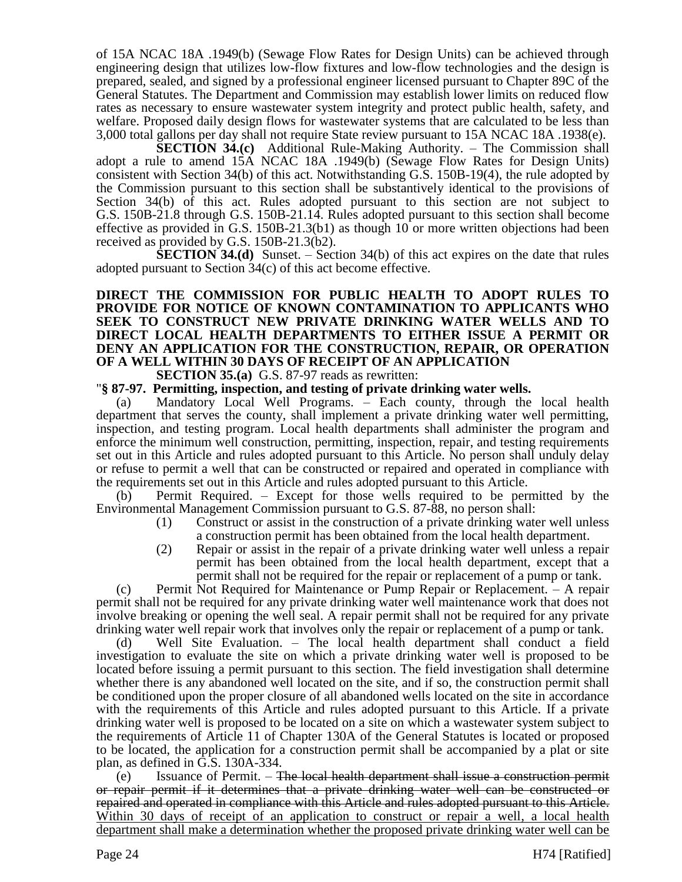of 15A NCAC 18A .1949(b) (Sewage Flow Rates for Design Units) can be achieved through engineering design that utilizes low-flow fixtures and low-flow technologies and the design is prepared, sealed, and signed by a professional engineer licensed pursuant to Chapter 89C of the General Statutes. The Department and Commission may establish lower limits on reduced flow rates as necessary to ensure wastewater system integrity and protect public health, safety, and welfare. Proposed daily design flows for wastewater systems that are calculated to be less than 3,000 total gallons per day shall not require State review pursuant to 15A NCAC 18A .1938(e).

**SECTION 34.(c)** Additional Rule-Making Authority. – The Commission shall adopt a rule to amend 15A NCAC 18A .1949(b) (Sewage Flow Rates for Design Units) consistent with Section 34(b) of this act. Notwithstanding G.S. 150B-19(4), the rule adopted by the Commission pursuant to this section shall be substantively identical to the provisions of Section 34(b) of this act. Rules adopted pursuant to this section are not subject to G.S. 150B-21.8 through G.S. 150B-21.14. Rules adopted pursuant to this section shall become effective as provided in G.S. 150B-21.3(b1) as though 10 or more written objections had been received as provided by G.S. 150B-21.3(b2).

**SECTION 34.(d)** Sunset. – Section 34(b) of this act expires on the date that rules adopted pursuant to Section 34(c) of this act become effective.

# **DIRECT THE COMMISSION FOR PUBLIC HEALTH TO ADOPT RULES TO PROVIDE FOR NOTICE OF KNOWN CONTAMINATION TO APPLICANTS WHO SEEK TO CONSTRUCT NEW PRIVATE DRINKING WATER WELLS AND TO DIRECT LOCAL HEALTH DEPARTMENTS TO EITHER ISSUE A PERMIT OR DENY AN APPLICATION FOR THE CONSTRUCTION, REPAIR, OR OPERATION OF A WELL WITHIN 30 DAYS OF RECEIPT OF AN APPLICATION**

**SECTION 35.(a)** G.S. 87-97 reads as rewritten:

"**§ 87-97. Permitting, inspection, and testing of private drinking water wells.**

(a) Mandatory Local Well Programs. – Each county, through the local health department that serves the county, shall implement a private drinking water well permitting, inspection, and testing program. Local health departments shall administer the program and enforce the minimum well construction, permitting, inspection, repair, and testing requirements set out in this Article and rules adopted pursuant to this Article. No person shall unduly delay or refuse to permit a well that can be constructed or repaired and operated in compliance with the requirements set out in this Article and rules adopted pursuant to this Article.

(b) Permit Required. – Except for those wells required to be permitted by the Environmental Management Commission pursuant to G.S. 87-88, no person shall:

- (1) Construct or assist in the construction of a private drinking water well unless a construction permit has been obtained from the local health department.
- (2) Repair or assist in the repair of a private drinking water well unless a repair permit has been obtained from the local health department, except that a permit shall not be required for the repair or replacement of a pump or tank.

(c) Permit Not Required for Maintenance or Pump Repair or Replacement. – A repair permit shall not be required for any private drinking water well maintenance work that does not involve breaking or opening the well seal. A repair permit shall not be required for any private drinking water well repair work that involves only the repair or replacement of a pump or tank.

(d) Well Site Evaluation. – The local health department shall conduct a field investigation to evaluate the site on which a private drinking water well is proposed to be located before issuing a permit pursuant to this section. The field investigation shall determine whether there is any abandoned well located on the site, and if so, the construction permit shall be conditioned upon the proper closure of all abandoned wells located on the site in accordance with the requirements of this Article and rules adopted pursuant to this Article. If a private drinking water well is proposed to be located on a site on which a wastewater system subject to the requirements of Article 11 of Chapter 130A of the General Statutes is located or proposed to be located, the application for a construction permit shall be accompanied by a plat or site plan, as defined in G.S. 130A-334.

 $(e)$  Issuance of Permit.  $-$  The local health department shall issue a construction permit or repair permit if it determines that a private drinking water well can be constructed or repaired and operated in compliance with this Article and rules adopted pursuant to this Article. Within 30 days of receipt of an application to construct or repair a well, a local health department shall make a determination whether the proposed private drinking water well can be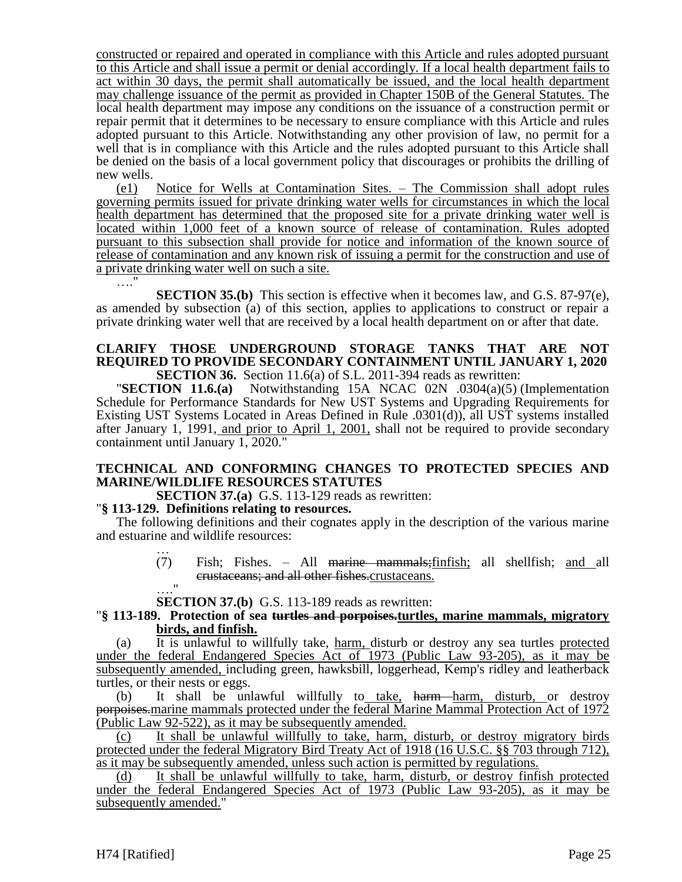constructed or repaired and operated in compliance with this Article and rules adopted pursuant to this Article and shall issue a permit or denial accordingly. If a local health department fails to act within 30 days, the permit shall automatically be issued, and the local health department may challenge issuance of the permit as provided in Chapter 150B of the General Statutes. The local health department may impose any conditions on the issuance of a construction permit or repair permit that it determines to be necessary to ensure compliance with this Article and rules adopted pursuant to this Article. Notwithstanding any other provision of law, no permit for a well that is in compliance with this Article and the rules adopted pursuant to this Article shall be denied on the basis of a local government policy that discourages or prohibits the drilling of new wells.

(e1) Notice for Wells at Contamination Sites. – The Commission shall adopt rules governing permits issued for private drinking water wells for circumstances in which the local health department has determined that the proposed site for a private drinking water well is located within 1,000 feet of a known source of release of contamination. Rules adopted pursuant to this subsection shall provide for notice and information of the known source of release of contamination and any known risk of issuing a permit for the construction and use of a private drinking water well on such a site. …."

**SECTION 35.(b)** This section is effective when it becomes law, and G.S. 87-97(e), as amended by subsection (a) of this section, applies to applications to construct or repair a private drinking water well that are received by a local health department on or after that date.

#### **CLARIFY THOSE UNDERGROUND STORAGE TANKS THAT ARE NOT REQUIRED TO PROVIDE SECONDARY CONTAINMENT UNTIL JANUARY 1, 2020 SECTION 36.** Section 11.6(a) of S.L. 2011-394 reads as rewritten:

"**SECTION 11.6.(a)** Notwithstanding 15A NCAC 02N .0304(a)(5) (Implementation Schedule for Performance Standards for New UST Systems and Upgrading Requirements for Existing UST Systems Located in Areas Defined in Rule .0301(d)), all UST systems installed after January 1, 1991, and prior to April 1, 2001, shall not be required to provide secondary containment until January 1, 2020."

# **TECHNICAL AND CONFORMING CHANGES TO PROTECTED SPECIES AND MARINE/WILDLIFE RESOURCES STATUTES**

**SECTION 37.(a)** G.S. 113-129 reads as rewritten:

# "**§ 113-129. Definitions relating to resources.**

The following definitions and their cognates apply in the description of the various marine and estuarine and wildlife resources:

… (7) Fish; Fishes. – All marine mammals;finfish; all shellfish; and all crustaceans; and all other fishes.crustaceans.

…." **SECTION 37.(b)** G.S. 113-189 reads as rewritten:

# "**§ 113-189. Protection of sea turtles and porpoises.turtles, marine mammals, migratory birds, and finfish.**

(a) It is unlawful to willfully take, harm, disturb or destroy any sea turtles protected under the federal Endangered Species Act of 1973 (Public Law 93-205), as it may be subsequently amended, including green, hawksbill, loggerhead, Kemp's ridley and leatherback turtles, or their nests or eggs.

(b) It shall be unlawful willfully to take, harm harm, disturb, or destroy porpoises.marine mammals protected under the federal Marine Mammal Protection Act of 1972 (Public Law 92-522), as it may be subsequently amended.

(c) It shall be unlawful willfully to take, harm, disturb, or destroy migratory birds protected under the federal Migratory Bird Treaty Act of 1918 (16 U.S.C. §§ 703 through 712), as it may be subsequently amended, unless such action is permitted by regulations.

(d) It shall be unlawful willfully to take, harm, disturb, or destroy finfish protected under the federal Endangered Species Act of 1973 (Public Law 93-205), as it may be subsequently amended."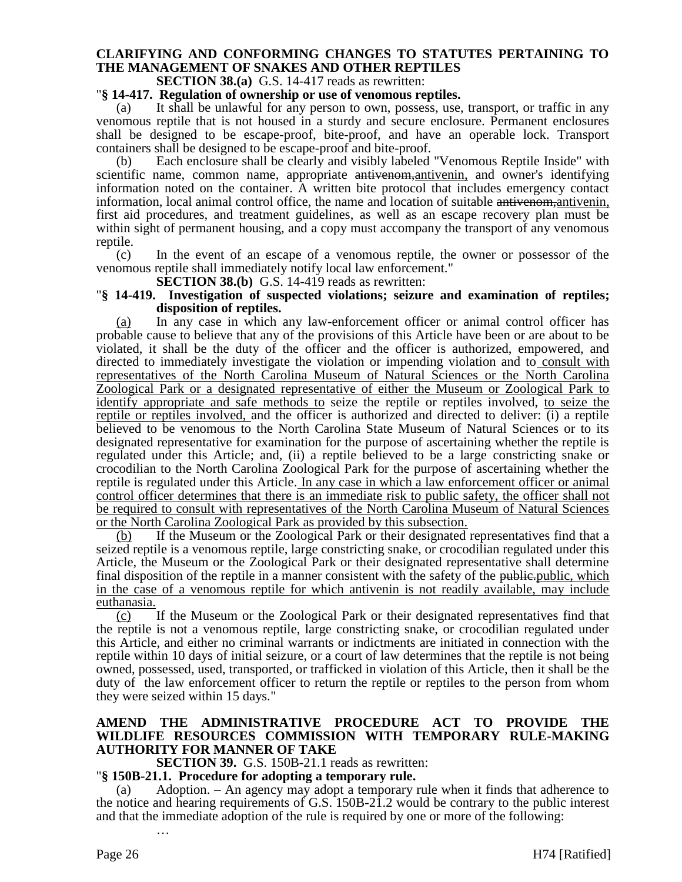# **CLARIFYING AND CONFORMING CHANGES TO STATUTES PERTAINING TO THE MANAGEMENT OF SNAKES AND OTHER REPTILES**

**SECTION 38.(a)** G.S. 14-417 reads as rewritten:

#### "**§ 14-417. Regulation of ownership or use of venomous reptiles.**

It shall be unlawful for any person to own, possess, use, transport, or traffic in any venomous reptile that is not housed in a sturdy and secure enclosure. Permanent enclosures shall be designed to be escape-proof, bite-proof, and have an operable lock. Transport containers shall be designed to be escape-proof and bite-proof.

(b) Each enclosure shall be clearly and visibly labeled "Venomous Reptile Inside" with scientific name, common name, appropriate antivenom, antivenin, and owner's identifying information noted on the container. A written bite protocol that includes emergency contact information, local animal control office, the name and location of suitable antivenom,antivenin, first aid procedures, and treatment guidelines, as well as an escape recovery plan must be within sight of permanent housing, and a copy must accompany the transport of any venomous reptile.

(c) In the event of an escape of a venomous reptile, the owner or possessor of the venomous reptile shall immediately notify local law enforcement."

**SECTION 38.(b)** G.S. 14-419 reads as rewritten:

#### "**§ 14-419. Investigation of suspected violations; seizure and examination of reptiles; disposition of reptiles.**

(a) In any case in which any law-enforcement officer or animal control officer has probable cause to believe that any of the provisions of this Article have been or are about to be violated, it shall be the duty of the officer and the officer is authorized, empowered, and directed to immediately investigate the violation or impending violation and to consult with representatives of the North Carolina Museum of Natural Sciences or the North Carolina Zoological Park or a designated representative of either the Museum or Zoological Park to identify appropriate and safe methods to seize the reptile or reptiles involved, to seize the reptile or reptiles involved, and the officer is authorized and directed to deliver: (i) a reptile believed to be venomous to the North Carolina State Museum of Natural Sciences or to its designated representative for examination for the purpose of ascertaining whether the reptile is regulated under this Article; and, (ii) a reptile believed to be a large constricting snake or crocodilian to the North Carolina Zoological Park for the purpose of ascertaining whether the reptile is regulated under this Article. In any case in which a law enforcement officer or animal control officer determines that there is an immediate risk to public safety, the officer shall not be required to consult with representatives of the North Carolina Museum of Natural Sciences or the North Carolina Zoological Park as provided by this subsection.

(b) If the Museum or the Zoological Park or their designated representatives find that a seized reptile is a venomous reptile, large constricting snake, or crocodilian regulated under this Article, the Museum or the Zoological Park or their designated representative shall determine final disposition of the reptile in a manner consistent with the safety of the public-public, which in the case of a venomous reptile for which antivenin is not readily available, may include euthanasia.

(c) If the Museum or the Zoological Park or their designated representatives find that the reptile is not a venomous reptile, large constricting snake, or crocodilian regulated under this Article, and either no criminal warrants or indictments are initiated in connection with the reptile within 10 days of initial seizure, or a court of law determines that the reptile is not being owned, possessed, used, transported, or trafficked in violation of this Article, then it shall be the duty of the law enforcement officer to return the reptile or reptiles to the person from whom they were seized within 15 days."

# **AMEND THE ADMINISTRATIVE PROCEDURE ACT TO PROVIDE THE WILDLIFE RESOURCES COMMISSION WITH TEMPORARY RULE-MAKING AUTHORITY FOR MANNER OF TAKE**

**SECTION 39.** G.S. 150B-21.1 reads as rewritten:

"**§ 150B-21.1. Procedure for adopting a temporary rule.**

Adoption.  $-$  An agency may adopt a temporary rule when it finds that adherence to the notice and hearing requirements of G.S. 150B-21.2 would be contrary to the public interest and that the immediate adoption of the rule is required by one or more of the following: …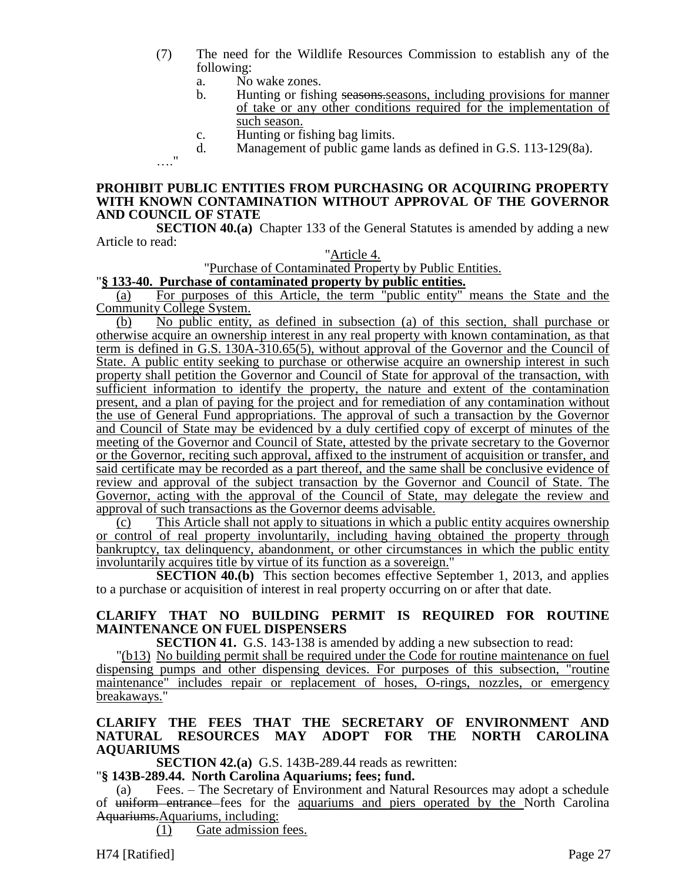- (7) The need for the Wildlife Resources Commission to establish any of the following:
	- a. No wake zones.

…."

- b. Hunting or fishing seasons-seasons, including provisions for manner of take or any other conditions required for the implementation of such season.
- c. Hunting or fishing bag limits.<br>d. Management of public game l
- Management of public game lands as defined in G.S. 113-129(8a).

# **PROHIBIT PUBLIC ENTITIES FROM PURCHASING OR ACQUIRING PROPERTY WITH KNOWN CONTAMINATION WITHOUT APPROVAL OF THE GOVERNOR AND COUNCIL OF STATE**

**SECTION 40.(a)** Chapter 133 of the General Statutes is amended by adding a new Article to read:

#### "Article 4.

"Purchase of Contaminated Property by Public Entities.

# "**§ 133-40. Purchase of contaminated property by public entities.**

(a) For purposes of this Article, the term "public entity" means the State and the Community College System.

(b) No public entity, as defined in subsection (a) of this section, shall purchase or otherwise acquire an ownership interest in any real property with known contamination, as that term is defined in G.S. 130A-310.65(5), without approval of the Governor and the Council of State. A public entity seeking to purchase or otherwise acquire an ownership interest in such property shall petition the Governor and Council of State for approval of the transaction, with sufficient information to identify the property, the nature and extent of the contamination present, and a plan of paying for the project and for remediation of any contamination without the use of General Fund appropriations. The approval of such a transaction by the Governor and Council of State may be evidenced by a duly certified copy of excerpt of minutes of the meeting of the Governor and Council of State, attested by the private secretary to the Governor or the Governor, reciting such approval, affixed to the instrument of acquisition or transfer, and said certificate may be recorded as a part thereof, and the same shall be conclusive evidence of review and approval of the subject transaction by the Governor and Council of State. The Governor, acting with the approval of the Council of State, may delegate the review and approval of such transactions as the Governor deems advisable.

(c) This Article shall not apply to situations in which a public entity acquires ownership or control of real property involuntarily, including having obtained the property through bankruptcy, tax delinquency, abandonment, or other circumstances in which the public entity involuntarily acquires title by virtue of its function as a sovereign."

**SECTION 40.(b)** This section becomes effective September 1, 2013, and applies to a purchase or acquisition of interest in real property occurring on or after that date.

# **CLARIFY THAT NO BUILDING PERMIT IS REQUIRED FOR ROUTINE MAINTENANCE ON FUEL DISPENSERS**

**SECTION 41.** G.S. 143-138 is amended by adding a new subsection to read:

"(b13) No building permit shall be required under the Code for routine maintenance on fuel dispensing pumps and other dispensing devices. For purposes of this subsection, "routine maintenance" includes repair or replacement of hoses, O-rings, nozzles, or emergency breakaways."

# **CLARIFY THE FEES THAT THE SECRETARY OF ENVIRONMENT AND NATURAL RESOURCES MAY ADOPT FOR THE NORTH CAROLINA AQUARIUMS**

**SECTION 42.(a)** G.S. 143B-289.44 reads as rewritten:

"**§ 143B-289.44. North Carolina Aquariums; fees; fund.**

Fees. – The Secretary of Environment and Natural Resources may adopt a schedule of uniform entrance fees for the aquariums and piers operated by the North Carolina Aquariums.Aquariums, including:

(1) Gate admission fees.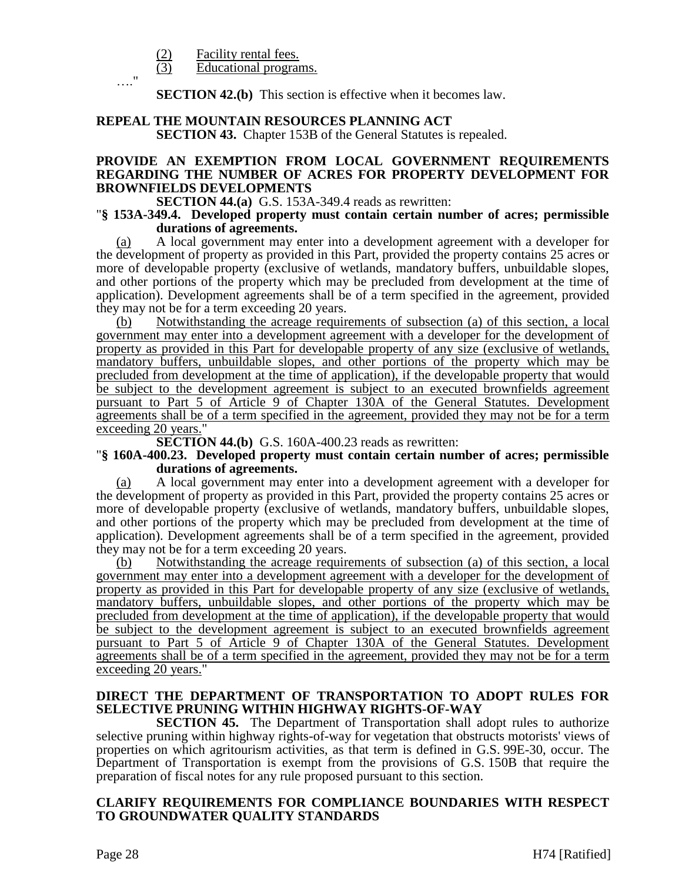$\frac{(2)}{(3)}$  Facility rental fees.<br>Educational program

…."

Educational programs.

**SECTION 42.(b)** This section is effective when it becomes law.

# **REPEAL THE MOUNTAIN RESOURCES PLANNING ACT**

**SECTION 43.** Chapter 153B of the General Statutes is repealed.

# **PROVIDE AN EXEMPTION FROM LOCAL GOVERNMENT REQUIREMENTS REGARDING THE NUMBER OF ACRES FOR PROPERTY DEVELOPMENT FOR BROWNFIELDS DEVELOPMENTS**

# **SECTION 44.(a)** G.S. 153A-349.4 reads as rewritten:

#### "**§ 153A-349.4. Developed property must contain certain number of acres; permissible durations of agreements.**

(a) A local government may enter into a development agreement with a developer for the development of property as provided in this Part, provided the property contains 25 acres or more of developable property (exclusive of wetlands, mandatory buffers, unbuildable slopes, and other portions of the property which may be precluded from development at the time of application). Development agreements shall be of a term specified in the agreement, provided they may not be for a term exceeding 20 years.

Notwithstanding the acreage requirements of subsection (a) of this section, a local government may enter into a development agreement with a developer for the development of property as provided in this Part for developable property of any size (exclusive of wetlands, mandatory buffers, unbuildable slopes, and other portions of the property which may be precluded from development at the time of application), if the developable property that would be subject to the development agreement is subject to an executed brownfields agreement pursuant to Part 5 of Article 9 of Chapter 130A of the General Statutes. Development agreements shall be of a term specified in the agreement, provided they may not be for a term exceeding 20 years."

**SECTION 44.(b)** G.S. 160A-400.23 reads as rewritten:

#### "**§ 160A-400.23. Developed property must contain certain number of acres; permissible durations of agreements.**

(a) A local government may enter into a development agreement with a developer for the development of property as provided in this Part, provided the property contains 25 acres or more of developable property (exclusive of wetlands, mandatory buffers, unbuildable slopes, and other portions of the property which may be precluded from development at the time of application). Development agreements shall be of a term specified in the agreement, provided they may not be for a term exceeding 20 years.

(b) Notwithstanding the acreage requirements of subsection (a) of this section, a local government may enter into a development agreement with a developer for the development of property as provided in this Part for developable property of any size (exclusive of wetlands, mandatory buffers, unbuildable slopes, and other portions of the property which may be precluded from development at the time of application), if the developable property that would be subject to the development agreement is subject to an executed brownfields agreement pursuant to Part 5 of Article 9 of Chapter 130A of the General Statutes. Development agreements shall be of a term specified in the agreement, provided they may not be for a term exceeding 20 years."

# **DIRECT THE DEPARTMENT OF TRANSPORTATION TO ADOPT RULES FOR SELECTIVE PRUNING WITHIN HIGHWAY RIGHTS-OF-WAY**

**SECTION 45.** The Department of Transportation shall adopt rules to authorize selective pruning within highway rights-of-way for vegetation that obstructs motorists' views of properties on which agritourism activities, as that term is defined in G.S. 99E-30, occur. The Department of Transportation is exempt from the provisions of G.S. 150B that require the preparation of fiscal notes for any rule proposed pursuant to this section.

# **CLARIFY REQUIREMENTS FOR COMPLIANCE BOUNDARIES WITH RESPECT TO GROUNDWATER QUALITY STANDARDS**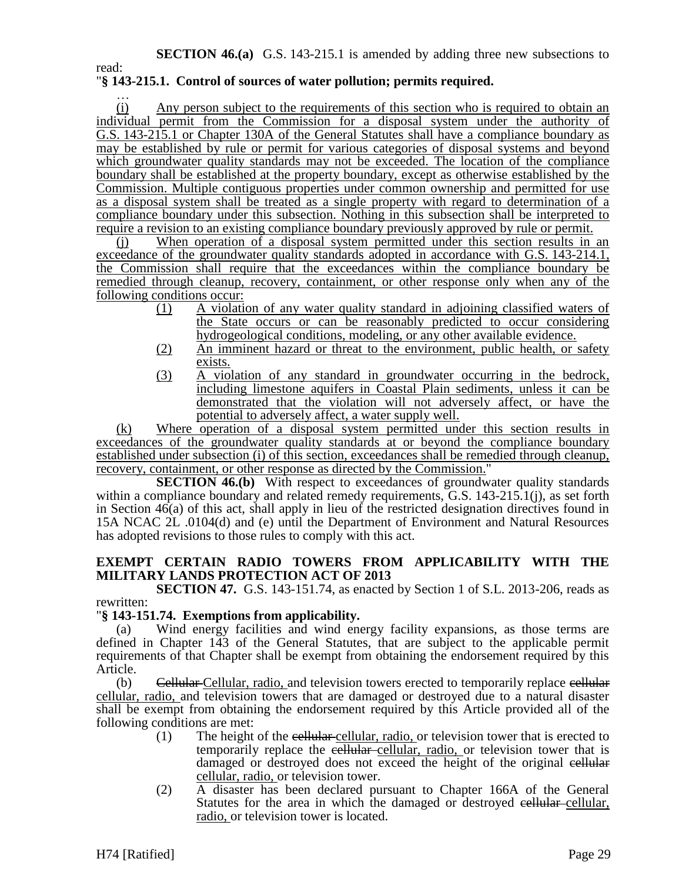read:

# "**§ 143-215.1. Control of sources of water pollution; permits required.**

… (i) Any person subject to the requirements of this section who is required to obtain an individual permit from the Commission for a disposal system under the authority of G.S. 143-215.1 or Chapter 130A of the General Statutes shall have a compliance boundary as may be established by rule or permit for various categories of disposal systems and beyond which groundwater quality standards may not be exceeded. The location of the compliance boundary shall be established at the property boundary, except as otherwise established by the Commission. Multiple contiguous properties under common ownership and permitted for use as a disposal system shall be treated as a single property with regard to determination of a compliance boundary under this subsection. Nothing in this subsection shall be interpreted to require a revision to an existing compliance boundary previously approved by rule or permit.

(j) When operation of a disposal system permitted under this section results in an exceedance of the groundwater quality standards adopted in accordance with G.S. 143-214.1, the Commission shall require that the exceedances within the compliance boundary be remedied through cleanup, recovery, containment, or other response only when any of the following conditions occur:

- (1) A violation of any water quality standard in adjoining classified waters of the State occurs or can be reasonably predicted to occur considering hydrogeological conditions, modeling, or any other available evidence.
- (2) An imminent hazard or threat to the environment, public health, or safety exists.
- (3) A violation of any standard in groundwater occurring in the bedrock, including limestone aquifers in Coastal Plain sediments, unless it can be demonstrated that the violation will not adversely affect, or have the potential to adversely affect, a water supply well.

(k) Where operation of a disposal system permitted under this section results in exceedances of the groundwater quality standards at or beyond the compliance boundary established under subsection (i) of this section, exceedances shall be remedied through cleanup, recovery, containment, or other response as directed by the Commission."

**SECTION 46.(b)** With respect to exceedances of groundwater quality standards within a compliance boundary and related remedy requirements, G.S. 143-215.1(j), as set forth in Section 46(a) of this act, shall apply in lieu of the restricted designation directives found in 15A NCAC 2L .0104(d) and (e) until the Department of Environment and Natural Resources has adopted revisions to those rules to comply with this act.

# **EXEMPT CERTAIN RADIO TOWERS FROM APPLICABILITY WITH THE MILITARY LANDS PROTECTION ACT OF 2013**

**SECTION 47.** G.S. 143-151.74, as enacted by Section 1 of S.L. 2013-206, reads as rewritten:

# "**§ 143-151.74. Exemptions from applicability.**

(a) Wind energy facilities and wind energy facility expansions, as those terms are defined in Chapter 143 of the General Statutes, that are subject to the applicable permit requirements of that Chapter shall be exempt from obtaining the endorsement required by this Article.

(b) Cellular Cellular, radio, and television towers erected to temporarily replace eellular cellular, radio, and television towers that are damaged or destroyed due to a natural disaster shall be exempt from obtaining the endorsement required by this Article provided all of the following conditions are met:

- (1) The height of the cellular cellular, radio, or television tower that is erected to temporarily replace the cellular-cellular, radio, or television tower that is damaged or destroyed does not exceed the height of the original cellular cellular, radio, or television tower.
- (2) A disaster has been declared pursuant to Chapter 166A of the General Statutes for the area in which the damaged or destroyed cellular cellular, radio, or television tower is located.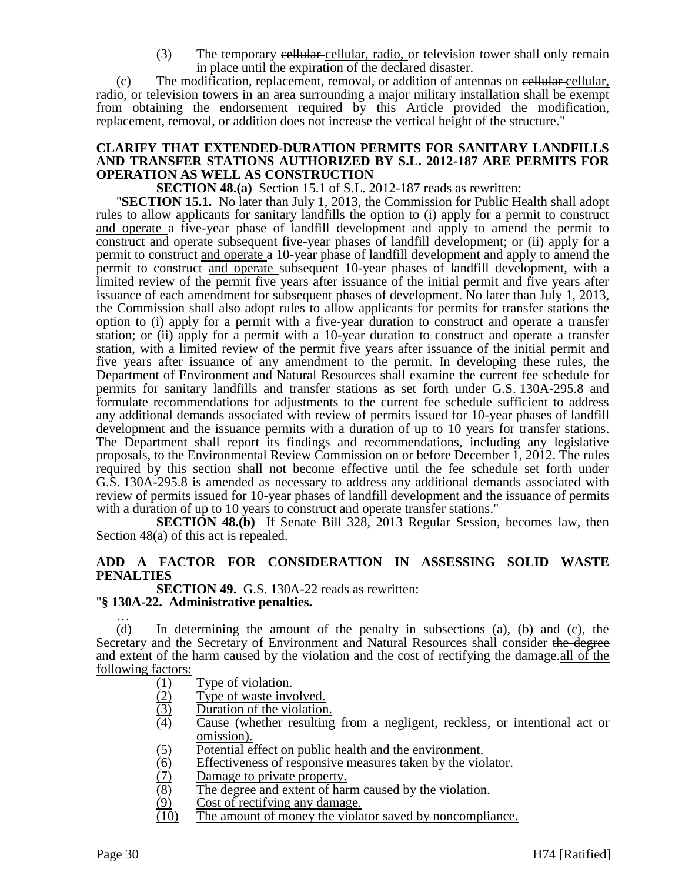(3) The temporary cellular-cellular, radio, or television tower shall only remain in place until the expiration of the declared disaster.

 $(c)$  The modification, replacement, removal, or addition of antennas on eellular, radio, or television towers in an area surrounding a major military installation shall be exempt from obtaining the endorsement required by this Article provided the modification, replacement, removal, or addition does not increase the vertical height of the structure."

# **CLARIFY THAT EXTENDED-DURATION PERMITS FOR SANITARY LANDFILLS AND TRANSFER STATIONS AUTHORIZED BY S.L. 2012-187 ARE PERMITS FOR OPERATION AS WELL AS CONSTRUCTION**

**SECTION 48.(a)** Section 15.1 of S.L. 2012-187 reads as rewritten:

"**SECTION 15.1.** No later than July 1, 2013, the Commission for Public Health shall adopt rules to allow applicants for sanitary landfills the option to (i) apply for a permit to construct and operate a five-year phase of landfill development and apply to amend the permit to construct and operate subsequent five-year phases of landfill development; or (ii) apply for a permit to construct and operate a 10-year phase of landfill development and apply to amend the permit to construct and operate subsequent 10-year phases of landfill development, with a limited review of the permit five years after issuance of the initial permit and five years after issuance of each amendment for subsequent phases of development. No later than July 1, 2013, the Commission shall also adopt rules to allow applicants for permits for transfer stations the option to (i) apply for a permit with a five-year duration to construct and operate a transfer station; or (ii) apply for a permit with a 10-year duration to construct and operate a transfer station, with a limited review of the permit five years after issuance of the initial permit and five years after issuance of any amendment to the permit. In developing these rules, the Department of Environment and Natural Resources shall examine the current fee schedule for permits for sanitary landfills and transfer stations as set forth under G.S. 130A-295.8 and formulate recommendations for adjustments to the current fee schedule sufficient to address any additional demands associated with review of permits issued for 10-year phases of landfill development and the issuance permits with a duration of up to 10 years for transfer stations. The Department shall report its findings and recommendations, including any legislative proposals, to the Environmental Review Commission on or before December 1, 2012. The rules required by this section shall not become effective until the fee schedule set forth under G.S. 130A-295.8 is amended as necessary to address any additional demands associated with review of permits issued for 10-year phases of landfill development and the issuance of permits with a duration of up to 10 years to construct and operate transfer stations."

**SECTION 48.(b)** If Senate Bill 328, 2013 Regular Session, becomes law, then Section 48(a) of this act is repealed.

# **ADD A FACTOR FOR CONSIDERATION IN ASSESSING SOLID WASTE PENALTIES**

**SECTION 49.** G.S. 130A-22 reads as rewritten: "**§ 130A-22. Administrative penalties.**

… (d) In determining the amount of the penalty in subsections (a), (b) and (c), the Secretary and the Secretary of Environment and Natural Resources shall consider the degree and extent of the harm caused by the violation and the cost of rectifying the damage.all of the following factors:

- (1) Type of violation.
- (2) Type of waste involved.
- (3) Duration of the violation.
- (4) Cause (whether resulting from a negligent, reckless, or intentional act or omission).
- (5) Potential effect on public health and the environment.
- (6) Effectiveness of responsive measures taken by the violator.
- (7) Damage to private property.<br>(8) The degree and extent of hart
- (8) The degree and extent of harm caused by the violation.<br>(9) Cost of rectifying any damage.
- Cost of rectifying any damage.
- (10) The amount of money the violator saved by noncompliance.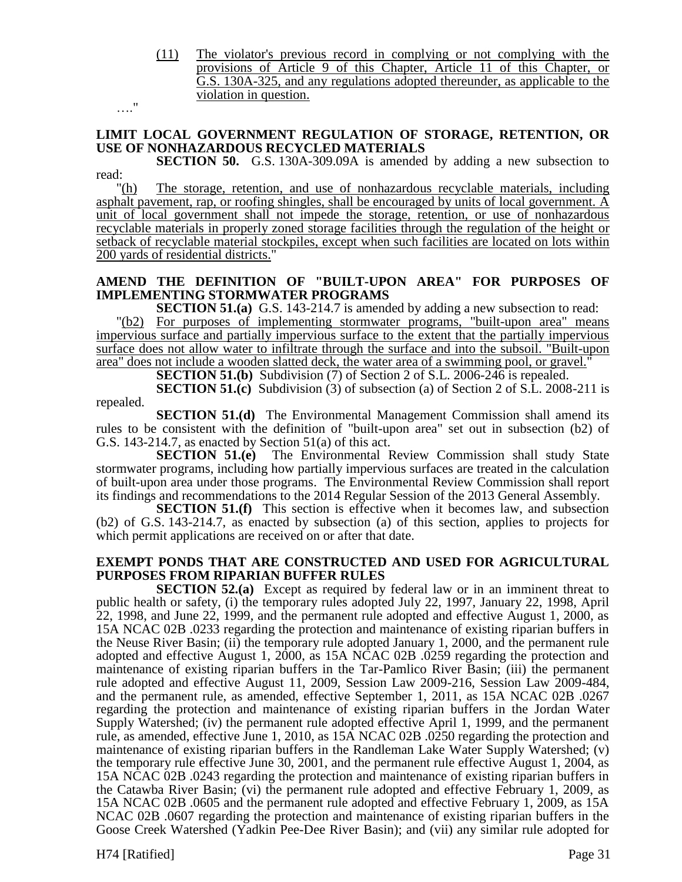(11) The violator's previous record in complying or not complying with the provisions of Article 9 of this Chapter, Article 11 of this Chapter, or G.S. 130A-325, and any regulations adopted thereunder, as applicable to the violation in question.

…."

# **LIMIT LOCAL GOVERNMENT REGULATION OF STORAGE, RETENTION, OR USE OF NONHAZARDOUS RECYCLED MATERIALS**

**SECTION 50.** G.S. 130A-309.09A is amended by adding a new subsection to read:

"(h) The storage, retention, and use of nonhazardous recyclable materials, including asphalt pavement, rap, or roofing shingles, shall be encouraged by units of local government. A unit of local government shall not impede the storage, retention, or use of nonhazardous recyclable materials in properly zoned storage facilities through the regulation of the height or setback of recyclable material stockpiles, except when such facilities are located on lots within 200 yards of residential districts."

# **AMEND THE DEFINITION OF "BUILT-UPON AREA" FOR PURPOSES OF IMPLEMENTING STORMWATER PROGRAMS**

**SECTION 51.(a)** G.S. 143-214.7 is amended by adding a new subsection to read: "(b2) For purposes of implementing stormwater programs, "built-upon area" means impervious surface and partially impervious surface to the extent that the partially impervious surface does not allow water to infiltrate through the surface and into the subsoil. "Built-upon area" does not include a wooden slatted deck, the water area of a swimming pool, or gravel."

**SECTION 51.(b)** Subdivision (7) of Section 2 of S.L. 2006-246 is repealed.

**SECTION 51.(c)** Subdivision (3) of subsection (a) of Section 2 of S.L. 2008-211 is repealed.

**SECTION 51.(d)** The Environmental Management Commission shall amend its rules to be consistent with the definition of "built-upon area" set out in subsection (b2) of G.S. 143-214.7, as enacted by Section 51(a) of this act.

**SECTION 51.(e)** The Environmental Review Commission shall study State stormwater programs, including how partially impervious surfaces are treated in the calculation of built-upon area under those programs. The Environmental Review Commission shall report its findings and recommendations to the 2014 Regular Session of the 2013 General Assembly.

**SECTION 51.(f)** This section is effective when it becomes law, and subsection (b2) of G.S. 143-214.7, as enacted by subsection (a) of this section, applies to projects for which permit applications are received on or after that date.

# **EXEMPT PONDS THAT ARE CONSTRUCTED AND USED FOR AGRICULTURAL PURPOSES FROM RIPARIAN BUFFER RULES**

**SECTION 52.(a)** Except as required by federal law or in an imminent threat to public health or safety, (i) the temporary rules adopted July 22, 1997, January 22, 1998, April 22, 1998, and June 22, 1999, and the permanent rule adopted and effective August 1, 2000, as 15A NCAC 02B .0233 regarding the protection and maintenance of existing riparian buffers in the Neuse River Basin; (ii) the temporary rule adopted January 1, 2000, and the permanent rule adopted and effective August 1, 2000, as 15A NCAC 02B .0259 regarding the protection and maintenance of existing riparian buffers in the Tar-Pamlico River Basin; (iii) the permanent rule adopted and effective August 11, 2009, Session Law 2009-216, Session Law 2009-484, and the permanent rule, as amended, effective September 1, 2011, as 15A NCAC 02B .0267 regarding the protection and maintenance of existing riparian buffers in the Jordan Water Supply Watershed; (iv) the permanent rule adopted effective April 1, 1999, and the permanent rule, as amended, effective June 1, 2010, as 15A NCAC 02B .0250 regarding the protection and maintenance of existing riparian buffers in the Randleman Lake Water Supply Watershed; (v) the temporary rule effective June 30, 2001, and the permanent rule effective August 1, 2004, as 15A NCAC 02B .0243 regarding the protection and maintenance of existing riparian buffers in the Catawba River Basin; (vi) the permanent rule adopted and effective February 1, 2009, as 15A NCAC 02B .0605 and the permanent rule adopted and effective February 1, 2009, as 15A NCAC 02B .0607 regarding the protection and maintenance of existing riparian buffers in the Goose Creek Watershed (Yadkin Pee-Dee River Basin); and (vii) any similar rule adopted for

H74 [Ratified] Page 31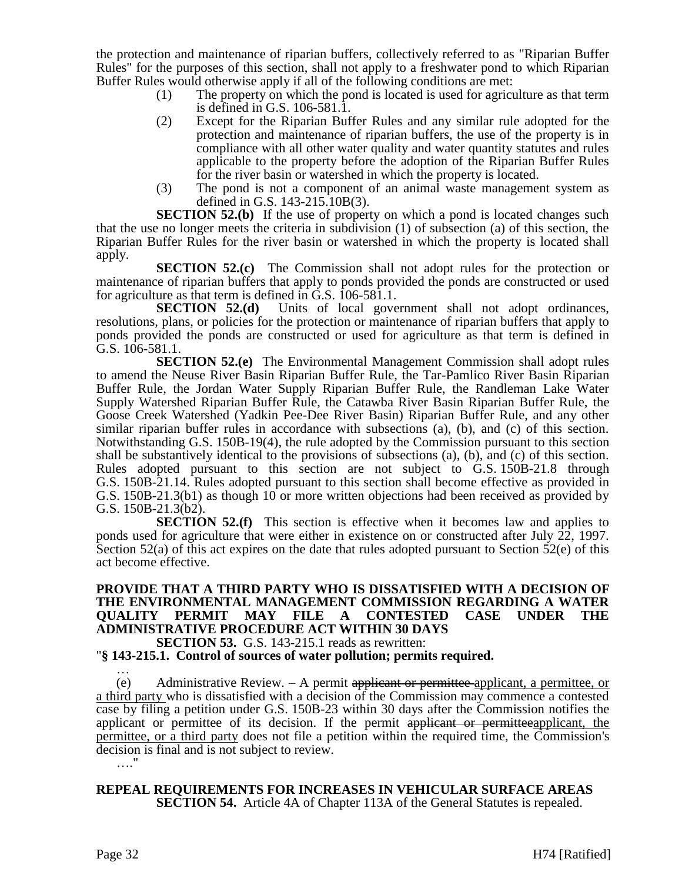the protection and maintenance of riparian buffers, collectively referred to as "Riparian Buffer Rules" for the purposes of this section, shall not apply to a freshwater pond to which Riparian Buffer Rules would otherwise apply if all of the following conditions are met:

- (1) The property on which the pond is located is used for agriculture as that term is defined in G.S. 106-581.1.
- (2) Except for the Riparian Buffer Rules and any similar rule adopted for the protection and maintenance of riparian buffers, the use of the property is in compliance with all other water quality and water quantity statutes and rules applicable to the property before the adoption of the Riparian Buffer Rules for the river basin or watershed in which the property is located.
- (3) The pond is not a component of an animal waste management system as defined in G.S. 143-215.10B(3).

**SECTION 52.(b)** If the use of property on which a pond is located changes such that the use no longer meets the criteria in subdivision (1) of subsection (a) of this section, the Riparian Buffer Rules for the river basin or watershed in which the property is located shall apply.

**SECTION 52.(c)** The Commission shall not adopt rules for the protection or maintenance of riparian buffers that apply to ponds provided the ponds are constructed or used for agriculture as that term is defined in G.S. 106-581.1.

**SECTION 52.(d)** Units of local government shall not adopt ordinances, resolutions, plans, or policies for the protection or maintenance of riparian buffers that apply to ponds provided the ponds are constructed or used for agriculture as that term is defined in G.S. 106-581.1.

**SECTION 52.(e)** The Environmental Management Commission shall adopt rules to amend the Neuse River Basin Riparian Buffer Rule, the Tar-Pamlico River Basin Riparian Buffer Rule, the Jordan Water Supply Riparian Buffer Rule, the Randleman Lake Water Supply Watershed Riparian Buffer Rule, the Catawba River Basin Riparian Buffer Rule, the Goose Creek Watershed (Yadkin Pee-Dee River Basin) Riparian Buffer Rule, and any other similar riparian buffer rules in accordance with subsections (a), (b), and (c) of this section. Notwithstanding G.S. 150B-19(4), the rule adopted by the Commission pursuant to this section shall be substantively identical to the provisions of subsections (a), (b), and (c) of this section. Rules adopted pursuant to this section are not subject to G.S. 150B-21.8 through G.S. 150B-21.14. Rules adopted pursuant to this section shall become effective as provided in G.S. 150B-21.3(b1) as though 10 or more written objections had been received as provided by G.S. 150B-21.3(b2).

**SECTION 52.(f)** This section is effective when it becomes law and applies to ponds used for agriculture that were either in existence on or constructed after July  $\tilde{22}$ , 1997. Section 52(a) of this act expires on the date that rules adopted pursuant to Section 52(e) of this act become effective.

# **PROVIDE THAT A THIRD PARTY WHO IS DISSATISFIED WITH A DECISION OF THE ENVIRONMENTAL MANAGEMENT COMMISSION REGARDING A WATER PERMIT MAY FILE A CONTESTED CASE UNDER THE ADMINISTRATIVE PROCEDURE ACT WITHIN 30 DAYS**

**SECTION 53.** G.S. 143-215.1 reads as rewritten:

"**§ 143-215.1. Control of sources of water pollution; permits required.** …

(e) Administrative Review.  $-$  A permit applicant or permittee applicant, a permittee, or a third party who is dissatisfied with a decision of the Commission may commence a contested case by filing a petition under G.S. 150B-23 within 30 days after the Commission notifies the applicant or permittee of its decision. If the permit applicant or permitteeapplicant, the permittee, or a third party does not file a petition within the required time, the Commission's decision is final and is not subject to review. …."

**REPEAL REQUIREMENTS FOR INCREASES IN VEHICULAR SURFACE AREAS SECTION 54.** Article 4A of Chapter 113A of the General Statutes is repealed.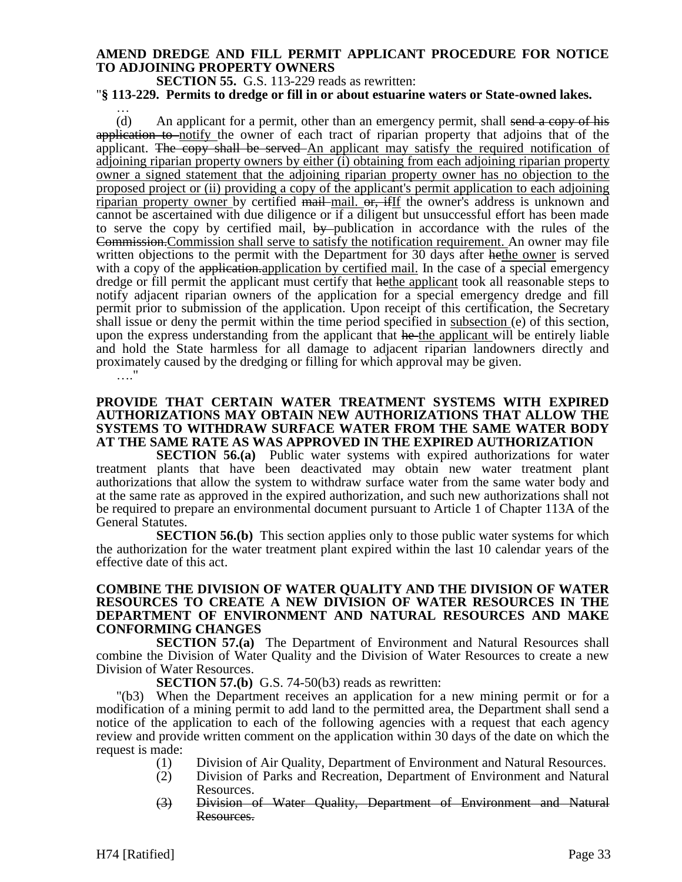# **AMEND DREDGE AND FILL PERMIT APPLICANT PROCEDURE FOR NOTICE TO ADJOINING PROPERTY OWNERS**

**SECTION 55.** G.S. 113-229 reads as rewritten:

…

"**§ 113-229. Permits to dredge or fill in or about estuarine waters or State-owned lakes.**

(d) An applicant for a permit, other than an emergency permit, shall send a copy of his application to notify the owner of each tract of riparian property that adjoins that of the applicant. The copy shall be served An applicant may satisfy the required notification of adjoining riparian property owners by either (i) obtaining from each adjoining riparian property owner a signed statement that the adjoining riparian property owner has no objection to the proposed project or (ii) providing a copy of the applicant's permit application to each adjoining riparian property owner by certified mail mail. or, if If the owner's address is unknown and cannot be ascertained with due diligence or if a diligent but unsuccessful effort has been made to serve the copy by certified mail, by publication in accordance with the rules of the Commission.Commission shall serve to satisfy the notification requirement. An owner may file written objections to the permit with the Department for 30 days after hethe owner is served with a copy of the application.application by certified mail. In the case of a special emergency dredge or fill permit the applicant must certify that hethe applicant took all reasonable steps to notify adjacent riparian owners of the application for a special emergency dredge and fill permit prior to submission of the application. Upon receipt of this certification, the Secretary shall issue or deny the permit within the time period specified in subsection (e) of this section, upon the express understanding from the applicant that he the applicant will be entirely liable and hold the State harmless for all damage to adjacent riparian landowners directly and proximately caused by the dredging or filling for which approval may be given. …<sup>"</sup>

# **PROVIDE THAT CERTAIN WATER TREATMENT SYSTEMS WITH EXPIRED AUTHORIZATIONS MAY OBTAIN NEW AUTHORIZATIONS THAT ALLOW THE SYSTEMS TO WITHDRAW SURFACE WATER FROM THE SAME WATER BODY AT THE SAME RATE AS WAS APPROVED IN THE EXPIRED AUTHORIZATION**

**SECTION 56.(a)** Public water systems with expired authorizations for water treatment plants that have been deactivated may obtain new water treatment plant authorizations that allow the system to withdraw surface water from the same water body and at the same rate as approved in the expired authorization, and such new authorizations shall not be required to prepare an environmental document pursuant to Article 1 of Chapter 113A of the General Statutes.

**SECTION 56.(b)** This section applies only to those public water systems for which the authorization for the water treatment plant expired within the last 10 calendar years of the effective date of this act.

# **COMBINE THE DIVISION OF WATER QUALITY AND THE DIVISION OF WATER RESOURCES TO CREATE A NEW DIVISION OF WATER RESOURCES IN THE DEPARTMENT OF ENVIRONMENT AND NATURAL RESOURCES AND MAKE CONFORMING CHANGES**

**SECTION 57.(a)** The Department of Environment and Natural Resources shall combine the Division of Water Quality and the Division of Water Resources to create a new Division of Water Resources.

**SECTION 57.(b)** G.S. 74-50(b3) reads as rewritten:

"(b3) When the Department receives an application for a new mining permit or for a modification of a mining permit to add land to the permitted area, the Department shall send a notice of the application to each of the following agencies with a request that each agency review and provide written comment on the application within 30 days of the date on which the request is made:

- (1) Division of Air Quality, Department of Environment and Natural Resources.
- (2) Division of Parks and Recreation, Department of Environment and Natural Resources.
- (3) Division of Water Quality, Department of Environment and Natural Resources.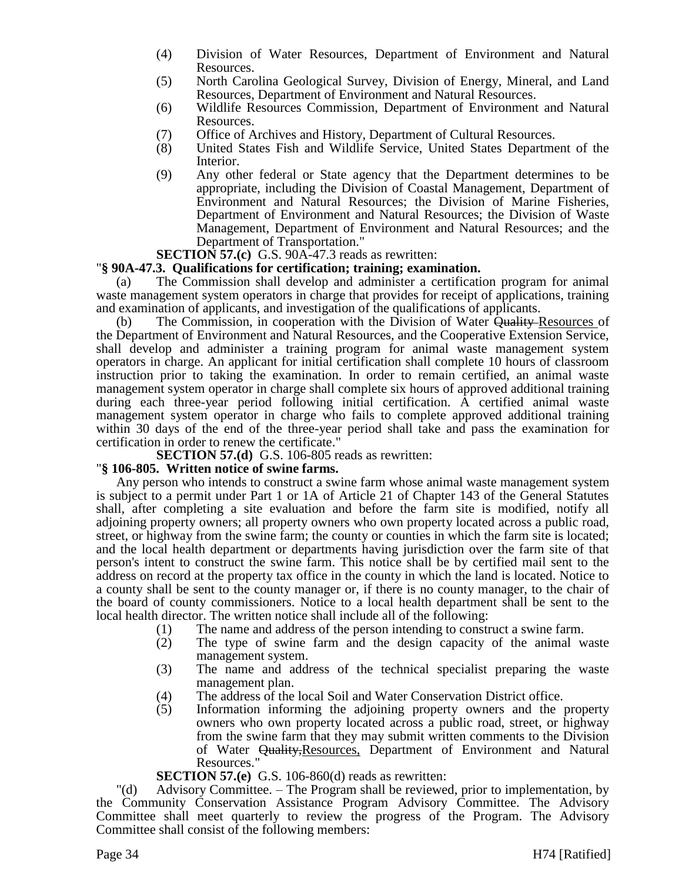- (4) Division of Water Resources, Department of Environment and Natural Resources.
- (5) North Carolina Geological Survey, Division of Energy, Mineral, and Land Resources, Department of Environment and Natural Resources.
- (6) Wildlife Resources Commission, Department of Environment and Natural Resources.
- (7) Office of Archives and History, Department of Cultural Resources.<br>
(8) United States Fish and Wildlife Service, United States Department
- United States Fish and Wildlife Service, United States Department of the Interior.
- (9) Any other federal or State agency that the Department determines to be appropriate, including the Division of Coastal Management, Department of Environment and Natural Resources; the Division of Marine Fisheries, Department of Environment and Natural Resources; the Division of Waste Management, Department of Environment and Natural Resources; and the Department of Transportation."

**SECTION 57.(c)** G.S. 90A-47.3 reads as rewritten:

#### "**§ 90A-47.3. Qualifications for certification; training; examination.**

(a) The Commission shall develop and administer a certification program for animal waste management system operators in charge that provides for receipt of applications, training and examination of applicants, and investigation of the qualifications of applicants.

(b) The Commission, in cooperation with the Division of Water Quality–Resources of the Department of Environment and Natural Resources, and the Cooperative Extension Service, shall develop and administer a training program for animal waste management system operators in charge. An applicant for initial certification shall complete 10 hours of classroom instruction prior to taking the examination. In order to remain certified, an animal waste management system operator in charge shall complete six hours of approved additional training during each three-year period following initial certification. A certified animal waste management system operator in charge who fails to complete approved additional training within 30 days of the end of the three-year period shall take and pass the examination for certification in order to renew the certificate."

**SECTION 57.(d)** G.S. 106-805 reads as rewritten:

# "**§ 106-805. Written notice of swine farms.**

Any person who intends to construct a swine farm whose animal waste management system is subject to a permit under Part 1 or 1A of Article 21 of Chapter 143 of the General Statutes shall, after completing a site evaluation and before the farm site is modified, notify all adjoining property owners; all property owners who own property located across a public road, street, or highway from the swine farm; the county or counties in which the farm site is located; and the local health department or departments having jurisdiction over the farm site of that person's intent to construct the swine farm. This notice shall be by certified mail sent to the address on record at the property tax office in the county in which the land is located. Notice to a county shall be sent to the county manager or, if there is no county manager, to the chair of the board of county commissioners. Notice to a local health department shall be sent to the local health director. The written notice shall include all of the following:

- 
- (1) The name and address of the person intending to construct a swine farm.<br>(2) The type of swine farm and the design capacity of the animal w The type of swine farm and the design capacity of the animal waste management system.
- (3) The name and address of the technical specialist preparing the waste management plan.
- (4) The address of the local Soil and Water Conservation District office.
- (5) Information informing the adjoining property owners and the property owners who own property located across a public road, street, or highway from the swine farm that they may submit written comments to the Division of Water Quality,Resources, Department of Environment and Natural Resources."

# **SECTION 57.(e)** G.S. 106-860(d) reads as rewritten:

"(d) Advisory Committee. – The Program shall be reviewed, prior to implementation, by the Community Conservation Assistance Program Advisory Committee. The Advisory Committee shall meet quarterly to review the progress of the Program. The Advisory Committee shall consist of the following members: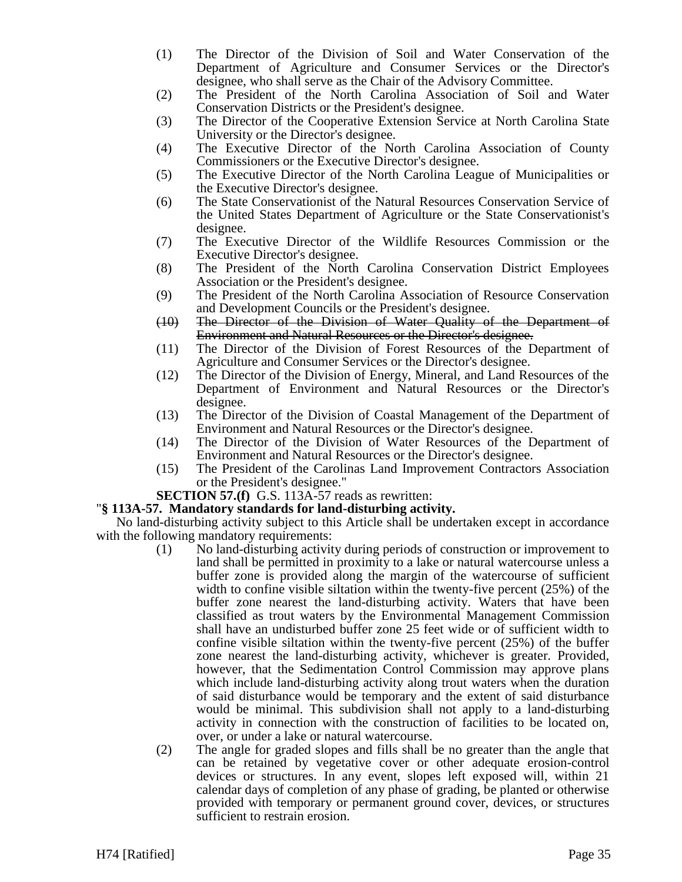- (1) The Director of the Division of Soil and Water Conservation of the Department of Agriculture and Consumer Services or the Director's designee, who shall serve as the Chair of the Advisory Committee.
- (2) The President of the North Carolina Association of Soil and Water Conservation Districts or the President's designee.
- (3) The Director of the Cooperative Extension Service at North Carolina State University or the Director's designee.
- (4) The Executive Director of the North Carolina Association of County Commissioners or the Executive Director's designee.
- (5) The Executive Director of the North Carolina League of Municipalities or the Executive Director's designee.
- (6) The State Conservationist of the Natural Resources Conservation Service of the United States Department of Agriculture or the State Conservationist's designee.
- (7) The Executive Director of the Wildlife Resources Commission or the Executive Director's designee.
- (8) The President of the North Carolina Conservation District Employees Association or the President's designee.
- (9) The President of the North Carolina Association of Resource Conservation and Development Councils or the President's designee.
- (10) The Director of the Division of Water Quality of the Department of Environment and Natural Resources or the Director's designee.
- (11) The Director of the Division of Forest Resources of the Department of Agriculture and Consumer Services or the Director's designee.
- (12) The Director of the Division of Energy, Mineral, and Land Resources of the Department of Environment and Natural Resources or the Director's designee.
- (13) The Director of the Division of Coastal Management of the Department of Environment and Natural Resources or the Director's designee.
- (14) The Director of the Division of Water Resources of the Department of Environment and Natural Resources or the Director's designee.
- (15) The President of the Carolinas Land Improvement Contractors Association or the President's designee."

# **SECTION 57.(f)** G.S. 113A-57 reads as rewritten:

# "**§ 113A-57. Mandatory standards for land-disturbing activity.**

No land-disturbing activity subject to this Article shall be undertaken except in accordance with the following mandatory requirements:

- (1) No land-disturbing activity during periods of construction or improvement to land shall be permitted in proximity to a lake or natural watercourse unless a buffer zone is provided along the margin of the watercourse of sufficient width to confine visible siltation within the twenty-five percent (25%) of the buffer zone nearest the land-disturbing activity. Waters that have been classified as trout waters by the Environmental Management Commission shall have an undisturbed buffer zone 25 feet wide or of sufficient width to confine visible siltation within the twenty-five percent (25%) of the buffer zone nearest the land-disturbing activity, whichever is greater. Provided, however, that the Sedimentation Control Commission may approve plans which include land-disturbing activity along trout waters when the duration of said disturbance would be temporary and the extent of said disturbance would be minimal. This subdivision shall not apply to a land-disturbing activity in connection with the construction of facilities to be located on, over, or under a lake or natural watercourse.
- (2) The angle for graded slopes and fills shall be no greater than the angle that can be retained by vegetative cover or other adequate erosion-control devices or structures. In any event, slopes left exposed will, within 21 calendar days of completion of any phase of grading, be planted or otherwise provided with temporary or permanent ground cover, devices, or structures sufficient to restrain erosion.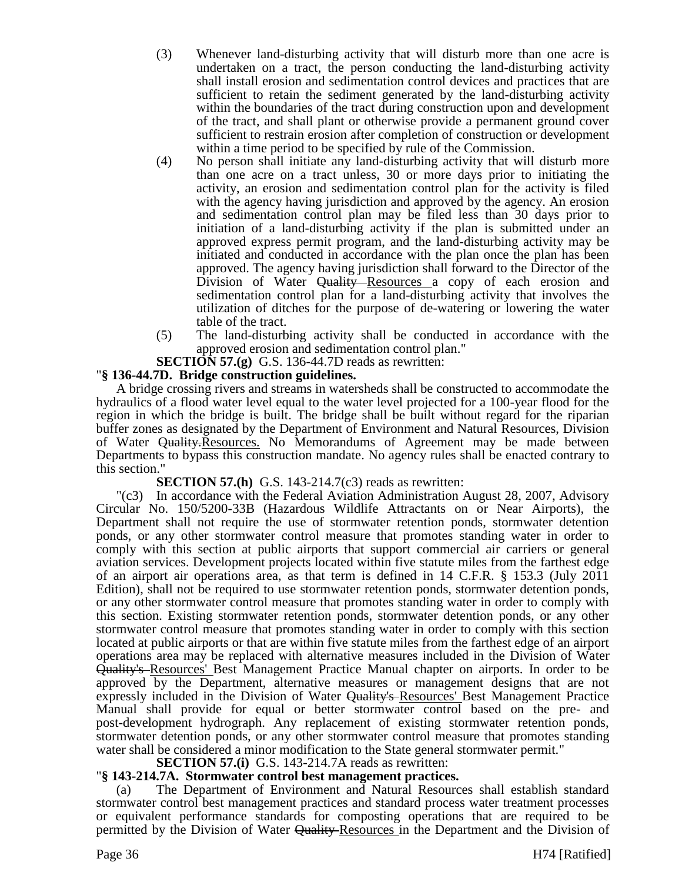- (3) Whenever land-disturbing activity that will disturb more than one acre is undertaken on a tract, the person conducting the land-disturbing activity shall install erosion and sedimentation control devices and practices that are sufficient to retain the sediment generated by the land-disturbing activity within the boundaries of the tract during construction upon and development of the tract, and shall plant or otherwise provide a permanent ground cover sufficient to restrain erosion after completion of construction or development within a time period to be specified by rule of the Commission.
- (4) No person shall initiate any land-disturbing activity that will disturb more than one acre on a tract unless, 30 or more days prior to initiating the activity, an erosion and sedimentation control plan for the activity is filed with the agency having jurisdiction and approved by the agency. An erosion and sedimentation control plan may be filed less than 30 days prior to initiation of a land-disturbing activity if the plan is submitted under an approved express permit program, and the land-disturbing activity may be initiated and conducted in accordance with the plan once the plan has been approved. The agency having jurisdiction shall forward to the Director of the Division of Water Quality Resources a copy of each erosion and sedimentation control plan for a land-disturbing activity that involves the utilization of ditches for the purpose of de-watering or lowering the water table of the tract.
- (5) The land-disturbing activity shall be conducted in accordance with the approved erosion and sedimentation control plan."

**SECTION 57.(g)** G.S. 136-44.7D reads as rewritten:

# "**§ 136-44.7D. Bridge construction guidelines.**

A bridge crossing rivers and streams in watersheds shall be constructed to accommodate the hydraulics of a flood water level equal to the water level projected for a 100-year flood for the region in which the bridge is built. The bridge shall be built without regard for the riparian buffer zones as designated by the Department of Environment and Natural Resources, Division of Water Quality.Resources. No Memorandums of Agreement may be made between Departments to bypass this construction mandate. No agency rules shall be enacted contrary to this section."

**SECTION 57.(h)** G.S. 143-214.7(c3) reads as rewritten:

"(c3) In accordance with the Federal Aviation Administration August 28, 2007, Advisory Circular No. 150/5200-33B (Hazardous Wildlife Attractants on or Near Airports), the Department shall not require the use of stormwater retention ponds, stormwater detention ponds, or any other stormwater control measure that promotes standing water in order to comply with this section at public airports that support commercial air carriers or general aviation services. Development projects located within five statute miles from the farthest edge of an airport air operations area, as that term is defined in 14 C.F.R. § 153.3 (July 2011 Edition), shall not be required to use stormwater retention ponds, stormwater detention ponds, or any other stormwater control measure that promotes standing water in order to comply with this section. Existing stormwater retention ponds, stormwater detention ponds, or any other stormwater control measure that promotes standing water in order to comply with this section located at public airports or that are within five statute miles from the farthest edge of an airport operations area may be replaced with alternative measures included in the Division of Water Quality's Resources' Best Management Practice Manual chapter on airports. In order to be approved by the Department, alternative measures or management designs that are not expressly included in the Division of Water Quality's Resources' Best Management Practice Manual shall provide for equal or better stormwater control based on the pre- and post-development hydrograph. Any replacement of existing stormwater retention ponds, stormwater detention ponds, or any other stormwater control measure that promotes standing water shall be considered a minor modification to the State general stormwater permit."

# **SECTION 57.(i)** G.S. 143-214.7A reads as rewritten:

# "**§ 143-214.7A. Stormwater control best management practices.**

(a) The Department of Environment and Natural Resources shall establish standard stormwater control best management practices and standard process water treatment processes or equivalent performance standards for composting operations that are required to be permitted by the Division of Water Quality Resources in the Department and the Division of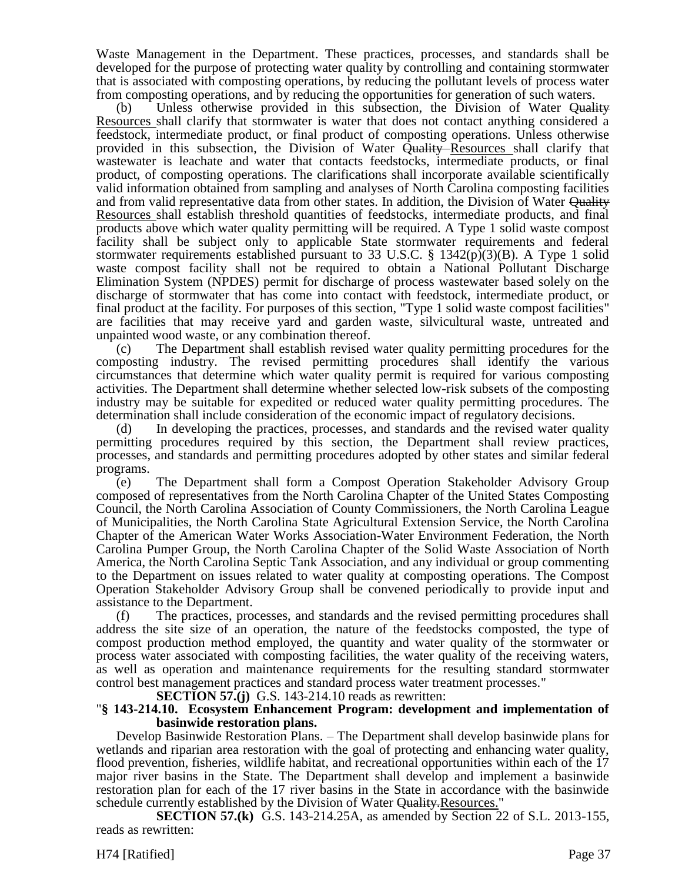Waste Management in the Department. These practices, processes, and standards shall be developed for the purpose of protecting water quality by controlling and containing stormwater that is associated with composting operations, by reducing the pollutant levels of process water from composting operations, and by reducing the opportunities for generation of such waters.

(b) Unless otherwise provided in this subsection, the Division of Water  $\Theta$ uality Resources shall clarify that stormwater is water that does not contact anything considered a feedstock, intermediate product, or final product of composting operations. Unless otherwise provided in this subsection, the Division of Water Quality Resources shall clarify that wastewater is leachate and water that contacts feedstocks, intermediate products, or final product, of composting operations. The clarifications shall incorporate available scientifically valid information obtained from sampling and analyses of North Carolina composting facilities and from valid representative data from other states. In addition, the Division of Water Quality Resources shall establish threshold quantities of feedstocks, intermediate products, and final products above which water quality permitting will be required. A Type 1 solid waste compost facility shall be subject only to applicable State stormwater requirements and federal stormwater requirements established pursuant to 33 U.S.C. § 1342(p)(3)(B). A Type 1 solid waste compost facility shall not be required to obtain a National Pollutant Discharge Elimination System (NPDES) permit for discharge of process wastewater based solely on the discharge of stormwater that has come into contact with feedstock, intermediate product, or final product at the facility. For purposes of this section, "Type 1 solid waste compost facilities" are facilities that may receive yard and garden waste, silvicultural waste, untreated and unpainted wood waste, or any combination thereof.

(c) The Department shall establish revised water quality permitting procedures for the composting industry. The revised permitting procedures shall identify the various circumstances that determine which water quality permit is required for various composting activities. The Department shall determine whether selected low-risk subsets of the composting industry may be suitable for expedited or reduced water quality permitting procedures. The determination shall include consideration of the economic impact of regulatory decisions.

(d) In developing the practices, processes, and standards and the revised water quality permitting procedures required by this section, the Department shall review practices, processes, and standards and permitting procedures adopted by other states and similar federal programs.

(e) The Department shall form a Compost Operation Stakeholder Advisory Group composed of representatives from the North Carolina Chapter of the United States Composting Council, the North Carolina Association of County Commissioners, the North Carolina League of Municipalities, the North Carolina State Agricultural Extension Service, the North Carolina Chapter of the American Water Works Association-Water Environment Federation, the North Carolina Pumper Group, the North Carolina Chapter of the Solid Waste Association of North America, the North Carolina Septic Tank Association, and any individual or group commenting to the Department on issues related to water quality at composting operations. The Compost Operation Stakeholder Advisory Group shall be convened periodically to provide input and assistance to the Department.

(f) The practices, processes, and standards and the revised permitting procedures shall address the site size of an operation, the nature of the feedstocks composted, the type of compost production method employed, the quantity and water quality of the stormwater or process water associated with composting facilities, the water quality of the receiving waters, as well as operation and maintenance requirements for the resulting standard stormwater control best management practices and standard process water treatment processes."

**SECTION 57.(j)** G.S. 143-214.10 reads as rewritten:

#### "**§ 143-214.10. Ecosystem Enhancement Program: development and implementation of basinwide restoration plans.**

Develop Basinwide Restoration Plans. – The Department shall develop basinwide plans for wetlands and riparian area restoration with the goal of protecting and enhancing water quality, flood prevention, fisheries, wildlife habitat, and recreational opportunities within each of the 17 major river basins in the State. The Department shall develop and implement a basinwide restoration plan for each of the 17 river basins in the State in accordance with the basinwide schedule currently established by the Division of Water Quality. Resources."

**SECTION 57.(k)** G.S. 143-214.25A, as amended by Section 22 of S.L. 2013-155, reads as rewritten:

H74 [Ratified] Page 37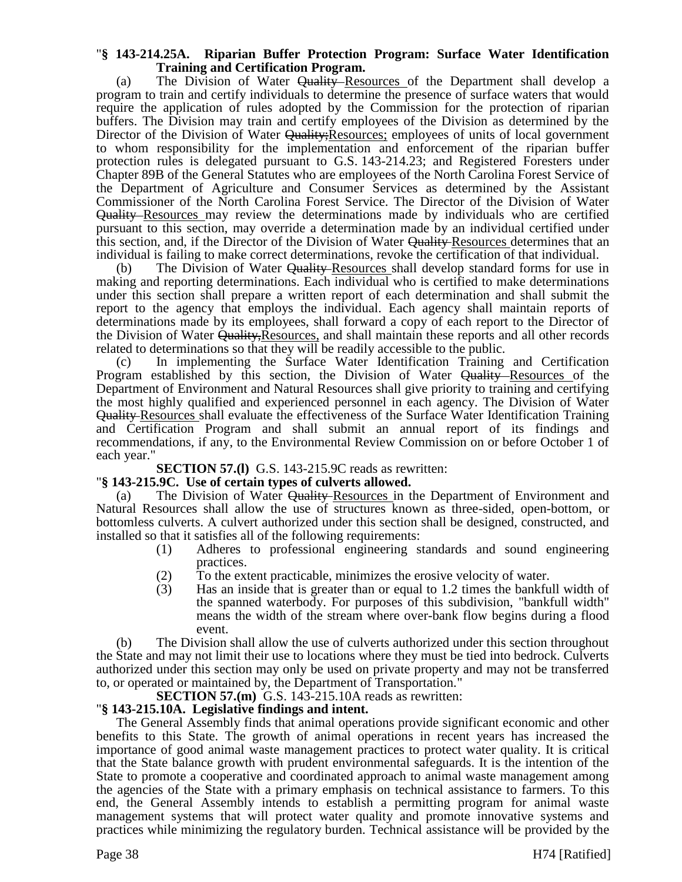# "**§ 143-214.25A. Riparian Buffer Protection Program: Surface Water Identification Training and Certification Program.**

(a) The Division of Water Quality Resources of the Department shall develop a program to train and certify individuals to determine the presence of surface waters that would require the application of rules adopted by the Commission for the protection of riparian buffers. The Division may train and certify employees of the Division as determined by the Director of the Division of Water Quality; Resources; employees of units of local government to whom responsibility for the implementation and enforcement of the riparian buffer protection rules is delegated pursuant to G.S. 143-214.23; and Registered Foresters under Chapter 89B of the General Statutes who are employees of the North Carolina Forest Service of the Department of Agriculture and Consumer Services as determined by the Assistant Commissioner of the North Carolina Forest Service. The Director of the Division of Water Quality Resources may review the determinations made by individuals who are certified pursuant to this section, may override a determination made by an individual certified under this section, and, if the Director of the Division of Water Quality Resources determines that an individual is failing to make correct determinations, revoke the certification of that individual.

(b) The Division of Water Quality-Resources shall develop standard forms for use in making and reporting determinations. Each individual who is certified to make determinations under this section shall prepare a written report of each determination and shall submit the report to the agency that employs the individual. Each agency shall maintain reports of determinations made by its employees, shall forward a copy of each report to the Director of the Division of Water Quality, Resources, and shall maintain these reports and all other records related to determinations so that they will be readily accessible to the public.

(c) In implementing the Surface Water Identification Training and Certification Program established by this section, the Division of Water Quality Resources of the Department of Environment and Natural Resources shall give priority to training and certifying the most highly qualified and experienced personnel in each agency. The Division of Water Quality Resources shall evaluate the effectiveness of the Surface Water Identification Training and Certification Program and shall submit an annual report of its findings and recommendations, if any, to the Environmental Review Commission on or before October 1 of each year."

**SECTION 57.(l)** G.S. 143-215.9C reads as rewritten:

# "**§ 143-215.9C. Use of certain types of culverts allowed.**

(a) The Division of Water Quality Resources in the Department of Environment and Natural Resources shall allow the use of structures known as three-sided, open-bottom, or bottomless culverts. A culvert authorized under this section shall be designed, constructed, and installed so that it satisfies all of the following requirements:

- (1) Adheres to professional engineering standards and sound engineering practices.
- (2) To the extent practicable, minimizes the erosive velocity of water.
- (3) Has an inside that is greater than or equal to 1.2 times the bankfull width of the spanned waterbody. For purposes of this subdivision, "bankfull width" means the width of the stream where over-bank flow begins during a flood event.

(b) The Division shall allow the use of culverts authorized under this section throughout the State and may not limit their use to locations where they must be tied into bedrock. Culverts authorized under this section may only be used on private property and may not be transferred to, or operated or maintained by, the Department of Transportation."

**SECTION 57.(m)** G.S. 143-215.10A reads as rewritten:

# "**§ 143-215.10A. Legislative findings and intent.**

The General Assembly finds that animal operations provide significant economic and other benefits to this State. The growth of animal operations in recent years has increased the importance of good animal waste management practices to protect water quality. It is critical that the State balance growth with prudent environmental safeguards. It is the intention of the State to promote a cooperative and coordinated approach to animal waste management among the agencies of the State with a primary emphasis on technical assistance to farmers. To this end, the General Assembly intends to establish a permitting program for animal waste management systems that will protect water quality and promote innovative systems and practices while minimizing the regulatory burden. Technical assistance will be provided by the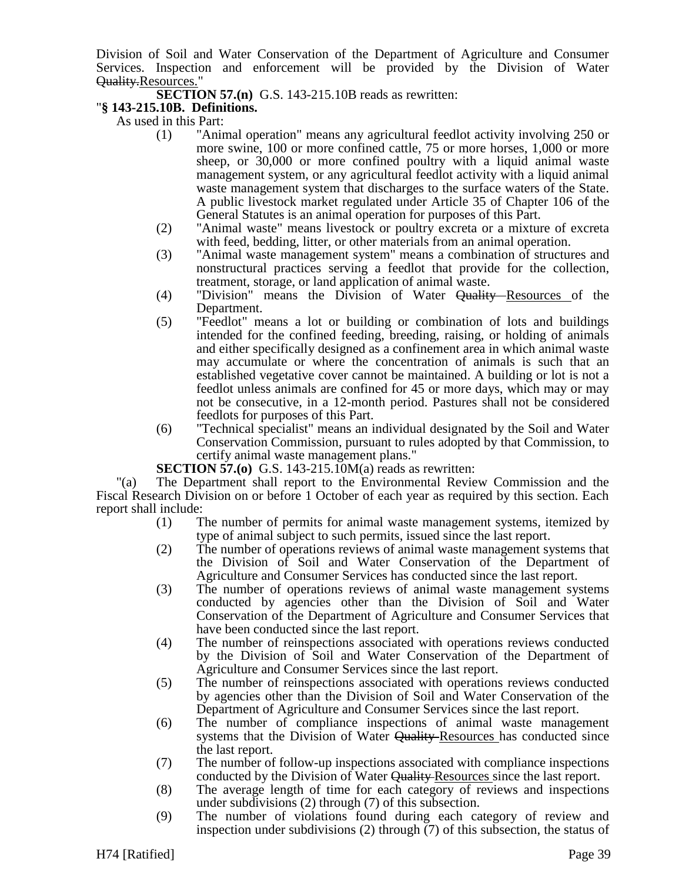Division of Soil and Water Conservation of the Department of Agriculture and Consumer Services. Inspection and enforcement will be provided by the Division of Water Quality.Resources."

**SECTION 57.(n)** G.S. 143-215.10B reads as rewritten:

# "**§ 143-215.10B. Definitions.**

As used in this Part:

- (1) "Animal operation" means any agricultural feedlot activity involving 250 or more swine, 100 or more confined cattle, 75 or more horses, 1,000 or more sheep, or 30,000 or more confined poultry with a liquid animal waste management system, or any agricultural feedlot activity with a liquid animal waste management system that discharges to the surface waters of the State. A public livestock market regulated under Article 35 of Chapter 106 of the General Statutes is an animal operation for purposes of this Part.
- (2) "Animal waste" means livestock or poultry excreta or a mixture of excreta with feed, bedding, litter, or other materials from an animal operation.
- (3) "Animal waste management system" means a combination of structures and nonstructural practices serving a feedlot that provide for the collection, treatment, storage, or land application of animal waste.
- (4) "Division" means the Division of Water Quality Resources of the Department.
- (5) "Feedlot" means a lot or building or combination of lots and buildings intended for the confined feeding, breeding, raising, or holding of animals and either specifically designed as a confinement area in which animal waste may accumulate or where the concentration of animals is such that an established vegetative cover cannot be maintained. A building or lot is not a feedlot unless animals are confined for 45 or more days, which may or may not be consecutive, in a 12-month period. Pastures shall not be considered feedlots for purposes of this Part.
- (6) "Technical specialist" means an individual designated by the Soil and Water Conservation Commission, pursuant to rules adopted by that Commission, to certify animal waste management plans."

**SECTION 57.(0)** G.S. 143-215.10M(a) reads as rewritten:

"(a) The Department shall report to the Environmental Review Commission and the Fiscal Research Division on or before 1 October of each year as required by this section. Each report shall include:

- (1) The number of permits for animal waste management systems, itemized by type of animal subject to such permits, issued since the last report.
- (2) The number of operations reviews of animal waste management systems that the Division of Soil and Water Conservation of the Department of Agriculture and Consumer Services has conducted since the last report.
- (3) The number of operations reviews of animal waste management systems conducted by agencies other than the Division of Soil and Water Conservation of the Department of Agriculture and Consumer Services that have been conducted since the last report.
- (4) The number of reinspections associated with operations reviews conducted by the Division of Soil and Water Conservation of the Department of Agriculture and Consumer Services since the last report.
- (5) The number of reinspections associated with operations reviews conducted by agencies other than the Division of Soil and Water Conservation of the Department of Agriculture and Consumer Services since the last report.
- (6) The number of compliance inspections of animal waste management systems that the Division of Water Quality-Resources has conducted since the last report.
- (7) The number of follow-up inspections associated with compliance inspections conducted by the Division of Water Quality Resources since the last report.
- (8) The average length of time for each category of reviews and inspections under subdivisions (2) through (7) of this subsection.
- (9) The number of violations found during each category of review and inspection under subdivisions (2) through (7) of this subsection, the status of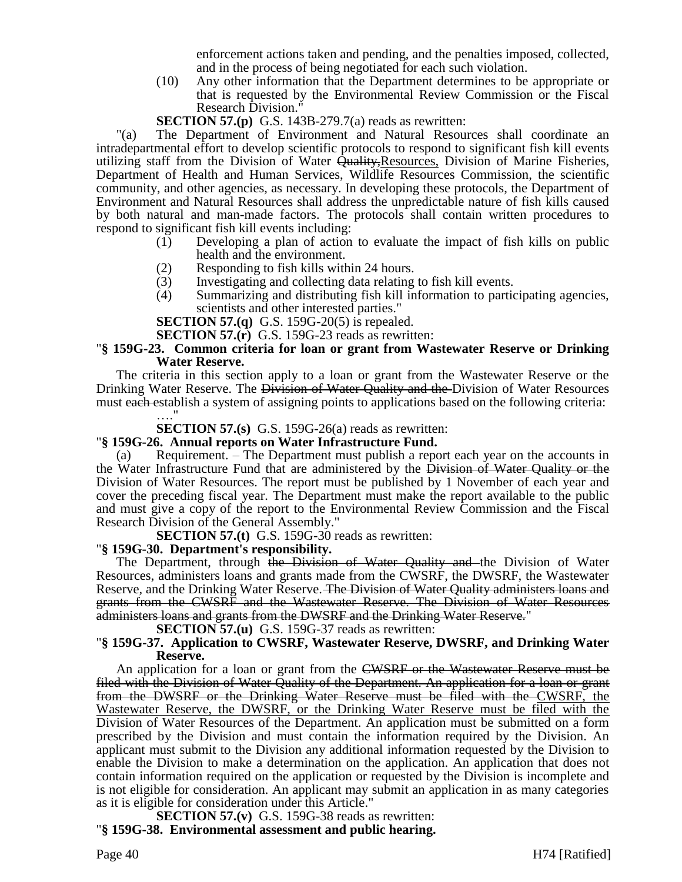enforcement actions taken and pending, and the penalties imposed, collected, and in the process of being negotiated for each such violation.

(10) Any other information that the Department determines to be appropriate or that is requested by the Environmental Review Commission or the Fiscal Research Division."

**SECTION 57.(p)** G.S. 143B-279.7(a) reads as rewritten:

"(a) The Department of Environment and Natural Resources shall coordinate an intradepartmental effort to develop scientific protocols to respond to significant fish kill events utilizing staff from the Division of Water Quality, Resources, Division of Marine Fisheries, Department of Health and Human Services, Wildlife Resources Commission, the scientific community, and other agencies, as necessary. In developing these protocols, the Department of Environment and Natural Resources shall address the unpredictable nature of fish kills caused by both natural and man-made factors. The protocols shall contain written procedures to respond to significant fish kill events including:

- (1) Developing a plan of action to evaluate the impact of fish kills on public health and the environment.
- 
- (2) Responding to fish kills within 24 hours.<br>(3) Investigating and collecting data relating
- (3) Investigating and collecting data relating to fish kill events.<br>
(4) Summarizing and distributing fish kill information to particle Summarizing and distributing fish kill information to participating agencies, scientists and other interested parties."

**SECTION 57.(q)** G.S. 159G-20(5) is repealed.

**SECTION 57.(r)** G.S. 159G-23 reads as rewritten:

# "**§ 159G-23. Common criteria for loan or grant from Wastewater Reserve or Drinking Water Reserve.**

The criteria in this section apply to a loan or grant from the Wastewater Reserve or the Drinking Water Reserve. The Division of Water Quality and the Division of Water Resources must each establish a system of assigning points to applications based on the following criteria:

#### …." **SECTION 57.(s)** G.S. 159G-26(a) reads as rewritten:

# "**§ 159G-26. Annual reports on Water Infrastructure Fund.**

(a) Requirement. – The Department must publish a report each year on the accounts in the Water Infrastructure Fund that are administered by the Division of Water Quality or the Division of Water Resources. The report must be published by 1 November of each year and cover the preceding fiscal year. The Department must make the report available to the public and must give a copy of the report to the Environmental Review Commission and the Fiscal Research Division of the General Assembly."

**SECTION 57.(t)** G.S. 159G-30 reads as rewritten:

# "**§ 159G-30. Department's responsibility.**

The Department, through the Division of Water Quality and the Division of Water Resources, administers loans and grants made from the CWSRF, the DWSRF, the Wastewater Reserve, and the Drinking Water Reserve. The Division of Water Quality administers loans and grants from the CWSRF and the Wastewater Reserve. The Division of Water Resources administers loans and grants from the DWSRF and the Drinking Water Reserve."

**SECTION 57.(u)** G.S. 159G-37 reads as rewritten:

# "**§ 159G-37. Application to CWSRF, Wastewater Reserve, DWSRF, and Drinking Water Reserve.**

An application for a loan or grant from the CWSRF or the Wastewater Reserve must be filed with the Division of Water Quality of the Department. An application for a loan or grant from the DWSRF or the Drinking Water Reserve must be filed with the CWSRF, the Wastewater Reserve, the DWSRF, or the Drinking Water Reserve must be filed with the Division of Water Resources of the Department. An application must be submitted on a form prescribed by the Division and must contain the information required by the Division. An applicant must submit to the Division any additional information requested by the Division to enable the Division to make a determination on the application. An application that does not contain information required on the application or requested by the Division is incomplete and is not eligible for consideration. An applicant may submit an application in as many categories as it is eligible for consideration under this Article."

**SECTION 57.(v)** G.S. 159G-38 reads as rewritten: "**§ 159G-38. Environmental assessment and public hearing.**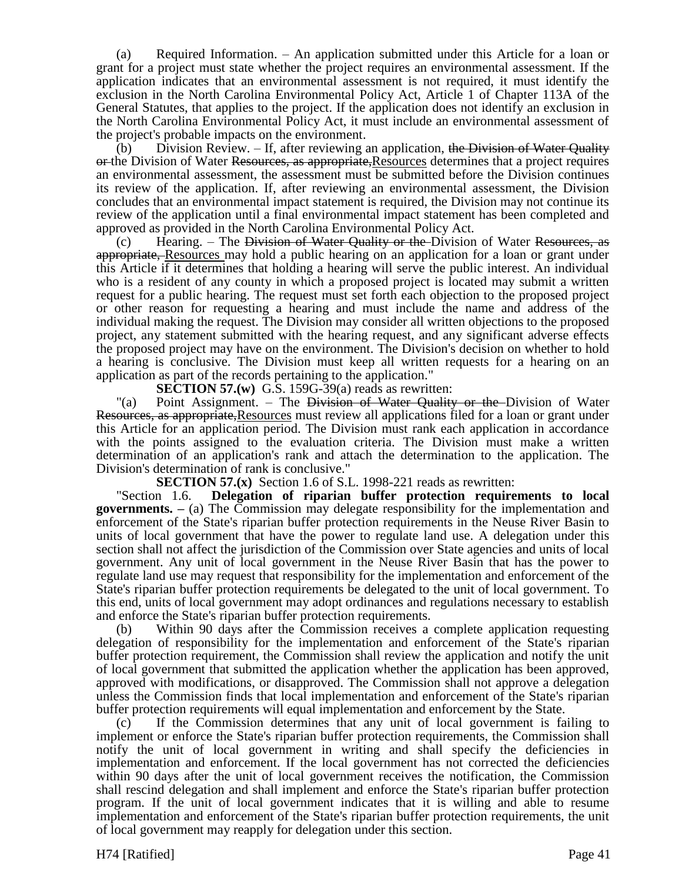(a) Required Information. – An application submitted under this Article for a loan or grant for a project must state whether the project requires an environmental assessment. If the application indicates that an environmental assessment is not required, it must identify the exclusion in the North Carolina Environmental Policy Act, Article 1 of Chapter 113A of the General Statutes, that applies to the project. If the application does not identify an exclusion in the North Carolina Environmental Policy Act, it must include an environmental assessment of the project's probable impacts on the environment.

(b) Division Review.  $-$  If, after reviewing an application, the Division of Water Quality or the Division of Water Resources, as appropriate, Resources determines that a project requires an environmental assessment, the assessment must be submitted before the Division continues its review of the application. If, after reviewing an environmental assessment, the Division concludes that an environmental impact statement is required, the Division may not continue its review of the application until a final environmental impact statement has been completed and approved as provided in the North Carolina Environmental Policy Act.

(c) Hearing. – The Division of Water Quality or the Division of Water Resources, as appropriate, Resources may hold a public hearing on an application for a loan or grant under this Article if it determines that holding a hearing will serve the public interest. An individual who is a resident of any county in which a proposed project is located may submit a written request for a public hearing. The request must set forth each objection to the proposed project or other reason for requesting a hearing and must include the name and address of the individual making the request. The Division may consider all written objections to the proposed project, any statement submitted with the hearing request, and any significant adverse effects the proposed project may have on the environment. The Division's decision on whether to hold a hearing is conclusive. The Division must keep all written requests for a hearing on an application as part of the records pertaining to the application."

**SECTION 57.(w)** G.S. 159G-39(a) reads as rewritten:

"(a) Point Assignment. – The Division of Water Quality or the Division of Water Resources, as appropriate,Resources must review all applications filed for a loan or grant under this Article for an application period. The Division must rank each application in accordance with the points assigned to the evaluation criteria. The Division must make a written determination of an application's rank and attach the determination to the application. The Division's determination of rank is conclusive."

**SECTION 57.(x)** Section 1.6 of S.L. 1998-221 reads as rewritten:

"Section 1.6. **Delegation of riparian buffer protection requirements to local governments. –** (a) The Commission may delegate responsibility for the implementation and enforcement of the State's riparian buffer protection requirements in the Neuse River Basin to units of local government that have the power to regulate land use. A delegation under this section shall not affect the jurisdiction of the Commission over State agencies and units of local government. Any unit of local government in the Neuse River Basin that has the power to regulate land use may request that responsibility for the implementation and enforcement of the State's riparian buffer protection requirements be delegated to the unit of local government. To this end, units of local government may adopt ordinances and regulations necessary to establish and enforce the State's riparian buffer protection requirements.

(b) Within 90 days after the Commission receives a complete application requesting delegation of responsibility for the implementation and enforcement of the State's riparian buffer protection requirement, the Commission shall review the application and notify the unit of local government that submitted the application whether the application has been approved, approved with modifications, or disapproved. The Commission shall not approve a delegation unless the Commission finds that local implementation and enforcement of the State's riparian buffer protection requirements will equal implementation and enforcement by the State.

(c) If the Commission determines that any unit of local government is failing to implement or enforce the State's riparian buffer protection requirements, the Commission shall notify the unit of local government in writing and shall specify the deficiencies in implementation and enforcement. If the local government has not corrected the deficiencies within 90 days after the unit of local government receives the notification, the Commission shall rescind delegation and shall implement and enforce the State's riparian buffer protection program. If the unit of local government indicates that it is willing and able to resume implementation and enforcement of the State's riparian buffer protection requirements, the unit of local government may reapply for delegation under this section.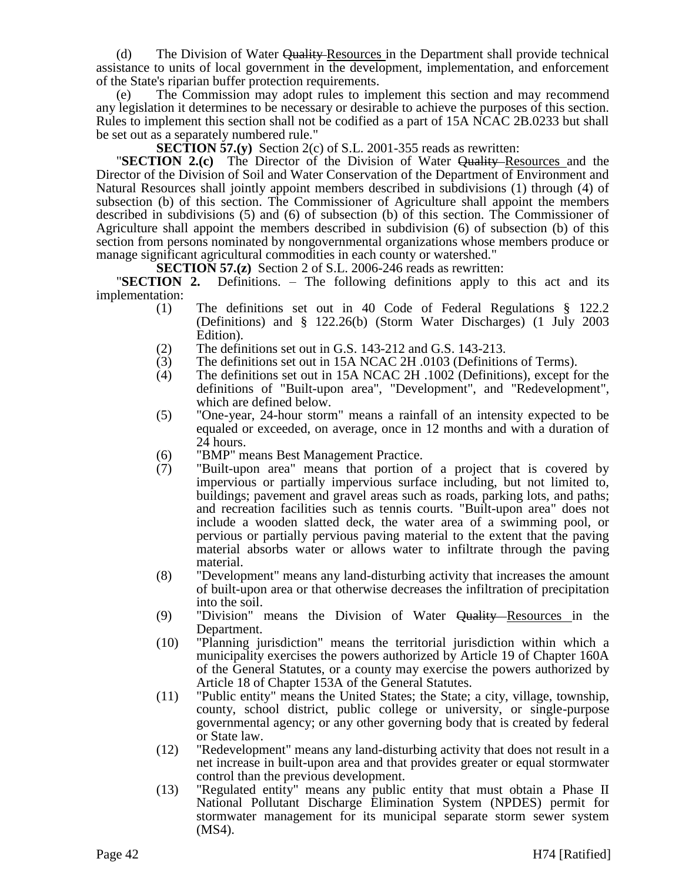(d) The Division of Water Quality-Resources in the Department shall provide technical assistance to units of local government in the development, implementation, and enforcement of the State's riparian buffer protection requirements.

(e) The Commission may adopt rules to implement this section and may recommend any legislation it determines to be necessary or desirable to achieve the purposes of this section. Rules to implement this section shall not be codified as a part of 15A NCAC 2B.0233 but shall be set out as a separately numbered rule."

**SECTION 57.(y)** Section 2(c) of S.L. 2001-355 reads as rewritten:

**"SECTION 2.(c)** The Director of the Division of Water Quality Resources and the Director of the Division of Soil and Water Conservation of the Department of Environment and Natural Resources shall jointly appoint members described in subdivisions (1) through (4) of subsection (b) of this section. The Commissioner of Agriculture shall appoint the members described in subdivisions (5) and (6) of subsection (b) of this section. The Commissioner of Agriculture shall appoint the members described in subdivision (6) of subsection (b) of this section from persons nominated by nongovernmental organizations whose members produce or manage significant agricultural commodities in each county or watershed."

**SECTION 57.(z)** Section 2 of S.L. 2006-246 reads as rewritten:

"**SECTION 2.** Definitions. – The following definitions apply to this act and its implementation:

- (1) The definitions set out in 40 Code of Federal Regulations § 122.2 (Definitions) and § 122.26(b) (Storm Water Discharges) (1 July 2003 Edition).
- (2) The definitions set out in G.S. 143-212 and G.S. 143-213.
- (3) The definitions set out in 15A NCAC 2H .0103 (Definitions of Terms).<br>
(4) The definitions set out in 15A NCAC 2H .1002 (Definitions), except fo
- (4) The definitions set out in 15A NCAC 2H .1002 (Definitions), except for the definitions of "Built-upon area", "Development", and "Redevelopment", which are defined below.
- (5) "One-year, 24-hour storm" means a rainfall of an intensity expected to be equaled or exceeded, on average, once in 12 months and with a duration of  $2\overline{4}$  hours.
- (6) "BMP" means Best Management Practice.
- (7) "Built-upon area" means that portion of a project that is covered by impervious or partially impervious surface including, but not limited to, buildings; pavement and gravel areas such as roads, parking lots, and paths; and recreation facilities such as tennis courts. "Built-upon area" does not include a wooden slatted deck, the water area of a swimming pool, or pervious or partially pervious paving material to the extent that the paving material absorbs water or allows water to infiltrate through the paving material.
- (8) "Development" means any land-disturbing activity that increases the amount of built-upon area or that otherwise decreases the infiltration of precipitation into the soil.
- (9) "Division" means the Division of Water Quality Resources in the Department.
- (10) "Planning jurisdiction" means the territorial jurisdiction within which a municipality exercises the powers authorized by Article 19 of Chapter 160A of the General Statutes, or a county may exercise the powers authorized by Article 18 of Chapter 153A of the General Statutes.
- (11) "Public entity" means the United States; the State; a city, village, township, county, school district, public college or university, or single-purpose governmental agency; or any other governing body that is created by federal or State law.
- (12) "Redevelopment" means any land-disturbing activity that does not result in a net increase in built-upon area and that provides greater or equal stormwater control than the previous development.
- (13) "Regulated entity" means any public entity that must obtain a Phase II National Pollutant Discharge Elimination System (NPDES) permit for stormwater management for its municipal separate storm sewer system (MS4).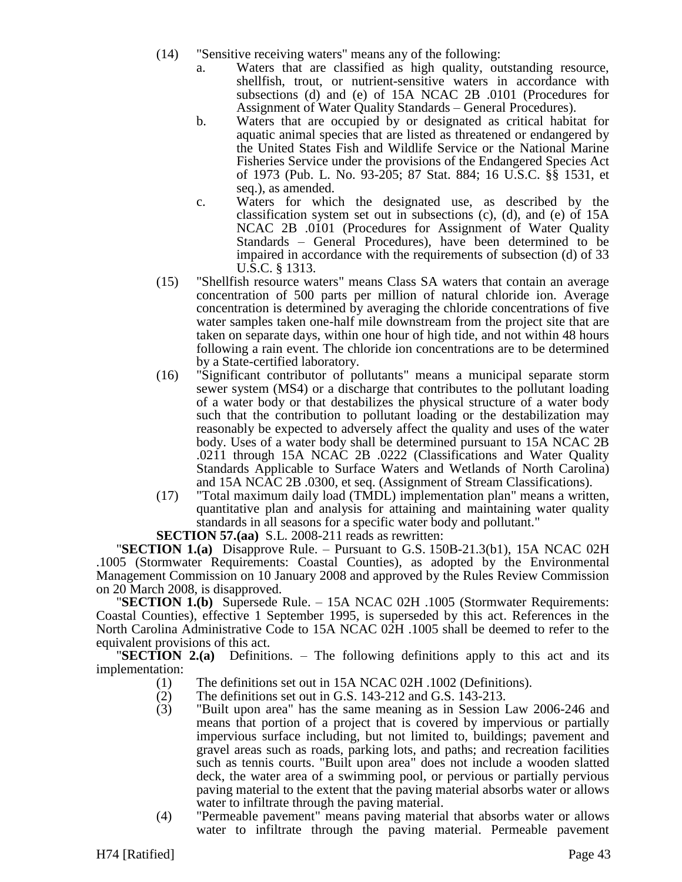- (14) "Sensitive receiving waters" means any of the following:
	- a. Waters that are classified as high quality, outstanding resource, shellfish, trout, or nutrient-sensitive waters in accordance with subsections (d) and (e) of 15A NCAC 2B .0101 (Procedures for Assignment of Water Quality Standards – General Procedures).
	- b. Waters that are occupied by or designated as critical habitat for aquatic animal species that are listed as threatened or endangered by the United States Fish and Wildlife Service or the National Marine Fisheries Service under the provisions of the Endangered Species Act of 1973 (Pub. L. No. 93-205; 87 Stat. 884; 16 U.S.C. §§ 1531, et seq.), as amended.
	- c. Waters for which the designated use, as described by the classification system set out in subsections (c), (d), and (e) of 15A NCAC 2B .0101 (Procedures for Assignment of Water Quality Standards – General Procedures), have been determined to be impaired in accordance with the requirements of subsection (d) of 33 U.S.C. § 1313.
- (15) "Shellfish resource waters" means Class SA waters that contain an average concentration of 500 parts per million of natural chloride ion. Average concentration is determined by averaging the chloride concentrations of five water samples taken one-half mile downstream from the project site that are taken on separate days, within one hour of high tide, and not within 48 hours following a rain event. The chloride ion concentrations are to be determined by a State-certified laboratory.
- (16) "Significant contributor of pollutants" means a municipal separate storm sewer system (MS4) or a discharge that contributes to the pollutant loading of a water body or that destabilizes the physical structure of a water body such that the contribution to pollutant loading or the destabilization may reasonably be expected to adversely affect the quality and uses of the water body. Uses of a water body shall be determined pursuant to 15A NCAC 2B .0211 through 15A NCAC 2B .0222 (Classifications and Water Quality Standards Applicable to Surface Waters and Wetlands of North Carolina) and 15A NCAC 2B .0300, et seq. (Assignment of Stream Classifications).
- (17) "Total maximum daily load (TMDL) implementation plan" means a written, quantitative plan and analysis for attaining and maintaining water quality standards in all seasons for a specific water body and pollutant."

**SECTION 57.(aa)** S.L. 2008-211 reads as rewritten:

"**SECTION 1.(a)** Disapprove Rule. – Pursuant to G.S. 150B-21.3(b1), 15A NCAC 02H .1005 (Stormwater Requirements: Coastal Counties), as adopted by the Environmental Management Commission on 10 January 2008 and approved by the Rules Review Commission on 20 March 2008, is disapproved.

"**SECTION 1.(b)** Supersede Rule. – 15A NCAC 02H .1005 (Stormwater Requirements: Coastal Counties), effective 1 September 1995, is superseded by this act. References in the North Carolina Administrative Code to 15A NCAC 02H .1005 shall be deemed to refer to the equivalent provisions of this act.

"**SECTION 2.(a)** Definitions. – The following definitions apply to this act and its implementation:

- (1) The definitions set out in 15A NCAC 02H .1002 (Definitions).
- (2) The definitions set out in G.S. 143-212 and G.S. 143-213.
- (3) "Built upon area" has the same meaning as in Session Law 2006-246 and means that portion of a project that is covered by impervious or partially impervious surface including, but not limited to, buildings; pavement and gravel areas such as roads, parking lots, and paths; and recreation facilities such as tennis courts. "Built upon area" does not include a wooden slatted deck, the water area of a swimming pool, or pervious or partially pervious paving material to the extent that the paving material absorbs water or allows water to infiltrate through the paving material.
- (4) "Permeable pavement" means paving material that absorbs water or allows water to infiltrate through the paving material. Permeable pavement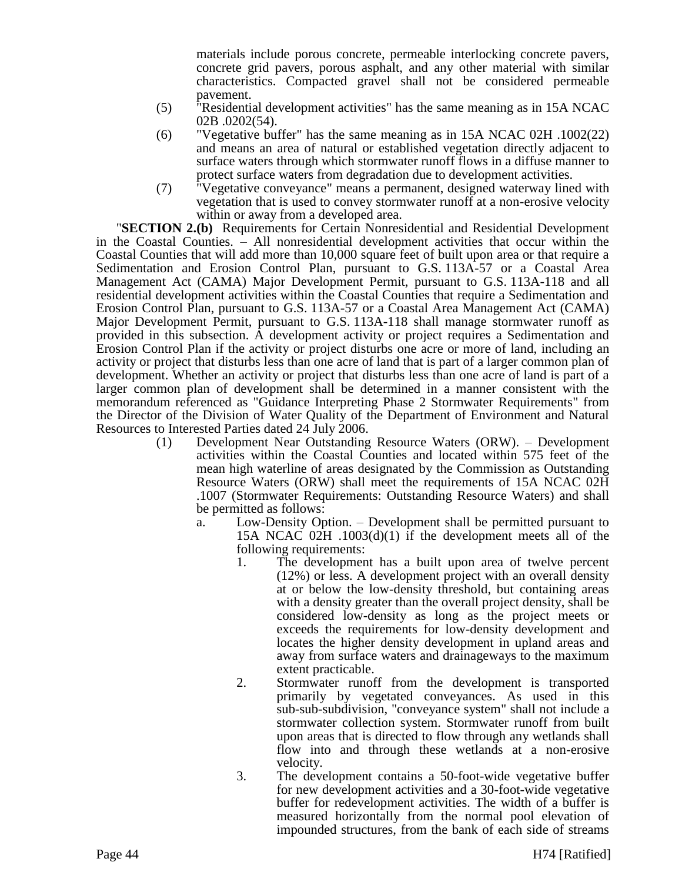materials include porous concrete, permeable interlocking concrete pavers, concrete grid pavers, porous asphalt, and any other material with similar characteristics. Compacted gravel shall not be considered permeable pavement.

- (5) "Residential development activities" has the same meaning as in 15A NCAC 02B .0202(54).
- (6) "Vegetative buffer" has the same meaning as in 15A NCAC 02H .1002(22) and means an area of natural or established vegetation directly adjacent to surface waters through which stormwater runoff flows in a diffuse manner to protect surface waters from degradation due to development activities.
- (7) "Vegetative conveyance" means a permanent, designed waterway lined with vegetation that is used to convey stormwater runoff at a non-erosive velocity within or away from a developed area.

"**SECTION 2.(b)** Requirements for Certain Nonresidential and Residential Development in the Coastal Counties. – All nonresidential development activities that occur within the Coastal Counties that will add more than 10,000 square feet of built upon area or that require a Sedimentation and Erosion Control Plan, pursuant to G.S. 113A-57 or a Coastal Area Management Act (CAMA) Major Development Permit, pursuant to G.S. 113A-118 and all residential development activities within the Coastal Counties that require a Sedimentation and Erosion Control Plan, pursuant to G.S. 113A-57 or a Coastal Area Management Act (CAMA) Major Development Permit, pursuant to G.S. 113A-118 shall manage stormwater runoff as provided in this subsection. A development activity or project requires a Sedimentation and Erosion Control Plan if the activity or project disturbs one acre or more of land, including an activity or project that disturbs less than one acre of land that is part of a larger common plan of development. Whether an activity or project that disturbs less than one acre of land is part of a larger common plan of development shall be determined in a manner consistent with the memorandum referenced as "Guidance Interpreting Phase 2 Stormwater Requirements" from the Director of the Division of Water Quality of the Department of Environment and Natural Resources to Interested Parties dated 24 July 2006.

- (1) Development Near Outstanding Resource Waters (ORW). Development activities within the Coastal Counties and located within 575 feet of the mean high waterline of areas designated by the Commission as Outstanding Resource Waters (ORW) shall meet the requirements of 15A NCAC 02H .1007 (Stormwater Requirements: Outstanding Resource Waters) and shall be permitted as follows:
	- a. Low-Density Option. Development shall be permitted pursuant to 15A NCAC 02H .1003(d)(1) if the development meets all of the following requirements:
		- 1. The development has a built upon area of twelve percent (12%) or less. A development project with an overall density at or below the low-density threshold, but containing areas with a density greater than the overall project density, shall be considered low-density as long as the project meets or exceeds the requirements for low-density development and locates the higher density development in upland areas and away from surface waters and drainageways to the maximum extent practicable.
		- 2. Stormwater runoff from the development is transported primarily by vegetated conveyances. As used in this sub-sub-subdivision, "conveyance system" shall not include a stormwater collection system. Stormwater runoff from built upon areas that is directed to flow through any wetlands shall flow into and through these wetlands at a non-erosive velocity.
		- 3. The development contains a 50-foot-wide vegetative buffer for new development activities and a 30-foot-wide vegetative buffer for redevelopment activities. The width of a buffer is measured horizontally from the normal pool elevation of impounded structures, from the bank of each side of streams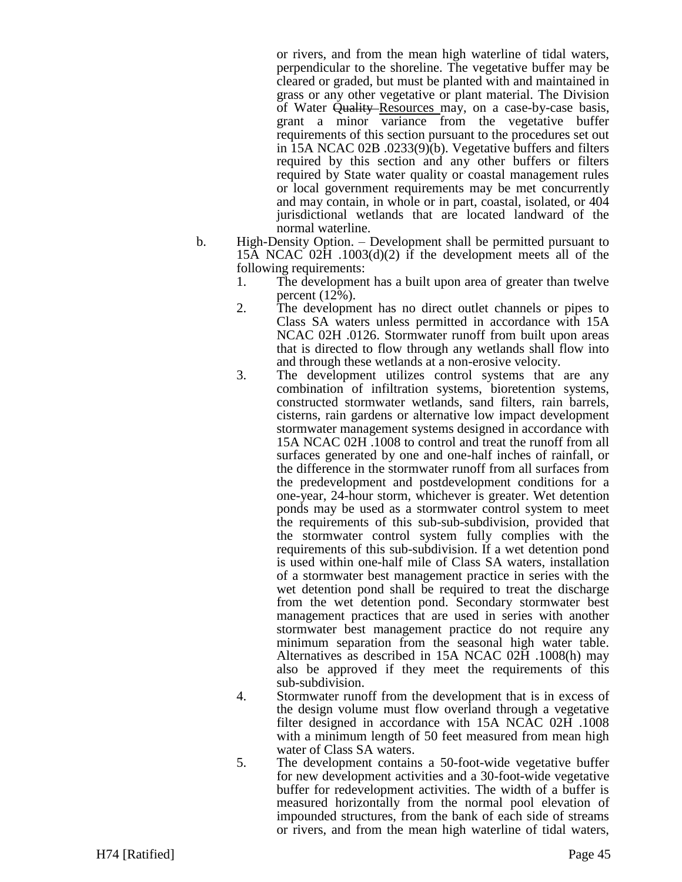or rivers, and from the mean high waterline of tidal waters, perpendicular to the shoreline. The vegetative buffer may be cleared or graded, but must be planted with and maintained in grass or any other vegetative or plant material. The Division of Water Quality Resources may, on a case-by-case basis, grant a minor variance from the vegetative buffer requirements of this section pursuant to the procedures set out in 15A NCAC 02B .0233(9)(b). Vegetative buffers and filters required by this section and any other buffers or filters required by State water quality or coastal management rules or local government requirements may be met concurrently and may contain, in whole or in part, coastal, isolated, or 404 jurisdictional wetlands that are located landward of the normal waterline.

- b. High-Density Option. Development shall be permitted pursuant to 15A NCAC 02H .1003(d)(2) if the development meets all of the following requirements:
	- 1. The development has a built upon area of greater than twelve percent (12%).
	- 2. The development has no direct outlet channels or pipes to Class SA waters unless permitted in accordance with 15A NCAC 02H .0126. Stormwater runoff from built upon areas that is directed to flow through any wetlands shall flow into and through these wetlands at a non-erosive velocity.
	- 3. The development utilizes control systems that are any combination of infiltration systems, bioretention systems, constructed stormwater wetlands, sand filters, rain barrels, cisterns, rain gardens or alternative low impact development stormwater management systems designed in accordance with 15A NCAC 02H .1008 to control and treat the runoff from all surfaces generated by one and one-half inches of rainfall, or the difference in the stormwater runoff from all surfaces from the predevelopment and postdevelopment conditions for a one-year, 24-hour storm, whichever is greater. Wet detention ponds may be used as a stormwater control system to meet the requirements of this sub-sub-subdivision, provided that the stormwater control system fully complies with the requirements of this sub-subdivision. If a wet detention pond is used within one-half mile of Class SA waters, installation of a stormwater best management practice in series with the wet detention pond shall be required to treat the discharge from the wet detention pond. Secondary stormwater best management practices that are used in series with another stormwater best management practice do not require any minimum separation from the seasonal high water table. Alternatives as described in 15A NCAC 02H .1008(h) may also be approved if they meet the requirements of this sub-subdivision.
	- 4. Stormwater runoff from the development that is in excess of the design volume must flow overland through a vegetative filter designed in accordance with 15A NCAC 02H .1008 with a minimum length of 50 feet measured from mean high water of Class SA waters.
	- 5. The development contains a 50-foot-wide vegetative buffer for new development activities and a 30-foot-wide vegetative buffer for redevelopment activities. The width of a buffer is measured horizontally from the normal pool elevation of impounded structures, from the bank of each side of streams or rivers, and from the mean high waterline of tidal waters,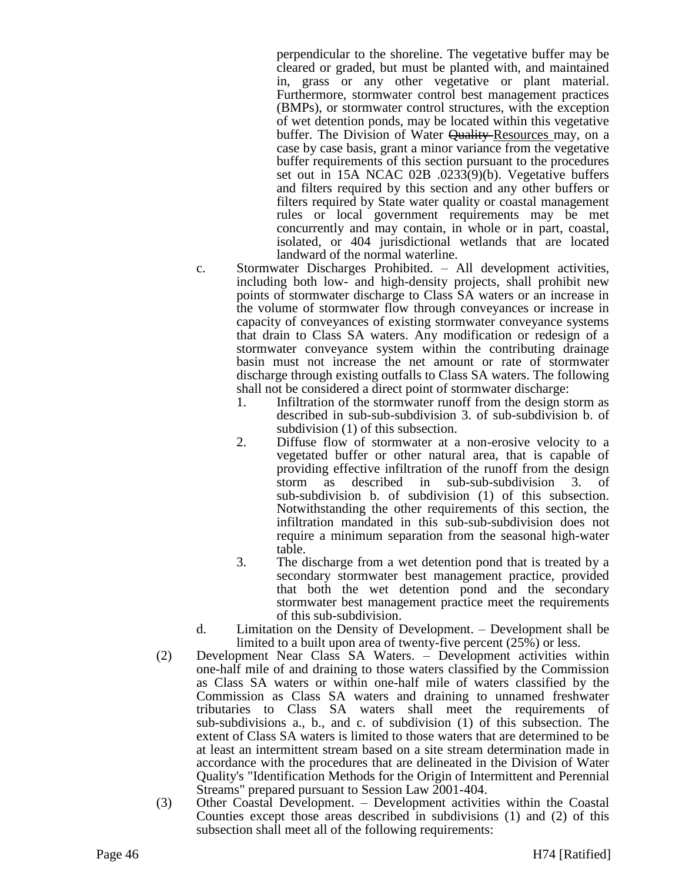perpendicular to the shoreline. The vegetative buffer may be cleared or graded, but must be planted with, and maintained in, grass or any other vegetative or plant material. Furthermore, stormwater control best management practices (BMPs), or stormwater control structures, with the exception of wet detention ponds, may be located within this vegetative buffer. The Division of Water Quality Resources may, on a case by case basis, grant a minor variance from the vegetative buffer requirements of this section pursuant to the procedures set out in 15A NCAC 02B .0233(9)(b). Vegetative buffers and filters required by this section and any other buffers or filters required by State water quality or coastal management rules or local government requirements may be met concurrently and may contain, in whole or in part, coastal, isolated, or 404 jurisdictional wetlands that are located landward of the normal waterline.

- c. Stormwater Discharges Prohibited. All development activities, including both low- and high-density projects, shall prohibit new points of stormwater discharge to Class SA waters or an increase in the volume of stormwater flow through conveyances or increase in capacity of conveyances of existing stormwater conveyance systems that drain to Class SA waters. Any modification or redesign of a stormwater conveyance system within the contributing drainage basin must not increase the net amount or rate of stormwater discharge through existing outfalls to Class SA waters. The following shall not be considered a direct point of stormwater discharge:
	- 1. Infiltration of the stormwater runoff from the design storm as described in sub-sub-subdivision 3. of sub-subdivision b. of subdivision (1) of this subsection.
	- 2. Diffuse flow of stormwater at a non-erosive velocity to a vegetated buffer or other natural area, that is capable of providing effective infiltration of the runoff from the design storm as described in sub-sub-subdivision 3. of sub-subdivision b. of subdivision (1) of this subsection. Notwithstanding the other requirements of this section, the infiltration mandated in this sub-sub-subdivision does not require a minimum separation from the seasonal high-water table.
	- 3. The discharge from a wet detention pond that is treated by a secondary stormwater best management practice, provided that both the wet detention pond and the secondary stormwater best management practice meet the requirements of this sub-subdivision.
- d. Limitation on the Density of Development. Development shall be limited to a built upon area of twenty-five percent (25%) or less.
- (2) Development Near Class SA Waters. Development activities within one-half mile of and draining to those waters classified by the Commission as Class SA waters or within one-half mile of waters classified by the Commission as Class SA waters and draining to unnamed freshwater tributaries to Class SA waters shall meet the requirements of sub-subdivisions a., b., and c. of subdivision (1) of this subsection. The extent of Class SA waters is limited to those waters that are determined to be at least an intermittent stream based on a site stream determination made in accordance with the procedures that are delineated in the Division of Water Quality's "Identification Methods for the Origin of Intermittent and Perennial Streams" prepared pursuant to Session Law 2001-404.
- (3) Other Coastal Development. Development activities within the Coastal Counties except those areas described in subdivisions (1) and (2) of this subsection shall meet all of the following requirements: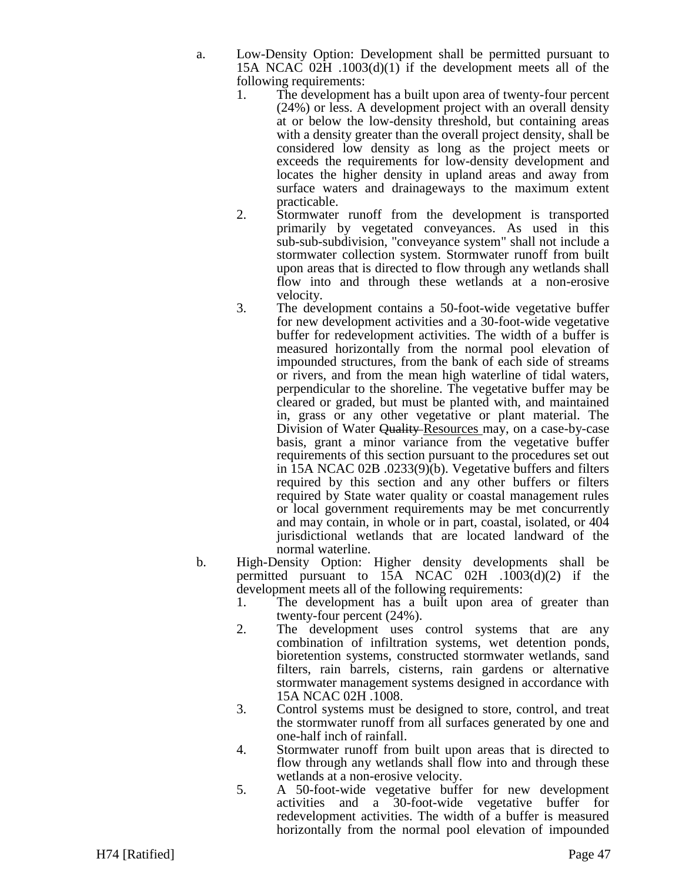- a. Low-Density Option: Development shall be permitted pursuant to 15A NCAC 02H .1003(d)(1) if the development meets all of the following requirements:
	- 1. The development has a built upon area of twenty-four percent (24%) or less. A development project with an overall density at or below the low-density threshold, but containing areas with a density greater than the overall project density, shall be considered low density as long as the project meets or exceeds the requirements for low-density development and locates the higher density in upland areas and away from surface waters and drainageways to the maximum extent practicable.
	- 2. Stormwater runoff from the development is transported primarily by vegetated conveyances. As used in this sub-sub-subdivision, "conveyance system" shall not include a stormwater collection system. Stormwater runoff from built upon areas that is directed to flow through any wetlands shall flow into and through these wetlands at a non-erosive velocity.
	- 3. The development contains a 50-foot-wide vegetative buffer for new development activities and a 30-foot-wide vegetative buffer for redevelopment activities. The width of a buffer is measured horizontally from the normal pool elevation of impounded structures, from the bank of each side of streams or rivers, and from the mean high waterline of tidal waters, perpendicular to the shoreline. The vegetative buffer may be cleared or graded, but must be planted with, and maintained in, grass or any other vegetative or plant material. The Division of Water Quality-Resources may, on a case-by-case basis, grant a minor variance from the vegetative buffer requirements of this section pursuant to the procedures set out in 15A NCAC 02B .0233(9)(b). Vegetative buffers and filters required by this section and any other buffers or filters required by State water quality or coastal management rules or local government requirements may be met concurrently and may contain, in whole or in part, coastal, isolated, or 404 jurisdictional wetlands that are located landward of the normal waterline.
- b. High-Density Option: Higher density developments shall be permitted pursuant to  $15A$  NCAC 02H  $.1003(d)(2)$  if the development meets all of the following requirements:
	- 1. The development has a built upon area of greater than twenty-four percent (24%).
	- 2. The development uses control systems that are any combination of infiltration systems, wet detention ponds, bioretention systems, constructed stormwater wetlands, sand filters, rain barrels, cisterns, rain gardens or alternative stormwater management systems designed in accordance with 15A NCAC 02H .1008.
	- 3. Control systems must be designed to store, control, and treat the stormwater runoff from all surfaces generated by one and one-half inch of rainfall.
	- 4. Stormwater runoff from built upon areas that is directed to flow through any wetlands shall flow into and through these wetlands at a non-erosive velocity.
	- 5. A 50-foot-wide vegetative buffer for new development activities and a 30-foot-wide vegetative buffer for redevelopment activities. The width of a buffer is measured horizontally from the normal pool elevation of impounded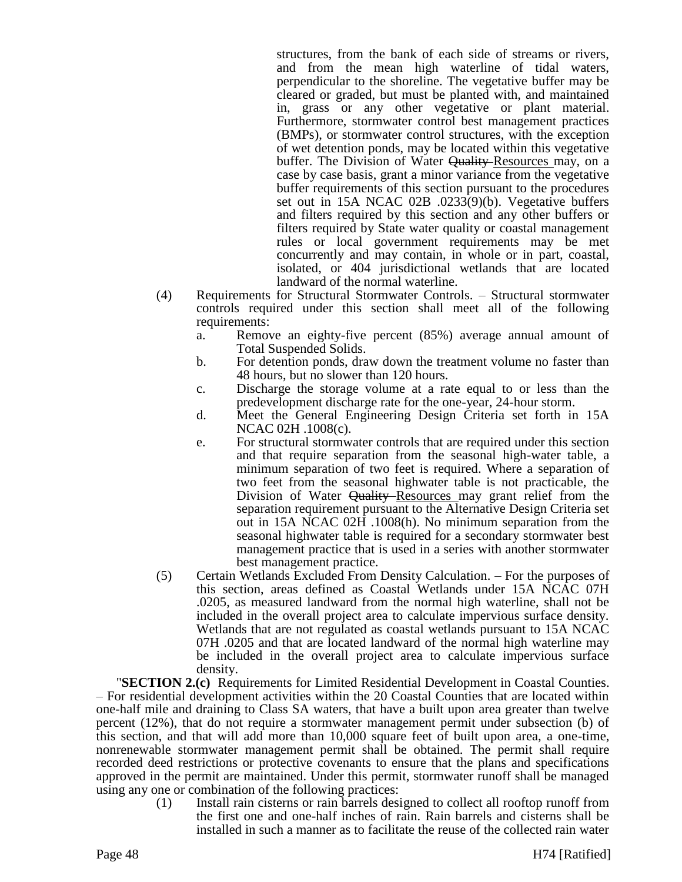structures, from the bank of each side of streams or rivers, and from the mean high waterline of tidal waters, perpendicular to the shoreline. The vegetative buffer may be cleared or graded, but must be planted with, and maintained in, grass or any other vegetative or plant material. Furthermore, stormwater control best management practices (BMPs), or stormwater control structures, with the exception of wet detention ponds, may be located within this vegetative buffer. The Division of Water <del>Quality Resources may, on a</del> case by case basis, grant a minor variance from the vegetative buffer requirements of this section pursuant to the procedures set out in 15A NCAC 02B .0233(9)(b). Vegetative buffers and filters required by this section and any other buffers or filters required by State water quality or coastal management rules or local government requirements may be met concurrently and may contain, in whole or in part, coastal, isolated, or 404 jurisdictional wetlands that are located landward of the normal waterline.

- (4) Requirements for Structural Stormwater Controls. Structural stormwater controls required under this section shall meet all of the following requirements:
	- a. Remove an eighty-five percent (85%) average annual amount of Total Suspended Solids.
	- b. For detention ponds, draw down the treatment volume no faster than 48 hours, but no slower than 120 hours.
	- c. Discharge the storage volume at a rate equal to or less than the predevelopment discharge rate for the one-year, 24-hour storm.
	- d. Meet the General Engineering Design Criteria set forth in 15A NCAC 02H .1008(c).
	- e. For structural stormwater controls that are required under this section and that require separation from the seasonal high-water table, a minimum separation of two feet is required. Where a separation of two feet from the seasonal highwater table is not practicable, the Division of Water Quality–Resources may grant relief from the separation requirement pursuant to the Alternative Design Criteria set out in 15A NCAC 02H .1008(h). No minimum separation from the seasonal highwater table is required for a secondary stormwater best management practice that is used in a series with another stormwater best management practice.
- (5) Certain Wetlands Excluded From Density Calculation. For the purposes of this section, areas defined as Coastal Wetlands under 15A NCAC 07H .0205, as measured landward from the normal high waterline, shall not be included in the overall project area to calculate impervious surface density. Wetlands that are not regulated as coastal wetlands pursuant to 15A NCAC 07H .0205 and that are located landward of the normal high waterline may be included in the overall project area to calculate impervious surface density.

"**SECTION 2.(c)** Requirements for Limited Residential Development in Coastal Counties. – For residential development activities within the 20 Coastal Counties that are located within one-half mile and draining to Class SA waters, that have a built upon area greater than twelve percent (12%), that do not require a stormwater management permit under subsection (b) of this section, and that will add more than 10,000 square feet of built upon area, a one-time, nonrenewable stormwater management permit shall be obtained. The permit shall require recorded deed restrictions or protective covenants to ensure that the plans and specifications approved in the permit are maintained. Under this permit, stormwater runoff shall be managed using any one or combination of the following practices:

(1) Install rain cisterns or rain barrels designed to collect all rooftop runoff from the first one and one-half inches of rain. Rain barrels and cisterns shall be installed in such a manner as to facilitate the reuse of the collected rain water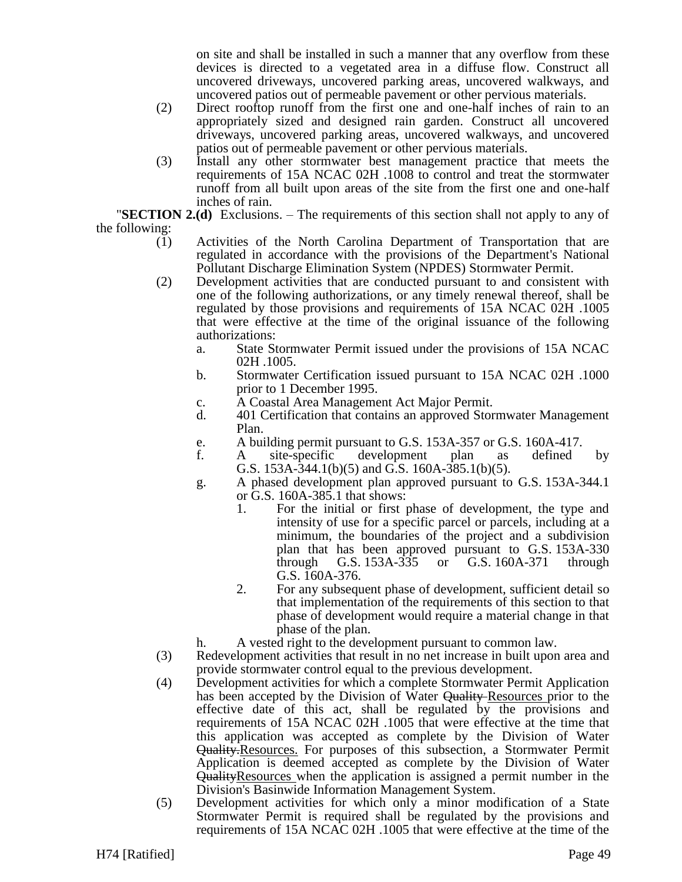on site and shall be installed in such a manner that any overflow from these devices is directed to a vegetated area in a diffuse flow. Construct all uncovered driveways, uncovered parking areas, uncovered walkways, and uncovered patios out of permeable pavement or other pervious materials.

- (2) Direct rooftop runoff from the first one and one-half inches of rain to an appropriately sized and designed rain garden. Construct all uncovered driveways, uncovered parking areas, uncovered walkways, and uncovered patios out of permeable pavement or other pervious materials.
- (3) Install any other stormwater best management practice that meets the requirements of 15A NCAC 02H .1008 to control and treat the stormwater runoff from all built upon areas of the site from the first one and one-half inches of rain.

"**SECTION 2.(d)** Exclusions. – The requirements of this section shall not apply to any of the following:

- (1) Activities of the North Carolina Department of Transportation that are regulated in accordance with the provisions of the Department's National Pollutant Discharge Elimination System (NPDES) Stormwater Permit.
- (2) Development activities that are conducted pursuant to and consistent with one of the following authorizations, or any timely renewal thereof, shall be regulated by those provisions and requirements of 15A NCAC 02H .1005 that were effective at the time of the original issuance of the following authorizations:
	- a. State Stormwater Permit issued under the provisions of 15A NCAC 02H .1005.
	- b. Stormwater Certification issued pursuant to 15A NCAC 02H .1000 prior to 1 December 1995.
	- c. A Coastal Area Management Act Major Permit.
	- d. 401 Certification that contains an approved Stormwater Management Plan.
	- e. A building permit pursuant to G.S. 153A-357 or G.S. 160A-417.
	- f. A site-specific development plan as defined by G.S. 153A-344.1(b)(5) and G.S. 160A-385.1(b)(5).
	- g. A phased development plan approved pursuant to G.S. 153A-344.1 or G.S. 160A-385.1 that shows:
		- 1. For the initial or first phase of development, the type and intensity of use for a specific parcel or parcels, including at a minimum, the boundaries of the project and a subdivision plan that has been approved pursuant to G.S. 153A-330 through G.S. 153A-335 or G.S. 160A-371 through G.S. 160A-376.
		- 2. For any subsequent phase of development, sufficient detail so that implementation of the requirements of this section to that phase of development would require a material change in that phase of the plan.
	- h. A vested right to the development pursuant to common law.
- (3) Redevelopment activities that result in no net increase in built upon area and provide stormwater control equal to the previous development.
- (4) Development activities for which a complete Stormwater Permit Application has been accepted by the Division of Water Quality Resources prior to the effective date of this act, shall be regulated by the provisions and requirements of 15A NCAC 02H .1005 that were effective at the time that this application was accepted as complete by the Division of Water Quality.Resources. For purposes of this subsection, a Stormwater Permit Application is deemed accepted as complete by the Division of Water Quality Resources when the application is assigned a permit number in the Division's Basinwide Information Management System.
- (5) Development activities for which only a minor modification of a State Stormwater Permit is required shall be regulated by the provisions and requirements of 15A NCAC 02H .1005 that were effective at the time of the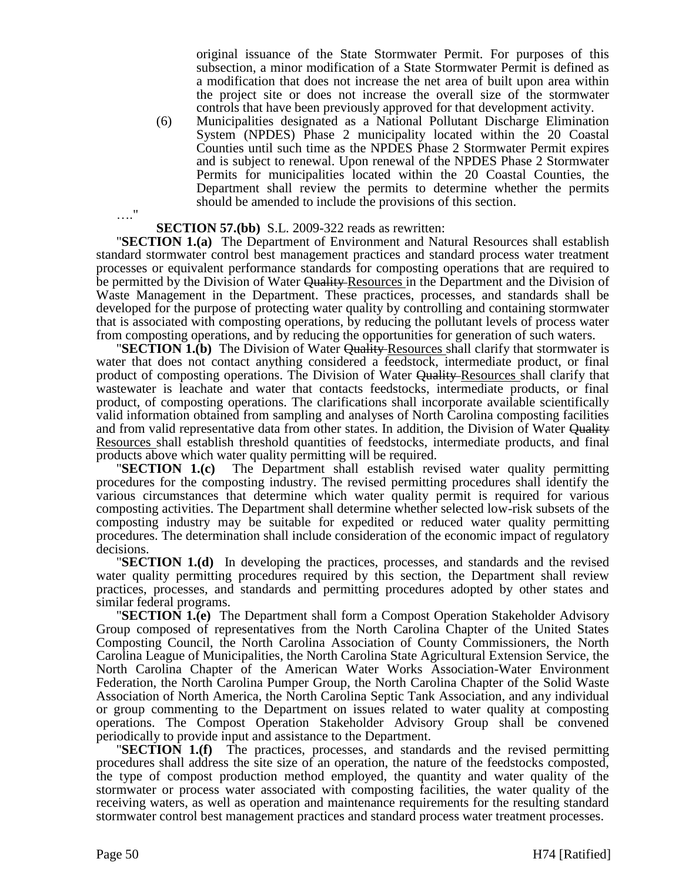original issuance of the State Stormwater Permit. For purposes of this subsection, a minor modification of a State Stormwater Permit is defined as a modification that does not increase the net area of built upon area within the project site or does not increase the overall size of the stormwater controls that have been previously approved for that development activity.

(6) Municipalities designated as a National Pollutant Discharge Elimination System (NPDES) Phase 2 municipality located within the 20 Coastal Counties until such time as the NPDES Phase 2 Stormwater Permit expires and is subject to renewal. Upon renewal of the NPDES Phase 2 Stormwater Permits for municipalities located within the 20 Coastal Counties, the Department shall review the permits to determine whether the permits should be amended to include the provisions of this section.

#### …." **SECTION 57.(bb)** S.L. 2009-322 reads as rewritten:

"**SECTION 1.(a)** The Department of Environment and Natural Resources shall establish standard stormwater control best management practices and standard process water treatment processes or equivalent performance standards for composting operations that are required to be permitted by the Division of Water Quality-Resources in the Department and the Division of Waste Management in the Department. These practices, processes, and standards shall be developed for the purpose of protecting water quality by controlling and containing stormwater that is associated with composting operations, by reducing the pollutant levels of process water from composting operations, and by reducing the opportunities for generation of such waters.

**"SECTION 1.(b)** The Division of Water Quality Resources shall clarify that stormwater is water that does not contact anything considered a feedstock, intermediate product, or final product of composting operations. The Division of Water Quality Resources shall clarify that wastewater is leachate and water that contacts feedstocks, intermediate products, or final product, of composting operations. The clarifications shall incorporate available scientifically valid information obtained from sampling and analyses of North Carolina composting facilities and from valid representative data from other states. In addition, the Division of Water Quality Resources shall establish threshold quantities of feedstocks, intermediate products, and final products above which water quality permitting will be required.

"**SECTION 1.(c)** The Department shall establish revised water quality permitting procedures for the composting industry. The revised permitting procedures shall identify the various circumstances that determine which water quality permit is required for various composting activities. The Department shall determine whether selected low-risk subsets of the composting industry may be suitable for expedited or reduced water quality permitting procedures. The determination shall include consideration of the economic impact of regulatory decisions.

"**SECTION 1.(d)** In developing the practices, processes, and standards and the revised water quality permitting procedures required by this section, the Department shall review practices, processes, and standards and permitting procedures adopted by other states and similar federal programs.

"**SECTION 1.(e)** The Department shall form a Compost Operation Stakeholder Advisory Group composed of representatives from the North Carolina Chapter of the United States Composting Council, the North Carolina Association of County Commissioners, the North Carolina League of Municipalities, the North Carolina State Agricultural Extension Service, the North Carolina Chapter of the American Water Works Association-Water Environment Federation, the North Carolina Pumper Group, the North Carolina Chapter of the Solid Waste Association of North America, the North Carolina Septic Tank Association, and any individual or group commenting to the Department on issues related to water quality at composting operations. The Compost Operation Stakeholder Advisory Group shall be convened periodically to provide input and assistance to the Department.

"**SECTION 1.(f)** The practices, processes, and standards and the revised permitting procedures shall address the site size of an operation, the nature of the feedstocks composted, the type of compost production method employed, the quantity and water quality of the stormwater or process water associated with composting facilities, the water quality of the receiving waters, as well as operation and maintenance requirements for the resulting standard stormwater control best management practices and standard process water treatment processes.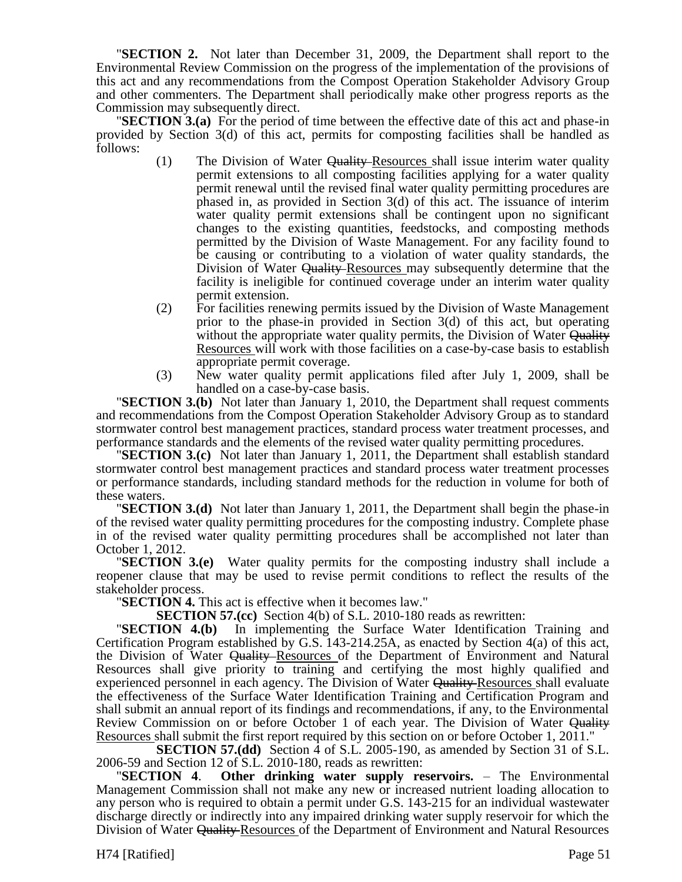"**SECTION 2.** Not later than December 31, 2009, the Department shall report to the Environmental Review Commission on the progress of the implementation of the provisions of this act and any recommendations from the Compost Operation Stakeholder Advisory Group and other commenters. The Department shall periodically make other progress reports as the Commission may subsequently direct.

"**SECTION 3.(a)** For the period of time between the effective date of this act and phase-in provided by Section 3(d) of this act, permits for composting facilities shall be handled as follows:

- (1) The Division of Water Quality Resources shall issue interim water quality permit extensions to all composting facilities applying for a water quality permit renewal until the revised final water quality permitting procedures are phased in, as provided in Section 3(d) of this act. The issuance of interim water quality permit extensions shall be contingent upon no significant changes to the existing quantities, feedstocks, and composting methods permitted by the Division of Waste Management. For any facility found to be causing or contributing to a violation of water quality standards, the Division of Water Quality-Resources may subsequently determine that the facility is ineligible for continued coverage under an interim water quality permit extension.
- (2) For facilities renewing permits issued by the Division of Waste Management prior to the phase-in provided in Section 3(d) of this act, but operating without the appropriate water quality permits, the Division of Water Quality Resources will work with those facilities on a case-by-case basis to establish appropriate permit coverage.
- (3) New water quality permit applications filed after July 1, 2009, shall be handled on a case-by-case basis.

"**SECTION 3.(b)** Not later than January 1, 2010, the Department shall request comments and recommendations from the Compost Operation Stakeholder Advisory Group as to standard stormwater control best management practices, standard process water treatment processes, and performance standards and the elements of the revised water quality permitting procedures.

"**SECTION 3.(c)** Not later than January 1, 2011, the Department shall establish standard stormwater control best management practices and standard process water treatment processes or performance standards, including standard methods for the reduction in volume for both of these waters.

"**SECTION 3.(d)** Not later than January 1, 2011, the Department shall begin the phase-in of the revised water quality permitting procedures for the composting industry. Complete phase in of the revised water quality permitting procedures shall be accomplished not later than October 1, 2012.

"**SECTION 3.(e)** Water quality permits for the composting industry shall include a reopener clause that may be used to revise permit conditions to reflect the results of the stakeholder process.

"**SECTION 4.** This act is effective when it becomes law."

**SECTION 57.(cc)** Section 4(b) of S.L. 2010-180 reads as rewritten:

"**SECTION 4.(b)** In implementing the Surface Water Identification Training and Certification Program established by G.S. 143-214.25A, as enacted by Section 4(a) of this act, the Division of Water Quality Resources of the Department of Environment and Natural Resources shall give priority to training and certifying the most highly qualified and experienced personnel in each agency. The Division of Water Quality Resources shall evaluate the effectiveness of the Surface Water Identification Training and Certification Program and shall submit an annual report of its findings and recommendations, if any, to the Environmental Review Commission on or before October 1 of each year. The Division of Water Quality Resources shall submit the first report required by this section on or before October 1, 2011."

**SECTION 57.(dd)** Section 4 of S.L. 2005-190, as amended by Section 31 of S.L. 2006-59 and Section 12 of S.L. 2010-180, reads as rewritten:

"**SECTION 4**. **Other drinking water supply reservoirs.** – The Environmental Management Commission shall not make any new or increased nutrient loading allocation to any person who is required to obtain a permit under G.S. 143-215 for an individual wastewater discharge directly or indirectly into any impaired drinking water supply reservoir for which the Division of Water Quality Resources of the Department of Environment and Natural Resources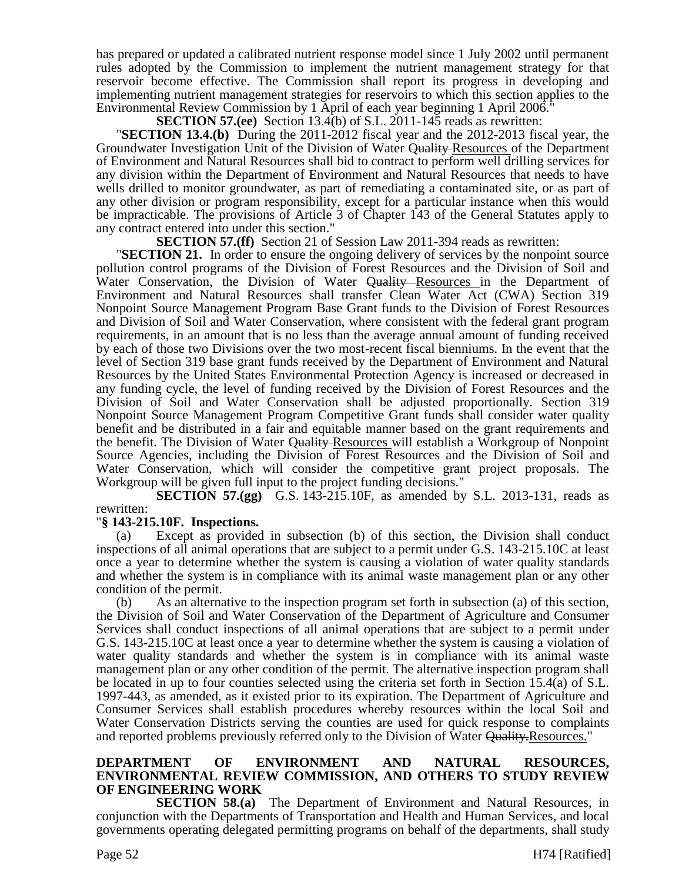has prepared or updated a calibrated nutrient response model since 1 July 2002 until permanent rules adopted by the Commission to implement the nutrient management strategy for that reservoir become effective. The Commission shall report its progress in developing and implementing nutrient management strategies for reservoirs to which this section applies to the Environmental Review Commission by 1 April of each year beginning 1 April 2006."

**SECTION 57.(ee)** Section 13.4(b) of S.L. 2011-145 reads as rewritten:

"**SECTION 13.4.(b)** During the 2011-2012 fiscal year and the 2012-2013 fiscal year, the Groundwater Investigation Unit of the Division of Water Quality-Resources of the Department of Environment and Natural Resources shall bid to contract to perform well drilling services for any division within the Department of Environment and Natural Resources that needs to have wells drilled to monitor groundwater, as part of remediating a contaminated site, or as part of any other division or program responsibility, except for a particular instance when this would be impracticable. The provisions of Article 3 of Chapter 143 of the General Statutes apply to any contract entered into under this section."

**SECTION 57.(ff)** Section 21 of Session Law 2011-394 reads as rewritten:

"**SECTION 21.** In order to ensure the ongoing delivery of services by the nonpoint source pollution control programs of the Division of Forest Resources and the Division of Soil and Water Conservation, the Division of Water Quality Resources in the Department of Environment and Natural Resources shall transfer Clean Water Act (CWA) Section 319 Nonpoint Source Management Program Base Grant funds to the Division of Forest Resources and Division of Soil and Water Conservation, where consistent with the federal grant program requirements, in an amount that is no less than the average annual amount of funding received by each of those two Divisions over the two most-recent fiscal bienniums. In the event that the level of Section 319 base grant funds received by the Department of Environment and Natural Resources by the United States Environmental Protection Agency is increased or decreased in any funding cycle, the level of funding received by the Division of Forest Resources and the Division of Soil and Water Conservation shall be adjusted proportionally. Section 319 Nonpoint Source Management Program Competitive Grant funds shall consider water quality benefit and be distributed in a fair and equitable manner based on the grant requirements and the benefit. The Division of Water Quality Resources will establish a Workgroup of Nonpoint Source Agencies, including the Division of Forest Resources and the Division of Soil and Water Conservation, which will consider the competitive grant project proposals. The Workgroup will be given full input to the project funding decisions."

**SECTION 57.(gg)** G.S. 143-215.10F, as amended by S.L. 2013-131, reads as rewritten:

# "**§ 143-215.10F. Inspections.**

(a) Except as provided in subsection (b) of this section, the Division shall conduct inspections of all animal operations that are subject to a permit under G.S. 143-215.10C at least once a year to determine whether the system is causing a violation of water quality standards and whether the system is in compliance with its animal waste management plan or any other condition of the permit.

(b) As an alternative to the inspection program set forth in subsection (a) of this section, the Division of Soil and Water Conservation of the Department of Agriculture and Consumer Services shall conduct inspections of all animal operations that are subject to a permit under G.S. 143-215.10C at least once a year to determine whether the system is causing a violation of water quality standards and whether the system is in compliance with its animal waste management plan or any other condition of the permit. The alternative inspection program shall be located in up to four counties selected using the criteria set forth in Section 15.4(a) of S.L. 1997-443, as amended, as it existed prior to its expiration. The Department of Agriculture and Consumer Services shall establish procedures whereby resources within the local Soil and Water Conservation Districts serving the counties are used for quick response to complaints and reported problems previously referred only to the Division of Water Quality.Resources."

# **DEPARTMENT OF ENVIRONMENT AND NATURAL RESOURCES, ENVIRONMENTAL REVIEW COMMISSION, AND OTHERS TO STUDY REVIEW OF ENGINEERING WORK**

**SECTION 58.(a)** The Department of Environment and Natural Resources, in conjunction with the Departments of Transportation and Health and Human Services, and local governments operating delegated permitting programs on behalf of the departments, shall study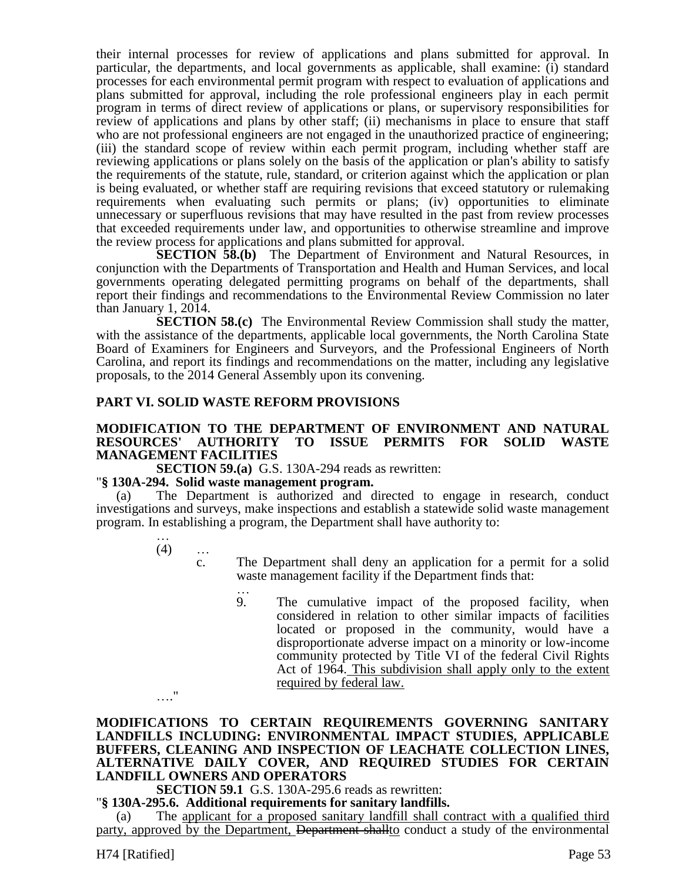their internal processes for review of applications and plans submitted for approval. In particular, the departments, and local governments as applicable, shall examine: (i) standard processes for each environmental permit program with respect to evaluation of applications and plans submitted for approval, including the role professional engineers play in each permit program in terms of direct review of applications or plans, or supervisory responsibilities for review of applications and plans by other staff; (ii) mechanisms in place to ensure that staff who are not professional engineers are not engaged in the unauthorized practice of engineering; (iii) the standard scope of review within each permit program, including whether staff are reviewing applications or plans solely on the basis of the application or plan's ability to satisfy the requirements of the statute, rule, standard, or criterion against which the application or plan is being evaluated, or whether staff are requiring revisions that exceed statutory or rulemaking requirements when evaluating such permits or plans; (iv) opportunities to eliminate unnecessary or superfluous revisions that may have resulted in the past from review processes that exceeded requirements under law, and opportunities to otherwise streamline and improve the review process for applications and plans submitted for approval.

**SECTION 58.(b)** The Department of Environment and Natural Resources, in conjunction with the Departments of Transportation and Health and Human Services, and local governments operating delegated permitting programs on behalf of the departments, shall report their findings and recommendations to the Environmental Review Commission no later than January 1, 2014.

**SECTION 58.(c)** The Environmental Review Commission shall study the matter, with the assistance of the departments, applicable local governments, the North Carolina State Board of Examiners for Engineers and Surveyors, and the Professional Engineers of North Carolina, and report its findings and recommendations on the matter, including any legislative proposals, to the 2014 General Assembly upon its convening.

# **PART VI. SOLID WASTE REFORM PROVISIONS**

#### **MODIFICATION TO THE DEPARTMENT OF ENVIRONMENT AND NATURAL RESOURCES' AUTHORITY TO ISSUE PERMITS FOR SOLID WASTE MANAGEMENT FACILITIES**

**SECTION 59.(a)** G.S. 130A-294 reads as rewritten:

#### "**§ 130A-294. Solid waste management program.**

(a) The Department is authorized and directed to engage in research, conduct investigations and surveys, make inspections and establish a statewide solid waste management program. In establishing a program, the Department shall have authority to:

…  $(4)$  …

…."

c. The Department shall deny an application for a permit for a solid waste management facility if the Department finds that:

…

9. The cumulative impact of the proposed facility, when considered in relation to other similar impacts of facilities located or proposed in the community, would have a disproportionate adverse impact on a minority or low-income community protected by Title VI of the federal Civil Rights Act of 1964. This subdivision shall apply only to the extent required by federal law.

# **MODIFICATIONS TO CERTAIN REQUIREMENTS GOVERNING SANITARY LANDFILLS INCLUDING: ENVIRONMENTAL IMPACT STUDIES, APPLICABLE BUFFERS, CLEANING AND INSPECTION OF LEACHATE COLLECTION LINES, ALTERNATIVE DAILY COVER, AND REQUIRED STUDIES FOR CERTAIN LANDFILL OWNERS AND OPERATORS**

# **SECTION 59.1** G.S. 130A-295.6 reads as rewritten:

"**§ 130A-295.6. Additional requirements for sanitary landfills.**

The applicant for a proposed sanitary landfill shall contract with a qualified third party, approved by the Department, Department shall to conduct a study of the environmental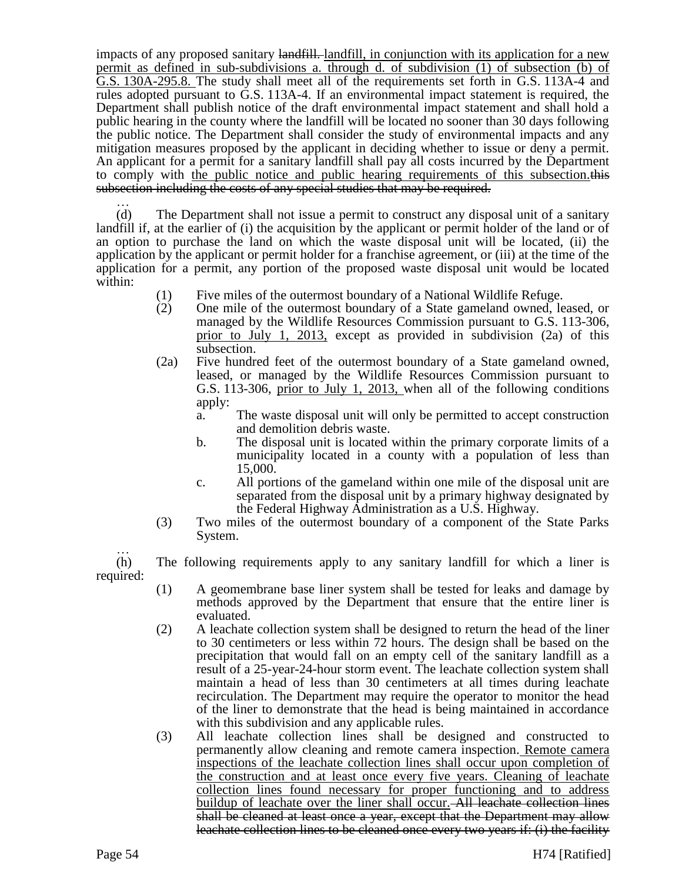impacts of any proposed sanitary landfill. landfill, in conjunction with its application for a new permit as defined in sub-subdivisions a. through d. of subdivision (1) of subsection (b) of G.S. 130A-295.8. The study shall meet all of the requirements set forth in G.S. 113A-4 and rules adopted pursuant to G.S. 113A-4. If an environmental impact statement is required, the Department shall publish notice of the draft environmental impact statement and shall hold a public hearing in the county where the landfill will be located no sooner than 30 days following the public notice. The Department shall consider the study of environmental impacts and any mitigation measures proposed by the applicant in deciding whether to issue or deny a permit. An applicant for a permit for a sanitary landfill shall pay all costs incurred by the Department to comply with the public notice and public hearing requirements of this subsection. this subsection including the costs of any special studies that may be required.

… (d) The Department shall not issue a permit to construct any disposal unit of a sanitary landfill if, at the earlier of (i) the acquisition by the applicant or permit holder of the land or of an option to purchase the land on which the waste disposal unit will be located, (ii) the application by the applicant or permit holder for a franchise agreement, or (iii) at the time of the application for a permit, any portion of the proposed waste disposal unit would be located within:

- (1) Five miles of the outermost boundary of a National Wildlife Refuge.
- (2) One mile of the outermost boundary of a State gameland owned, leased, or managed by the Wildlife Resources Commission pursuant to G.S. 113-306, prior to July 1, 2013, except as provided in subdivision (2a) of this subsection.
- (2a) Five hundred feet of the outermost boundary of a State gameland owned, leased, or managed by the Wildlife Resources Commission pursuant to G.S. 113-306, prior to July 1, 2013, when all of the following conditions apply:
	- a. The waste disposal unit will only be permitted to accept construction and demolition debris waste.
	- b. The disposal unit is located within the primary corporate limits of a municipality located in a county with a population of less than 15,000.
	- c. All portions of the gameland within one mile of the disposal unit are separated from the disposal unit by a primary highway designated by the Federal Highway Administration as a U.S. Highway.
- (3) Two miles of the outermost boundary of a component of the State Parks System.

… (h) The following requirements apply to any sanitary landfill for which a liner is required:

- (1) A geomembrane base liner system shall be tested for leaks and damage by methods approved by the Department that ensure that the entire liner is evaluated.
- (2) A leachate collection system shall be designed to return the head of the liner to 30 centimeters or less within 72 hours. The design shall be based on the precipitation that would fall on an empty cell of the sanitary landfill as a result of a 25-year-24-hour storm event. The leachate collection system shall maintain a head of less than 30 centimeters at all times during leachate recirculation. The Department may require the operator to monitor the head of the liner to demonstrate that the head is being maintained in accordance with this subdivision and any applicable rules.
- (3) All leachate collection lines shall be designed and constructed to permanently allow cleaning and remote camera inspection. Remote camera inspections of the leachate collection lines shall occur upon completion of the construction and at least once every five years. Cleaning of leachate collection lines found necessary for proper functioning and to address buildup of leachate over the liner shall occur. All leachate collection lines shall be cleaned at least once a year, except that the Department may allow leachate collection lines to be cleaned once every two years if: (i) the facility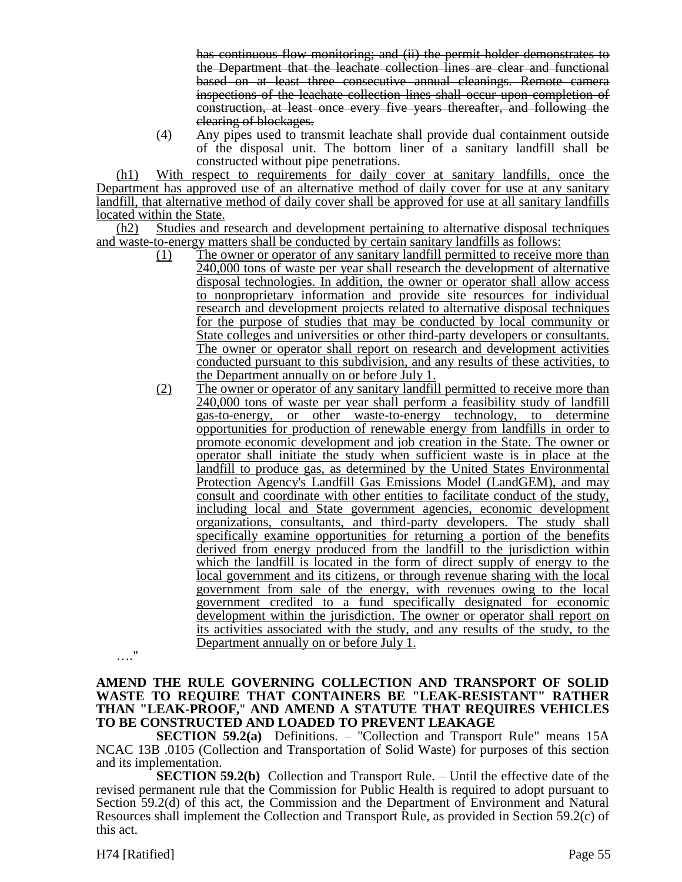has continuous flow monitoring; and (ii) the permit holder demonstrates to the Department that the leachate collection lines are clear and functional based on at least three consecutive annual cleanings. Remote camera inspections of the leachate collection lines shall occur upon completion of construction, at least once every five years thereafter, and following the clearing of blockages.

(4) Any pipes used to transmit leachate shall provide dual containment outside of the disposal unit. The bottom liner of a sanitary landfill shall be constructed without pipe penetrations.

(h1) With respect to requirements for daily cover at sanitary landfills, once the Department has approved use of an alternative method of daily cover for use at any sanitary landfill, that alternative method of daily cover shall be approved for use at all sanitary landfills located within the State.

(h2) Studies and research and development pertaining to alternative disposal techniques and waste-to-energy matters shall be conducted by certain sanitary landfills as follows:

- (1) The owner or operator of any sanitary landfill permitted to receive more than 240,000 tons of waste per year shall research the development of alternative disposal technologies. In addition, the owner or operator shall allow access to nonproprietary information and provide site resources for individual research and development projects related to alternative disposal techniques for the purpose of studies that may be conducted by local community or State colleges and universities or other third-party developers or consultants. The owner or operator shall report on research and development activities conducted pursuant to this subdivision, and any results of these activities, to the Department annually on or before July 1.
- (2) The owner or operator of any sanitary landfill permitted to receive more than 240,000 tons of waste per year shall perform a feasibility study of landfill gas-to-energy, or other waste-to-energy technology, to determine opportunities for production of renewable energy from landfills in order to promote economic development and job creation in the State. The owner or operator shall initiate the study when sufficient waste is in place at the landfill to produce gas, as determined by the United States Environmental Protection Agency's Landfill Gas Emissions Model (LandGEM), and may consult and coordinate with other entities to facilitate conduct of the study, including local and State government agencies, economic development organizations, consultants, and third-party developers. The study shall specifically examine opportunities for returning a portion of the benefits derived from energy produced from the landfill to the jurisdiction within which the landfill is located in the form of direct supply of energy to the local government and its citizens, or through revenue sharing with the local government from sale of the energy, with revenues owing to the local government credited to a fund specifically designated for economic development within the jurisdiction. The owner or operator shall report on its activities associated with the study, and any results of the study, to the Department annually on or before July 1.

…."

#### **AMEND THE RULE GOVERNING COLLECTION AND TRANSPORT OF SOLID WASTE TO REQUIRE THAT CONTAINERS BE "LEAK-RESISTANT" RATHER THAN "LEAK-PROOF,**" **AND AMEND A STATUTE THAT REQUIRES VEHICLES TO BE CONSTRUCTED AND LOADED TO PREVENT LEAKAGE**

**SECTION 59.2(a)** Definitions. – "Collection and Transport Rule" means 15A NCAC 13B .0105 (Collection and Transportation of Solid Waste) for purposes of this section and its implementation.

**SECTION 59.2(b)** Collection and Transport Rule. – Until the effective date of the revised permanent rule that the Commission for Public Health is required to adopt pursuant to Section 59.2(d) of this act, the Commission and the Department of Environment and Natural Resources shall implement the Collection and Transport Rule, as provided in Section 59.2(c) of this act.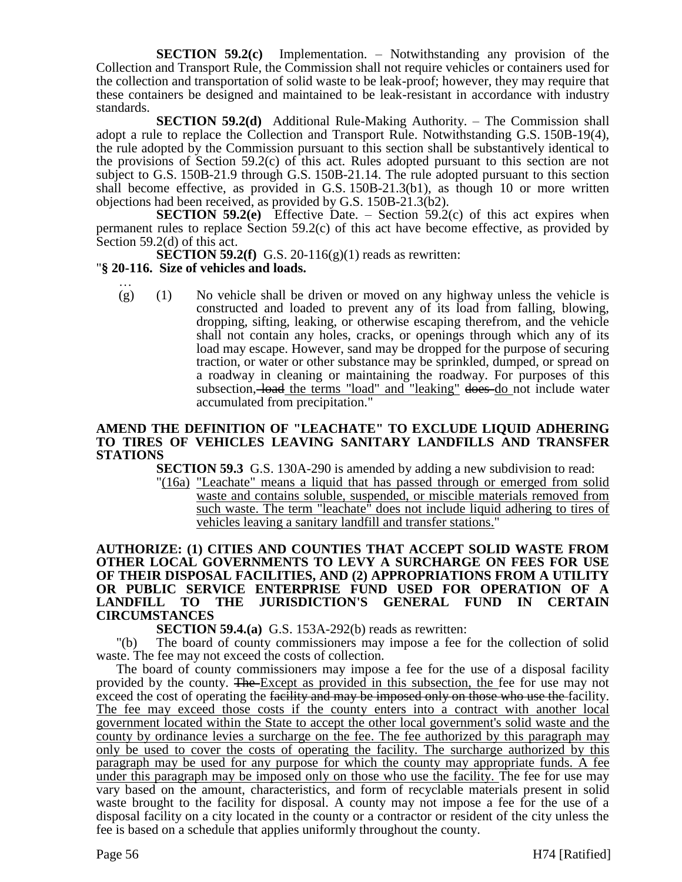**SECTION 59.2(c)** Implementation. – Notwithstanding any provision of the Collection and Transport Rule, the Commission shall not require vehicles or containers used for the collection and transportation of solid waste to be leak-proof; however, they may require that these containers be designed and maintained to be leak-resistant in accordance with industry standards.

**SECTION 59.2(d)** Additional Rule-Making Authority. – The Commission shall adopt a rule to replace the Collection and Transport Rule. Notwithstanding G.S. 150B-19(4), the rule adopted by the Commission pursuant to this section shall be substantively identical to the provisions of Section 59.2(c) of this act. Rules adopted pursuant to this section are not subject to G.S. 150B-21.9 through G.S. 150B-21.14. The rule adopted pursuant to this section shall become effective, as provided in G.S. 150B-21.3(b1), as though 10 or more written objections had been received, as provided by G.S. 150B-21.3(b2).

**SECTION 59.2(e)** Effective Date. – Section 59.2(c) of this act expires when permanent rules to replace Section 59.2(c) of this act have become effective, as provided by Section 59.2(d) of this act.

**SECTION 59.2(f)** G.S. 20-116(g)(1) reads as rewritten:

# "**§ 20-116. Size of vehicles and loads.**

… (g) (1) No vehicle shall be driven or moved on any highway unless the vehicle is constructed and loaded to prevent any of its load from falling, blowing, dropping, sifting, leaking, or otherwise escaping therefrom, and the vehicle shall not contain any holes, cracks, or openings through which any of its load may escape. However, sand may be dropped for the purpose of securing traction, or water or other substance may be sprinkled, dumped, or spread on a roadway in cleaning or maintaining the roadway. For purposes of this subsection, load the terms "load" and "leaking" does do not include water accumulated from precipitation."

#### **AMEND THE DEFINITION OF "LEACHATE" TO EXCLUDE LIQUID ADHERING TO TIRES OF VEHICLES LEAVING SANITARY LANDFILLS AND TRANSFER STATIONS**

**SECTION 59.3** G.S. 130A-290 is amended by adding a new subdivision to read:

"(16a) "Leachate" means a liquid that has passed through or emerged from solid waste and contains soluble, suspended, or miscible materials removed from such waste. The term "leachate" does not include liquid adhering to tires of vehicles leaving a sanitary landfill and transfer stations."

# **AUTHORIZE: (1) CITIES AND COUNTIES THAT ACCEPT SOLID WASTE FROM OTHER LOCAL GOVERNMENTS TO LEVY A SURCHARGE ON FEES FOR USE OF THEIR DISPOSAL FACILITIES, AND (2) APPROPRIATIONS FROM A UTILITY OR PUBLIC SERVICE ENTERPRISE FUND USED FOR OPERATION OF A LANDFILL TO THE JURISDICTION'S GENERAL FUND IN CERTAIN CIRCUMSTANCES**

**SECTION 59.4.(a)** G.S. 153A-292(b) reads as rewritten:

"(b) The board of county commissioners may impose a fee for the collection of solid waste. The fee may not exceed the costs of collection.

The board of county commissioners may impose a fee for the use of a disposal facility provided by the county. The Except as provided in this subsection, the fee for use may not exceed the cost of operating the facility and may be imposed only on those who use the facility. The fee may exceed those costs if the county enters into a contract with another local government located within the State to accept the other local government's solid waste and the county by ordinance levies a surcharge on the fee. The fee authorized by this paragraph may only be used to cover the costs of operating the facility. The surcharge authorized by this paragraph may be used for any purpose for which the county may appropriate funds. A fee under this paragraph may be imposed only on those who use the facility. The fee for use may vary based on the amount, characteristics, and form of recyclable materials present in solid waste brought to the facility for disposal. A county may not impose a fee for the use of a disposal facility on a city located in the county or a contractor or resident of the city unless the fee is based on a schedule that applies uniformly throughout the county.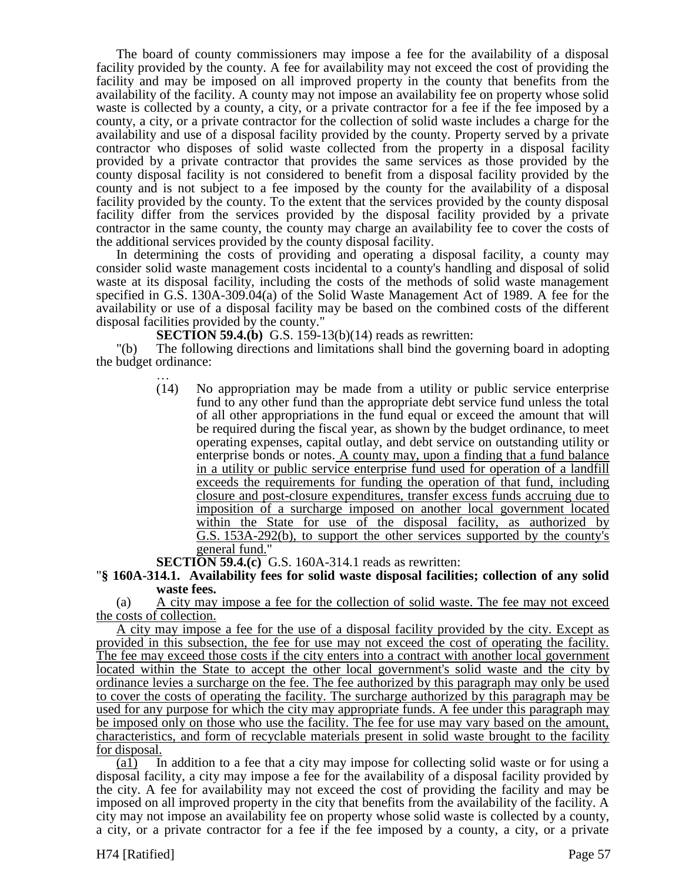The board of county commissioners may impose a fee for the availability of a disposal facility provided by the county. A fee for availability may not exceed the cost of providing the facility and may be imposed on all improved property in the county that benefits from the availability of the facility. A county may not impose an availability fee on property whose solid waste is collected by a county, a city, or a private contractor for a fee if the fee imposed by a county, a city, or a private contractor for the collection of solid waste includes a charge for the availability and use of a disposal facility provided by the county. Property served by a private contractor who disposes of solid waste collected from the property in a disposal facility provided by a private contractor that provides the same services as those provided by the county disposal facility is not considered to benefit from a disposal facility provided by the county and is not subject to a fee imposed by the county for the availability of a disposal facility provided by the county. To the extent that the services provided by the county disposal facility differ from the services provided by the disposal facility provided by a private contractor in the same county, the county may charge an availability fee to cover the costs of the additional services provided by the county disposal facility.

In determining the costs of providing and operating a disposal facility, a county may consider solid waste management costs incidental to a county's handling and disposal of solid waste at its disposal facility, including the costs of the methods of solid waste management specified in G.S. 130A-309.04(a) of the Solid Waste Management Act of 1989. A fee for the availability or use of a disposal facility may be based on the combined costs of the different disposal facilities provided by the county."

**SECTION 59.4.(b)** G.S. 159-13(b)(14) reads as rewritten:

"(b) The following directions and limitations shall bind the governing board in adopting the budget ordinance:

> … (14) No appropriation may be made from a utility or public service enterprise fund to any other fund than the appropriate debt service fund unless the total of all other appropriations in the fund equal or exceed the amount that will be required during the fiscal year, as shown by the budget ordinance, to meet operating expenses, capital outlay, and debt service on outstanding utility or enterprise bonds or notes. A county may, upon a finding that a fund balance in a utility or public service enterprise fund used for operation of a landfill exceeds the requirements for funding the operation of that fund, including closure and post-closure expenditures, transfer excess funds accruing due to imposition of a surcharge imposed on another local government located within the State for use of the disposal facility, as authorized by G.S. 153A-292(b), to support the other services supported by the county's general fund."

**SECTION 59.4.(c)** G.S. 160A-314.1 reads as rewritten:

"**§ 160A-314.1. Availability fees for solid waste disposal facilities; collection of any solid waste fees.**

(a) A city may impose a fee for the collection of solid waste. The fee may not exceed the costs of collection.

A city may impose a fee for the use of a disposal facility provided by the city. Except as provided in this subsection, the fee for use may not exceed the cost of operating the facility. The fee may exceed those costs if the city enters into a contract with another local government located within the State to accept the other local government's solid waste and the city by ordinance levies a surcharge on the fee. The fee authorized by this paragraph may only be used to cover the costs of operating the facility. The surcharge authorized by this paragraph may be used for any purpose for which the city may appropriate funds. A fee under this paragraph may be imposed only on those who use the facility. The fee for use may vary based on the amount, characteristics, and form of recyclable materials present in solid waste brought to the facility for disposal.

(a1) In addition to a fee that a city may impose for collecting solid waste or for using a disposal facility, a city may impose a fee for the availability of a disposal facility provided by the city. A fee for availability may not exceed the cost of providing the facility and may be imposed on all improved property in the city that benefits from the availability of the facility. A city may not impose an availability fee on property whose solid waste is collected by a county, a city, or a private contractor for a fee if the fee imposed by a county, a city, or a private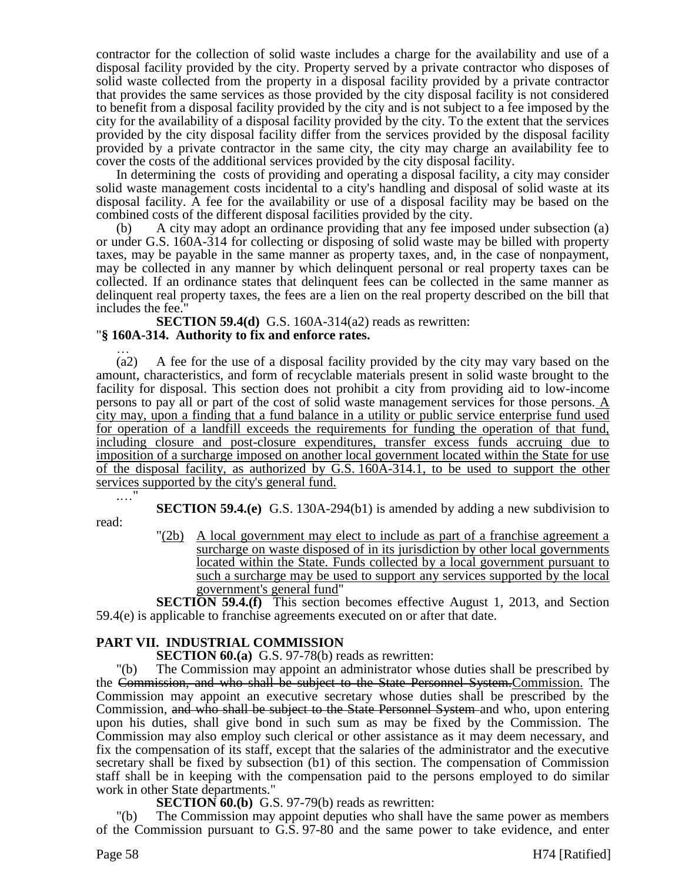contractor for the collection of solid waste includes a charge for the availability and use of a disposal facility provided by the city. Property served by a private contractor who disposes of solid waste collected from the property in a disposal facility provided by a private contractor that provides the same services as those provided by the city disposal facility is not considered to benefit from a disposal facility provided by the city and is not subject to a fee imposed by the city for the availability of a disposal facility provided by the city. To the extent that the services provided by the city disposal facility differ from the services provided by the disposal facility provided by a private contractor in the same city, the city may charge an availability fee to cover the costs of the additional services provided by the city disposal facility.

In determining the costs of providing and operating a disposal facility, a city may consider solid waste management costs incidental to a city's handling and disposal of solid waste at its disposal facility. A fee for the availability or use of a disposal facility may be based on the combined costs of the different disposal facilities provided by the city.

(b) A city may adopt an ordinance providing that any fee imposed under subsection (a) or under G.S. 160A-314 for collecting or disposing of solid waste may be billed with property taxes, may be payable in the same manner as property taxes, and, in the case of nonpayment, may be collected in any manner by which delinquent personal or real property taxes can be collected. If an ordinance states that delinquent fees can be collected in the same manner as delinquent real property taxes, the fees are a lien on the real property described on the bill that includes the fee."

**SECTION 59.4(d)** G.S. 160A-314(a2) reads as rewritten: "**§ 160A-314. Authority to fix and enforce rates.**

… (a2) A fee for the use of a disposal facility provided by the city may vary based on the amount, characteristics, and form of recyclable materials present in solid waste brought to the facility for disposal. This section does not prohibit a city from providing aid to low-income persons to pay all or part of the cost of solid waste management services for those persons. A city may, upon a finding that a fund balance in a utility or public service enterprise fund used for operation of a landfill exceeds the requirements for funding the operation of that fund, including closure and post-closure expenditures, transfer excess funds accruing due to imposition of a surcharge imposed on another local government located within the State for use of the disposal facility, as authorized by G.S. 160A-314.1, to be used to support the other services supported by the city's general fund.

.…"

**SECTION 59.4.(e)** G.S. 130A-294(b1) is amended by adding a new subdivision to

read:

"(2b) A local government may elect to include as part of a franchise agreement a surcharge on waste disposed of in its jurisdiction by other local governments located within the State. Funds collected by a local government pursuant to such a surcharge may be used to support any services supported by the local government's general fund"

**SECTION 59.4.(f)** This section becomes effective August 1, 2013, and Section 59.4(e) is applicable to franchise agreements executed on or after that date.

# **PART VII. INDUSTRIAL COMMISSION**

**SECTION 60.(a)** G.S. 97-78(b) reads as rewritten:

"(b) The Commission may appoint an administrator whose duties shall be prescribed by the Commission, and who shall be subject to the State Personnel System.Commission. The Commission may appoint an executive secretary whose duties shall be prescribed by the Commission, and who shall be subject to the State Personnel System and who, upon entering upon his duties, shall give bond in such sum as may be fixed by the Commission. The Commission may also employ such clerical or other assistance as it may deem necessary, and fix the compensation of its staff, except that the salaries of the administrator and the executive secretary shall be fixed by subsection (b1) of this section. The compensation of Commission staff shall be in keeping with the compensation paid to the persons employed to do similar work in other State departments."

**SECTION 60.(b)** G.S. 97-79(b) reads as rewritten:

The Commission may appoint deputies who shall have the same power as members of the Commission pursuant to G.S. 97-80 and the same power to take evidence, and enter